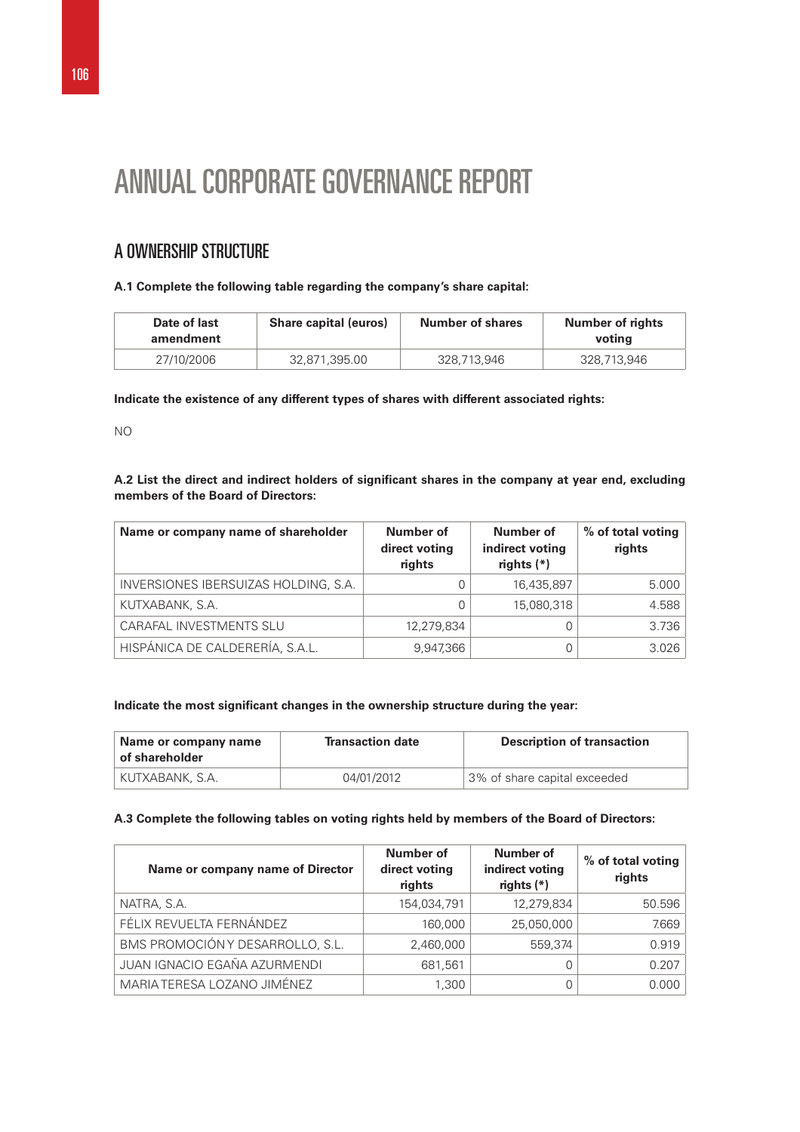# ANNUAL CORPORATE GOVERNANCE REPORT

# A OWNERSHIP STRUCTURE

# **A.1 Complete the following table regarding the company's share capital:**

| Date of last<br>amendment | <b>Share capital (euros)</b> | <b>Number of shares</b> | <b>Number of rights</b><br>voting |
|---------------------------|------------------------------|-------------------------|-----------------------------------|
| 27/10/2006                | 32.871.395.00                | 328.713.946             | 328.713.946                       |

**Indicate the existence of any different types of shares with different associated rights:** 

NO

**A.2 List the direct and indirect holders of significant shares in the company at year end, excluding members of the Board of Directors:** 

| Name or company name of shareholder  | Number of<br>direct voting<br>rights | Number of<br>indirect voting<br>rights $(*)$ | % of total voting<br>rights |
|--------------------------------------|--------------------------------------|----------------------------------------------|-----------------------------|
| INVERSIONES IBERSUIZAS HOLDING, S.A. |                                      | 16,435,897                                   | 5.000                       |
| KUTXABANK, S.A.                      |                                      | 15,080,318                                   | 4.588                       |
| <b>CARAFAL INVESTMENTS SLU</b>       | 12,279,834                           |                                              | 3.736                       |
| HISPÁNICA DE CALDERERÍA, S.A.L.      | 9,947,366                            |                                              | 3.026                       |

# **Indicate the most significant changes in the ownership structure during the year:**

| Name or company name<br>of shareholder | <b>Transaction date</b> | <b>Description of transaction</b> |
|----------------------------------------|-------------------------|-----------------------------------|
| KUTXABANK, S.A.                        | 04/01/2012              | 3% of share capital exceeded      |

# **A.3 Complete the following tables on voting rights held by members of the Board of Directors:**

| Name or company name of Director | Number of<br>direct voting<br>rights | <b>Number of</b><br>indirect voting<br>rights $(*)$ | % of total voting<br>rights |
|----------------------------------|--------------------------------------|-----------------------------------------------------|-----------------------------|
| NATRA, S.A.                      | 154,034,791                          | 12,279,834                                          | 50.596                      |
| FÉLIX REVUELTA FERNÁNDEZ         | 160,000                              | 25,050,000                                          | 7.669                       |
| BMS PROMOCIÓN Y DESARROLLO, S.L. | 2,460,000                            | 559,374                                             | 0.919                       |
| JUAN IGNACIO EGAÑA AZURMENDI     | 681,561                              |                                                     | 0.207                       |
| MARIA TERESA LOZANO JIMÉNEZ      | 1,300                                |                                                     | 0.000                       |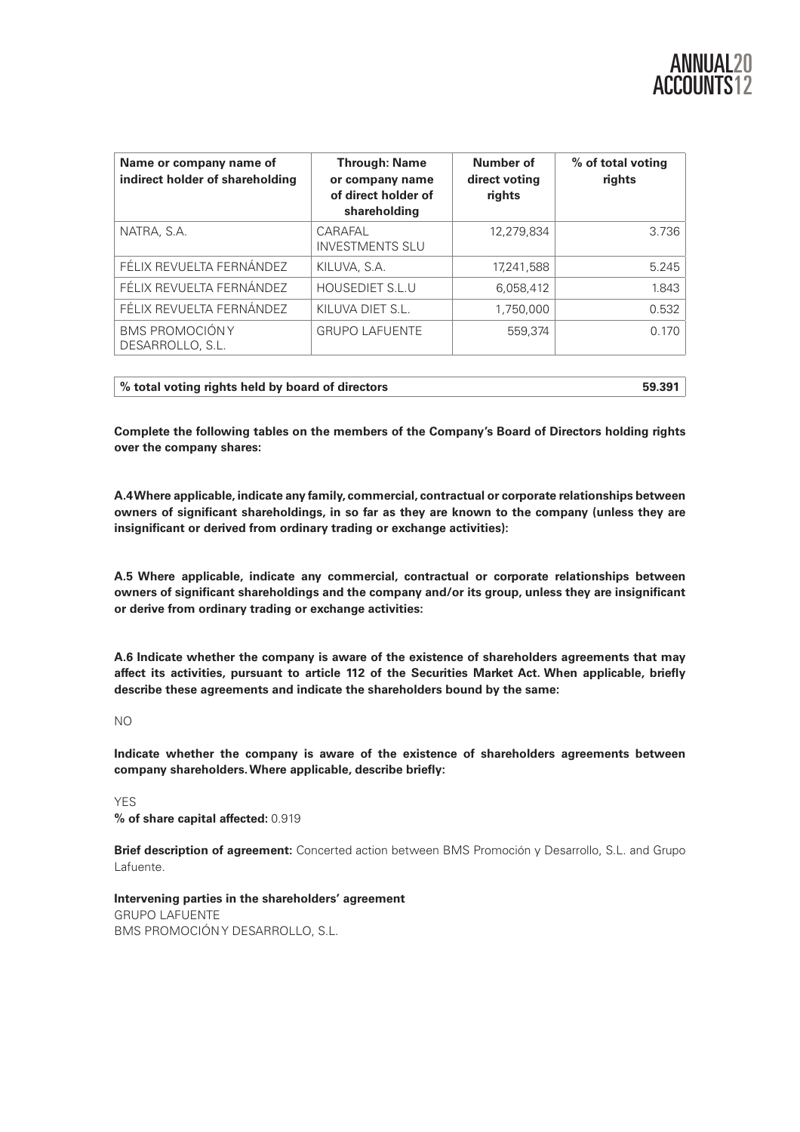| Name or company name of<br>indirect holder of shareholding | <b>Through: Name</b><br>or company name<br>of direct holder of<br>shareholding | Number of<br>direct voting<br>rights | % of total voting<br>rights |  |
|------------------------------------------------------------|--------------------------------------------------------------------------------|--------------------------------------|-----------------------------|--|
| NATRA, S.A.                                                | CARAFAL<br><b>INVESTMENTS SLU</b>                                              | 12,279,834                           | 3.736                       |  |
| FÉLIX REVUELTA FERNÁNDEZ                                   | KILUVA, S.A.                                                                   | 17,241,588                           | 5.245                       |  |
| FÉLIX REVUELTA FERNÁNDEZ                                   | <b>HOUSEDIET S.L.U</b>                                                         | 6,058,412                            | 1.843                       |  |
| FÉLIX REVUELTA FERNÁNDEZ                                   | KILUVA DIET S.L.                                                               | 1.750.000                            | 0.532                       |  |
| <b>BMS PROMOCIÓNY</b><br>DESARROLLO, S.L.                  | <b>GRUPO LAFUENTE</b>                                                          | 559.374                              | 0.170                       |  |

| 59.391<br>% total voting rights held by board of directors |
|------------------------------------------------------------|
|------------------------------------------------------------|

**Complete the following tables on the members of the Company's Board of Directors holding rights over the company shares:** 

**A.4 Where applicable, indicate any family, commercial, contractual or corporate relationships between owners of significant shareholdings, in so far as they are known to the company (unless they are insignificant or derived from ordinary trading or exchange activities):** 

**A.5 Where applicable, indicate any commercial, contractual or corporate relationships between owners of significant shareholdings and the company and/or its group, unless they are insignificant or derive from ordinary trading or exchange activities:** 

**A.6 Indicate whether the company is aware of the existence of shareholders agreements that may affect its activities, pursuant to article 112 of the Securities Market Act. When applicable, briefly describe these agreements and indicate the shareholders bound by the same:** 

NO

**Indicate whether the company is aware of the existence of shareholders agreements between company shareholders. Where applicable, describe briefly:** 

YES **% of share capital affected:** 0.919

**Brief description of agreement:** Concerted action between BMS Promoción y Desarrollo, S.L. and Grupo Lafuente.

**Intervening parties in the shareholders' agreement**  GRUPO LAFUENTE BMS PROMOCIÓN Y DESARROLLO, S.L.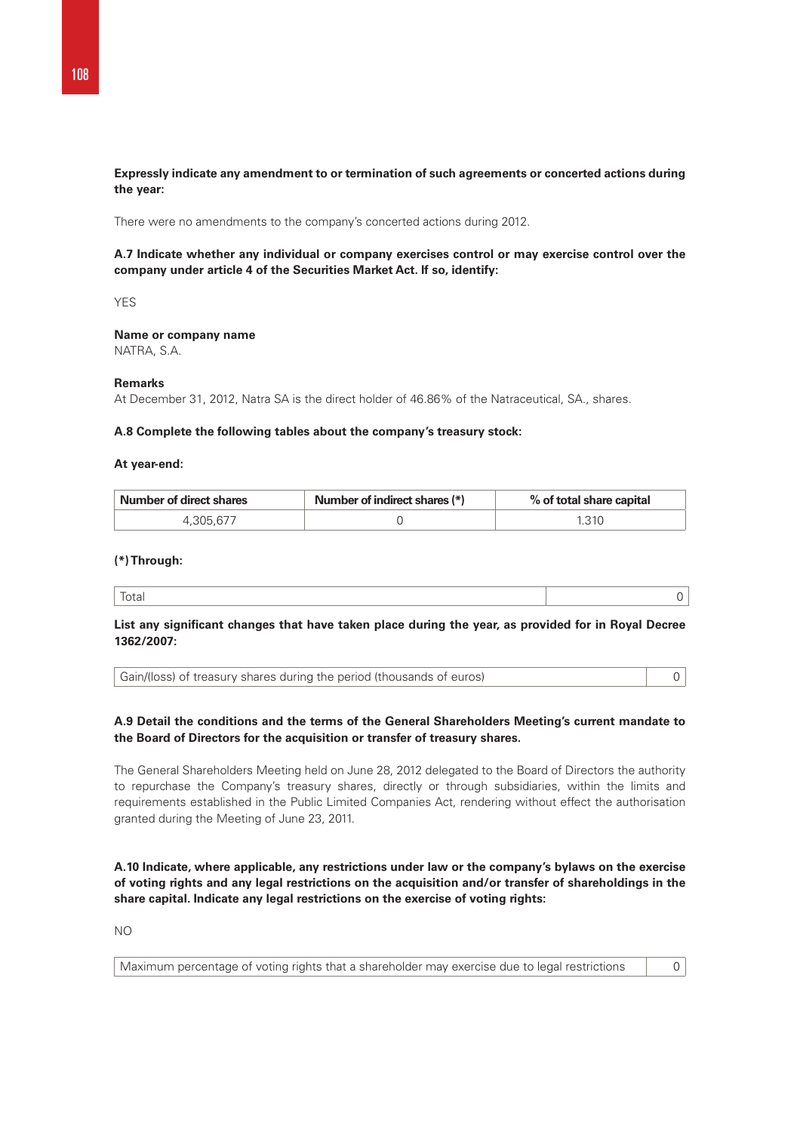# **Expressly indicate any amendment to or termination of such agreements or concerted actions during the year:**

There were no amendments to the company's concerted actions during 2012.

# **A.7 Indicate whether any individual or company exercises control or may exercise control over the company under article 4 of the Securities Market Act. If so, identify:**

YES

# **Name or company name**

NATRA, S.A.

## **Remarks**

At December 31, 2012, Natra SA is the direct holder of 46.86% of the Natraceutical, SA., shares.

## **A.8 Complete the following tables about the company's treasury stock:**

#### **At year-end:**

| <b>Number of direct shares</b> | Number of indirect shares (*) | % of total share capital |
|--------------------------------|-------------------------------|--------------------------|
| . 305.677                      |                               | 1.310                    |

## **(\*) Through:**

|--|--|

# **List any significant changes that have taken place during the year, as provided for in Royal Decree 1362/2007:**

# **A.9 Detail the conditions and the terms of the General Shareholders Meeting's current mandate to the Board of Directors for the acquisition or transfer of treasury shares.**

The General Shareholders Meeting held on June 28, 2012 delegated to the Board of Directors the authority to repurchase the Company's treasury shares, directly or through subsidiaries, within the limits and requirements established in the Public Limited Companies Act, rendering without effect the authorisation granted during the Meeting of June 23, 2011.

**A.10 Indicate, where applicable, any restrictions under law or the company's bylaws on the exercise of voting rights and any legal restrictions on the acquisition and/or transfer of shareholdings in the share capital. Indicate any legal restrictions on the exercise of voting rights:** 

NO

|  | Maximum percentage of voting rights that a shareholder may exercise due to legal restrictions |  |
|--|-----------------------------------------------------------------------------------------------|--|
|--|-----------------------------------------------------------------------------------------------|--|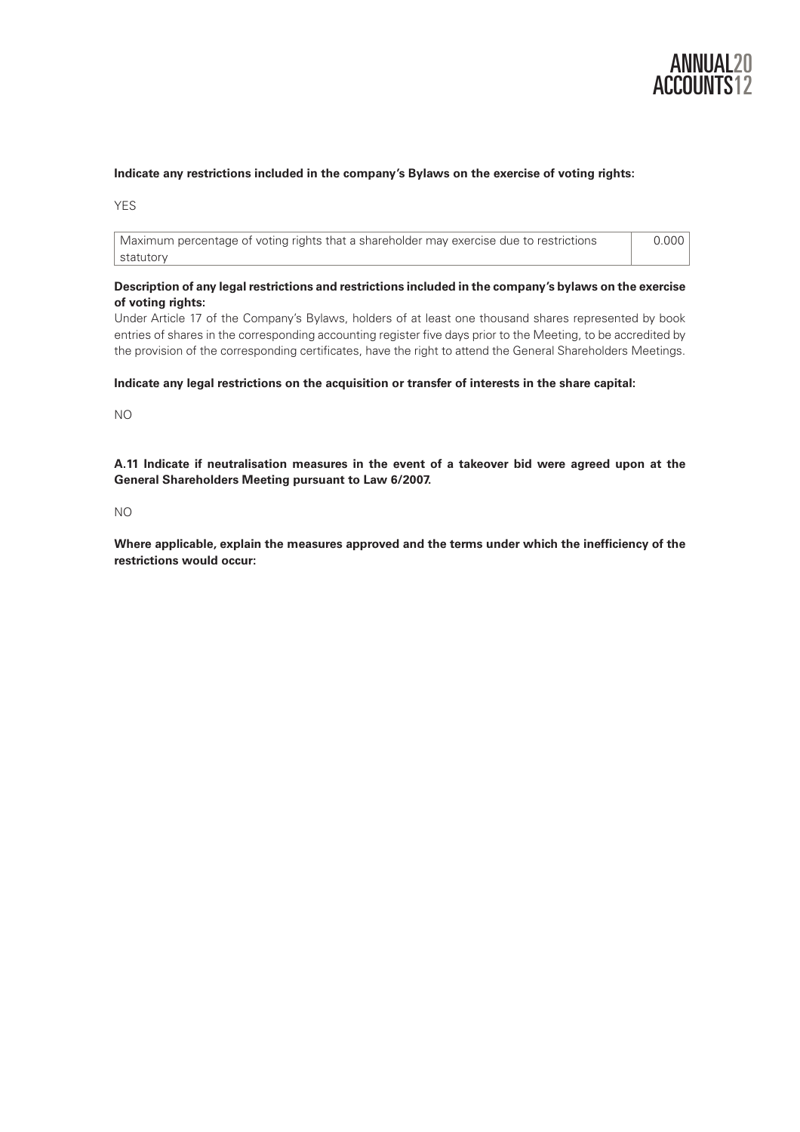

# **Indicate any restrictions included in the company's Bylaws on the exercise of voting rights:**

YFS

Maximum percentage of voting rights that a shareholder may exercise due to restrictions statutory 0.000

# **Description of any legal restrictions and restrictions included in the company's bylaws on the exercise of voting rights:**

Under Article 17 of the Company's Bylaws, holders of at least one thousand shares represented by book entries of shares in the corresponding accounting register five days prior to the Meeting, to be accredited by the provision of the corresponding certificates, have the right to attend the General Shareholders Meetings.

## **Indicate any legal restrictions on the acquisition or transfer of interests in the share capital:**

NO

**A.11 Indicate if neutralisation measures in the event of a takeover bid were agreed upon at the General Shareholders Meeting pursuant to Law 6/2007.** 

NO

**Where applicable, explain the measures approved and the terms under which the inefficiency of the restrictions would occur:**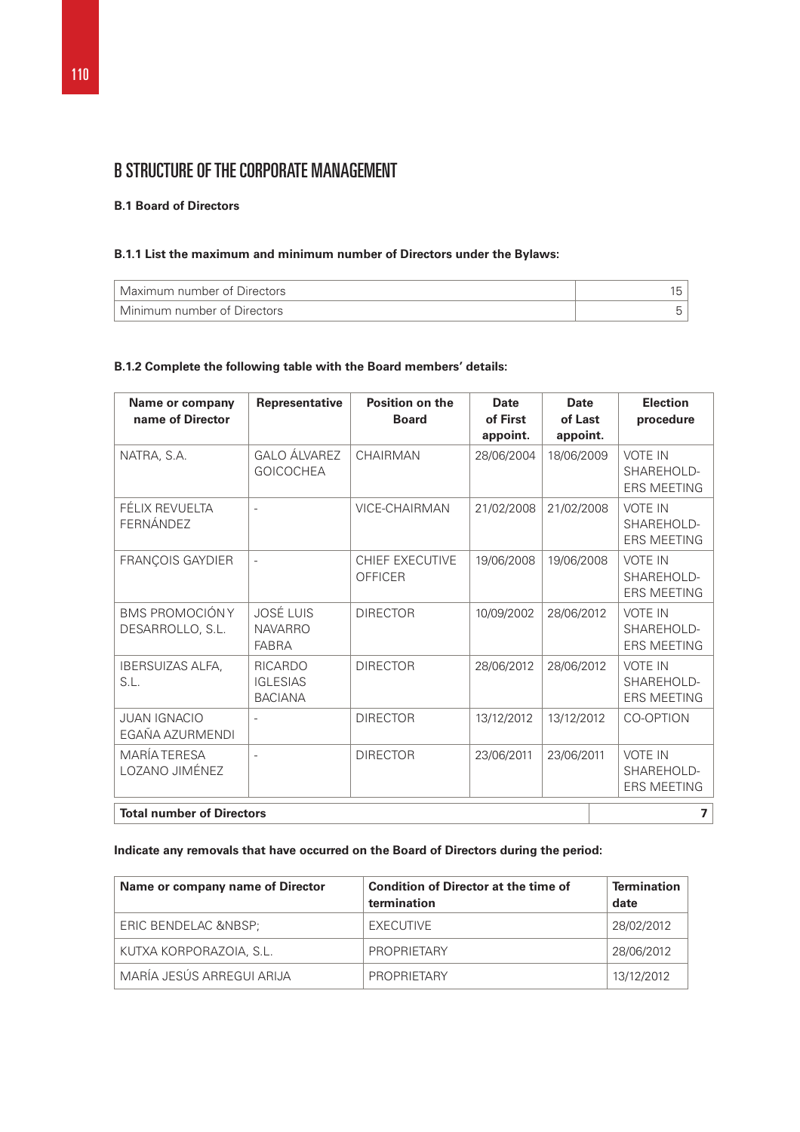# B STRUCTURE OF THE CORPORATE MANAGEMENT

# **B.1 Board of Directors**

# **B.1.1 List the maximum and minimum number of Directors under the Bylaws:**

| Maximum number of Directors |  |
|-----------------------------|--|
| Minimum number of Directors |  |

# **B.1.2 Complete the following table with the Board members' details:**

| Name or company<br>name of Director       | Representative                                      | <b>Position on the</b><br><b>Board</b> | <b>Date</b><br>of First<br>appoint. | <b>Date</b><br>of Last<br>appoint. |  | <b>Election</b><br>procedure                       |
|-------------------------------------------|-----------------------------------------------------|----------------------------------------|-------------------------------------|------------------------------------|--|----------------------------------------------------|
| NATRA, S.A.                               | <b>GALO ÁLVAREZ</b><br><b>GOICOCHEA</b>             | CHAIRMAN                               | 28/06/2004                          | 18/06/2009                         |  | <b>VOTE IN</b><br>SHAREHOLD-<br><b>ERS MEETING</b> |
| FÉLIX REVUELTA<br>FERNÁNDEZ               | $\overline{\phantom{a}}$                            | <b>VICE-CHAIRMAN</b>                   | 21/02/2008                          | 21/02/2008                         |  | <b>VOTE IN</b><br>SHAREHOLD-<br><b>ERS MEETING</b> |
| FRANÇOIS GAYDIER                          | $\overline{\phantom{a}}$                            | CHIEF EXECUTIVE<br>OFFICER             | 19/06/2008                          | 19/06/2008                         |  | <b>VOTE IN</b><br>SHAREHOLD-<br><b>ERS MEETING</b> |
| <b>BMS PROMOCIÓNY</b><br>DESARROLLO, S.L. | <b>JOSÉ LUIS</b><br><b>NAVARRO</b><br><b>FABRA</b>  | <b>DIRECTOR</b>                        | 10/09/2002                          | 28/06/2012                         |  | <b>VOTE IN</b><br>SHAREHOLD-<br><b>ERS MEETING</b> |
| <b>IBERSUIZAS ALFA.</b><br>S.L.           | <b>RICARDO</b><br><b>IGLESIAS</b><br><b>BACIANA</b> | <b>DIRECTOR</b>                        | 28/06/2012                          | 28/06/2012                         |  | <b>VOTE IN</b><br>SHAREHOLD-<br><b>ERS MEETING</b> |
| <b>JUAN IGNACIO</b><br>EGAÑA AZURMENDI    |                                                     | <b>DIRECTOR</b>                        | 13/12/2012                          | 13/12/2012                         |  | CO-OPTION                                          |
| <b>MARÍA TERESA</b><br>LOZANO JIMÉNEZ     | $\overline{\phantom{a}}$                            | <b>DIRECTOR</b>                        | 23/06/2011                          | 23/06/2011                         |  | <b>VOTE IN</b><br>SHAREHOLD-<br><b>ERS MEETING</b> |
| <b>Total number of Directors</b>          |                                                     |                                        |                                     |                                    |  | 7                                                  |

# **Indicate any removals that have occurred on the Board of Directors during the period:**

| Name or company name of Director | <b>Condition of Director at the time of</b><br>termination | <b>Termination</b><br>date |
|----------------------------------|------------------------------------------------------------|----------------------------|
| ERIC BENDELAC                    | EXECUTIVE                                                  | 28/02/2012                 |
| KUTXA KORPORAZOIA, S.L.          | PROPRIFTARY                                                | 28/06/2012                 |
| MARÍA JESÚS ARREGUI ARIJA        | PROPRIFTARY                                                | 13/12/2012                 |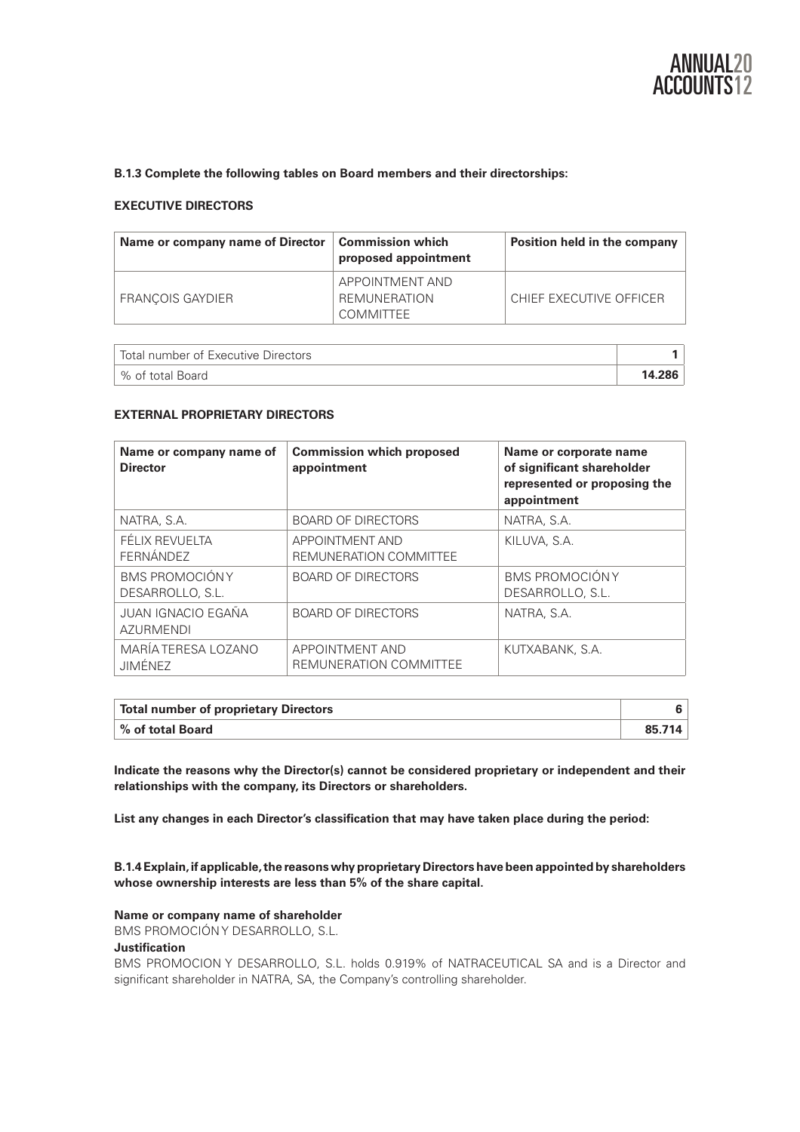

# **B.1.3 Complete the following tables on Board members and their directorships:**

# **EXECUTIVE DIRECTORS**

| Name or company name of Director | $\mid$ Commission which<br>proposed appointment     | Position held in the company |
|----------------------------------|-----------------------------------------------------|------------------------------|
| <b>FRANCOIS GAYDIER</b>          | APPOINTMENT AND<br>REMUNERATION<br><b>COMMITTEE</b> | CHIEF EXECUTIVE OFFICER      |

| Total number of Executive Directors |        |
|-------------------------------------|--------|
| ∣% of total Board                   | 14.286 |

#### **EXTERNAL PROPRIETARY DIRECTORS**

| Name or company name of<br><b>Director</b> | <b>Commission which proposed</b><br>appointment  | Name or corporate name<br>of significant shareholder<br>represented or proposing the<br>appointment |
|--------------------------------------------|--------------------------------------------------|-----------------------------------------------------------------------------------------------------|
| NATRA, S.A.                                | <b>BOARD OF DIRECTORS</b>                        | NATRA, S.A.                                                                                         |
| FÉLIX REVUELTA<br>FERNÁNDEZ                | <b>APPOINTMENT AND</b><br>REMUNERATION COMMITTEE | KILUVA, S.A.                                                                                        |
| <b>BMS PROMOCIÓNY</b><br>DESARROLLO, S.L.  | <b>BOARD OF DIRECTORS</b>                        | <b>BMS PROMOCIÓNY</b><br>DESARROLLO, S.L.                                                           |
| JUAN IGNACIO EGAÑA<br><b>AZURMENDI</b>     | <b>BOARD OF DIRECTORS</b>                        | NATRA, S.A.                                                                                         |
| MARÍA TERESA LOZANO<br><b>JIMÉNEZ</b>      | <b>APPOINTMENT AND</b><br>REMUNERATION COMMITTEE | KUTXABANK, S.A.                                                                                     |

| Total number of proprietary Directors |        |
|---------------------------------------|--------|
| $^\shortparallel$ % of total Board    | 85.714 |

**Indicate the reasons why the Director(s) cannot be considered proprietary or independent and their relationships with the company, its Directors or shareholders.** 

**List any changes in each Director's classification that may have taken place during the period:** 

**B.1.4 Explain, if applicable, the reasons why proprietary Directors have been appointed by shareholders whose ownership interests are less than 5% of the share capital.** 

#### **Name or company name of shareholder**

BMS PROMOCIÓN Y DESARROLLO, S.L.

# **Justification**

BMS PROMOCION Y DESARROLLO, S.L. holds 0.919% of NATRACEUTICAL SA and is a Director and significant shareholder in NATRA, SA, the Company's controlling shareholder.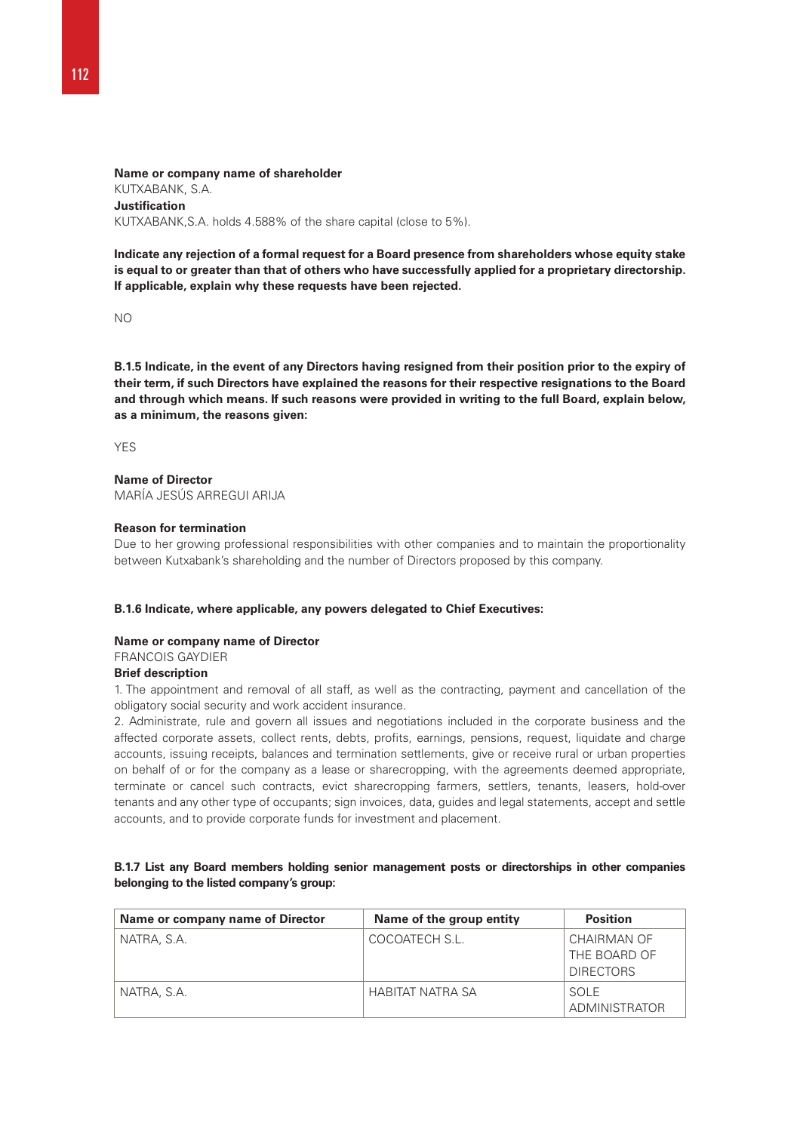**Name or company name of shareholder**  KUTXABANK, S.A. **Justification**  KUTXABANK,S.A. holds 4.588% of the share capital (close to 5%).

**Indicate any rejection of a formal request for a Board presence from shareholders whose equity stake is equal to or greater than that of others who have successfully applied for a proprietary directorship. If applicable, explain why these requests have been rejected.** 

NO

**B.1.5 Indicate, in the event of any Directors having resigned from their position prior to the expiry of their term, if such Directors have explained the reasons for their respective resignations to the Board and through which means. If such reasons were provided in writing to the full Board, explain below, as a minimum, the reasons given:** 

**YES** 

# **Name of Director**

MARÍA JESÚS ARREGUI ARLIA

## **Reason for termination**

Due to her growing professional responsibilities with other companies and to maintain the proportionality between Kutxabank's shareholding and the number of Directors proposed by this company.

## **B.1.6 Indicate, where applicable, any powers delegated to Chief Executives:**

## **Name or company name of Director**

FRANCOIS GAYDIER

#### **Brief description**

1. The appointment and removal of all staff, as well as the contracting, payment and cancellation of the obligatory social security and work accident insurance.

2. Administrate, rule and govern all issues and negotiations included in the corporate business and the affected corporate assets, collect rents, debts, profits, earnings, pensions, request, liquidate and charge accounts, issuing receipts, balances and termination settlements, give or receive rural or urban properties on behalf of or for the company as a lease or sharecropping, with the agreements deemed appropriate, terminate or cancel such contracts, evict sharecropping farmers, settlers, tenants, leasers, hold-over tenants and any other type of occupants; sign invoices, data, guides and legal statements, accept and settle accounts, and to provide corporate funds for investment and placement.

# **B.1.7 List any Board members holding senior management posts or directorships in other companies belonging to the listed company's group:**

| Name or company name of Director | Name of the group entity | <b>Position</b>      |
|----------------------------------|--------------------------|----------------------|
| NATRA, S.A.                      | COCOATECH S.L.           | CHAIRMAN OF          |
|                                  |                          | THE BOARD OF         |
|                                  |                          | <b>DIRECTORS</b>     |
| NATRA, S.A.                      | HABITAT NATRA SA         | SOLE                 |
|                                  |                          | <b>ADMINISTRATOR</b> |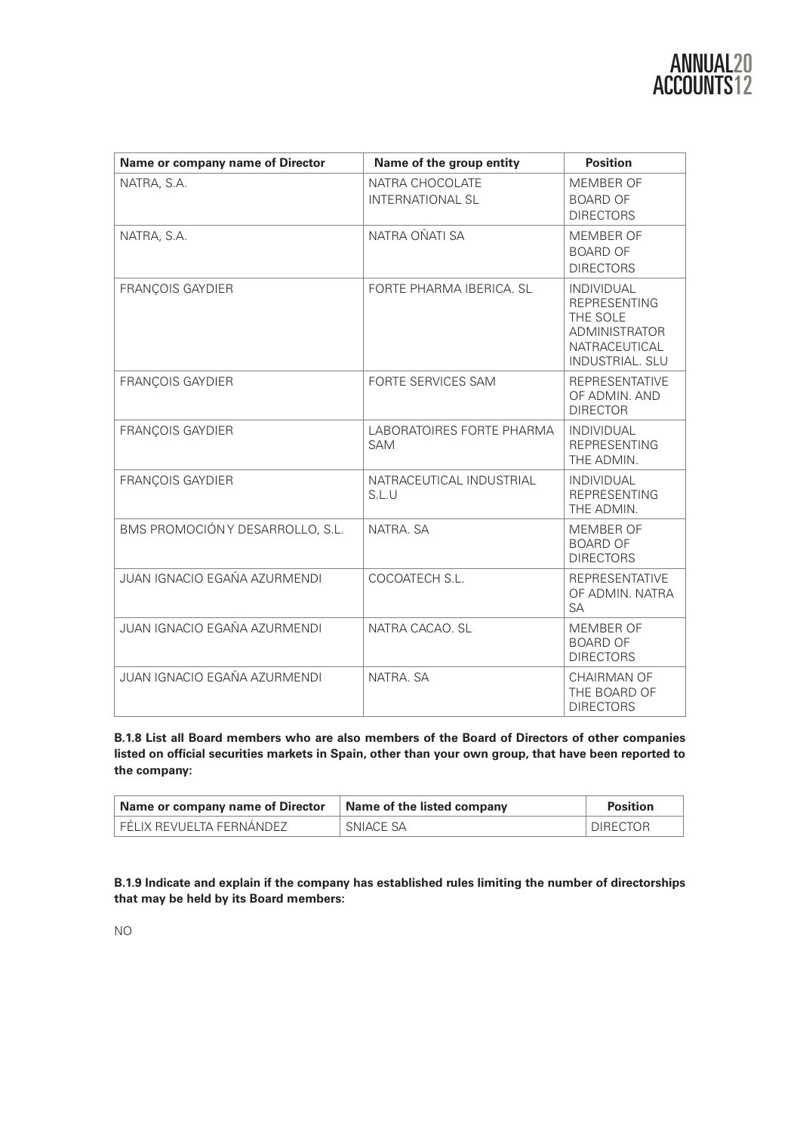| Name or company name of Director | Name of the group entity                   | <b>Position</b>                                                                                                         |
|----------------------------------|--------------------------------------------|-------------------------------------------------------------------------------------------------------------------------|
| NATRA, S.A.                      | NATRA CHOCOLATE<br><b>INTERNATIONAL SL</b> | MEMBER OF<br><b>BOARD OF</b><br><b>DIRECTORS</b>                                                                        |
| NATRA, S.A.                      | NATRA OÑATI SA                             | MEMBER OF<br><b>BOARD OF</b><br><b>DIRECTORS</b>                                                                        |
| <b>FRANÇOIS GAYDIER</b>          | FORTE PHARMA IRERICA, SI                   | <b>INDIVIDUAL</b><br><b>REPRESENTING</b><br>THE SOLE<br><b>ADMINISTRATOR</b><br>NATRACEUTICAL<br><b>INDUSTRIAL, SLU</b> |
| <b>FRANÇOIS GAYDIER</b>          | <b>FORTE SERVICES SAM</b>                  | <b>REPRESENTATIVE</b><br>OF ADMIN, AND<br><b>DIRECTOR</b>                                                               |
| <b>FRANÇOIS GAYDIER</b>          | LABORATOIRES FORTE PHARMA<br><b>SAM</b>    | <b>INDIVIDUAL</b><br><b>REPRESENTING</b><br>THE ADMIN.                                                                  |
| <b>FRANÇOIS GAYDIER</b>          | NATRACEUTICAL INDUSTRIAL<br>S.L.U          | <b>INDIVIDUAL</b><br><b>REPRESENTING</b><br>THE ADMIN.                                                                  |
| BMS PROMOCIÓN Y DESARROLLO, S.L. | NATRA, SA                                  | MEMBER OF<br><b>BOARD OF</b><br><b>DIRECTORS</b>                                                                        |
| JUAN IGNACIO EGAÑA AZURMENDI     | COCOATECH S.L.                             | <b>REPRESENTATIVE</b><br>OF ADMIN, NATRA<br><b>SA</b>                                                                   |
| JUAN IGNACIO EGAÑA AZURMENDI     | NATRA CACAO, SL                            | MEMBER OF<br><b>BOARD OF</b><br><b>DIRECTORS</b>                                                                        |
| JUAN IGNACIO EGAÑA AZURMENDI     | NATRA, SA                                  | CHAIRMAN OF<br>THE BOARD OF<br><b>DIRECTORS</b>                                                                         |

**B.1.8 List all Board members who are also members of the Board of Directors of other companies listed on official securities markets in Spain, other than your own group, that have been reported to the company:** 

| <b>Name or company name of Director</b> | Name of the listed company | <b>Position</b> |
|-----------------------------------------|----------------------------|-----------------|
| FÉLIX REVUELTA FERNÁNDEZ                | SNIACE SA                  | <b>DIRECTOR</b> |

**B.1.9 Indicate and explain if the company has established rules limiting the number of directorships that may be held by its Board members:** 

NO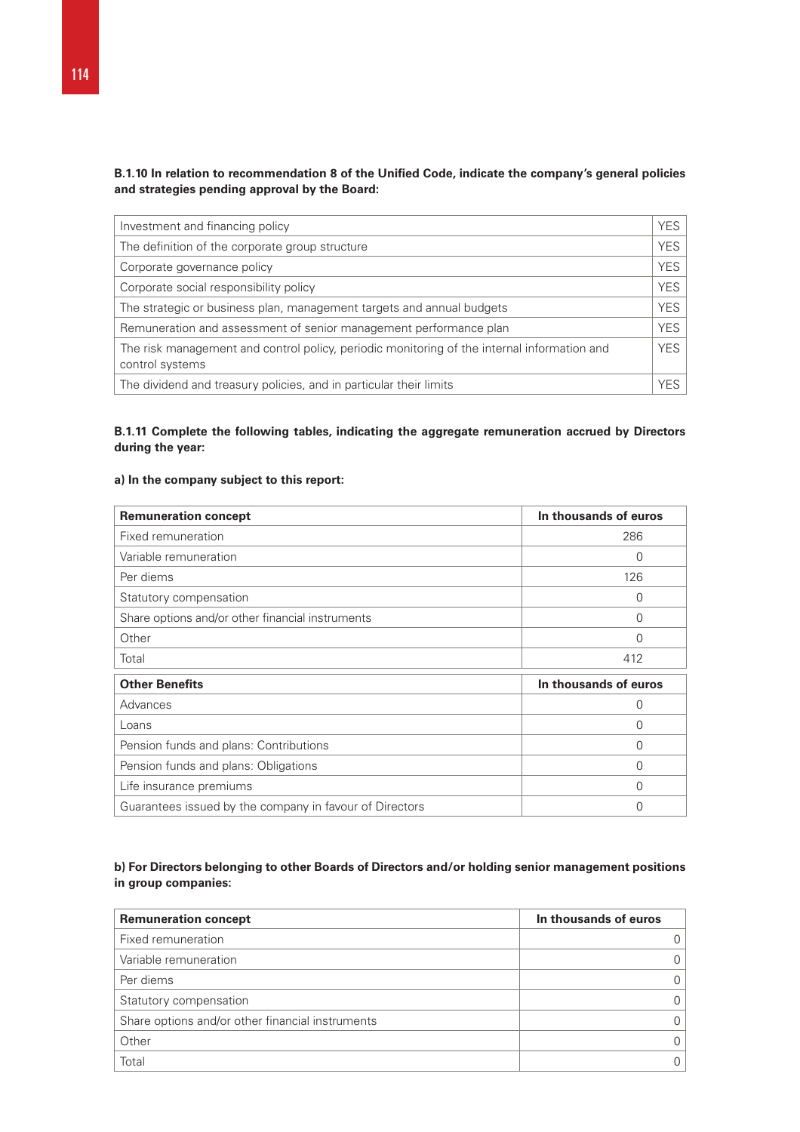# **B.1.10 In relation to recommendation 8 of the Unified Code, indicate the company's general policies and strategies pending approval by the Board:**

| Investment and financing policy                                                                                | <b>YES</b> |
|----------------------------------------------------------------------------------------------------------------|------------|
| The definition of the corporate group structure                                                                | <b>YES</b> |
| Corporate governance policy                                                                                    | <b>YES</b> |
| Corporate social responsibility policy                                                                         | <b>YES</b> |
| The strategic or business plan, management targets and annual budgets                                          | <b>YES</b> |
| Remuneration and assessment of senior management performance plan                                              | <b>YES</b> |
| The risk management and control policy, periodic monitoring of the internal information and<br>control systems | <b>YES</b> |
| The dividend and treasury policies, and in particular their limits                                             | YFS.       |

# **B.1.11 Complete the following tables, indicating the aggregate remuneration accrued by Directors during the year:**

# **a) In the company subject to this report:**

| <b>Remuneration concept</b>                             | In thousands of euros |
|---------------------------------------------------------|-----------------------|
| Fixed remuneration                                      | 286                   |
| Variable remuneration                                   | 0                     |
| Per diems                                               | 126                   |
| Statutory compensation                                  | 0                     |
| Share options and/or other financial instruments        | 0                     |
| Other                                                   | 0                     |
| Total                                                   | 412                   |
| <b>Other Benefits</b>                                   | In thousands of euros |
| Advances                                                | 0                     |
| Loans                                                   | 0                     |
| Pension funds and plans: Contributions                  | 0                     |
| Pension funds and plans: Obligations                    | 0                     |
| Life insurance premiums                                 | 0                     |
| Guarantees issued by the company in favour of Directors | 0                     |

# **b) For Directors belonging to other Boards of Directors and/or holding senior management positions in group companies:**

| <b>Remuneration concept</b>                      | In thousands of euros |
|--------------------------------------------------|-----------------------|
| Fixed remuneration                               |                       |
| Variable remuneration                            | 0                     |
| Per diems                                        | 0                     |
| Statutory compensation                           | 0                     |
| Share options and/or other financial instruments | 0                     |
| Other                                            | 0                     |
| Total                                            | 0                     |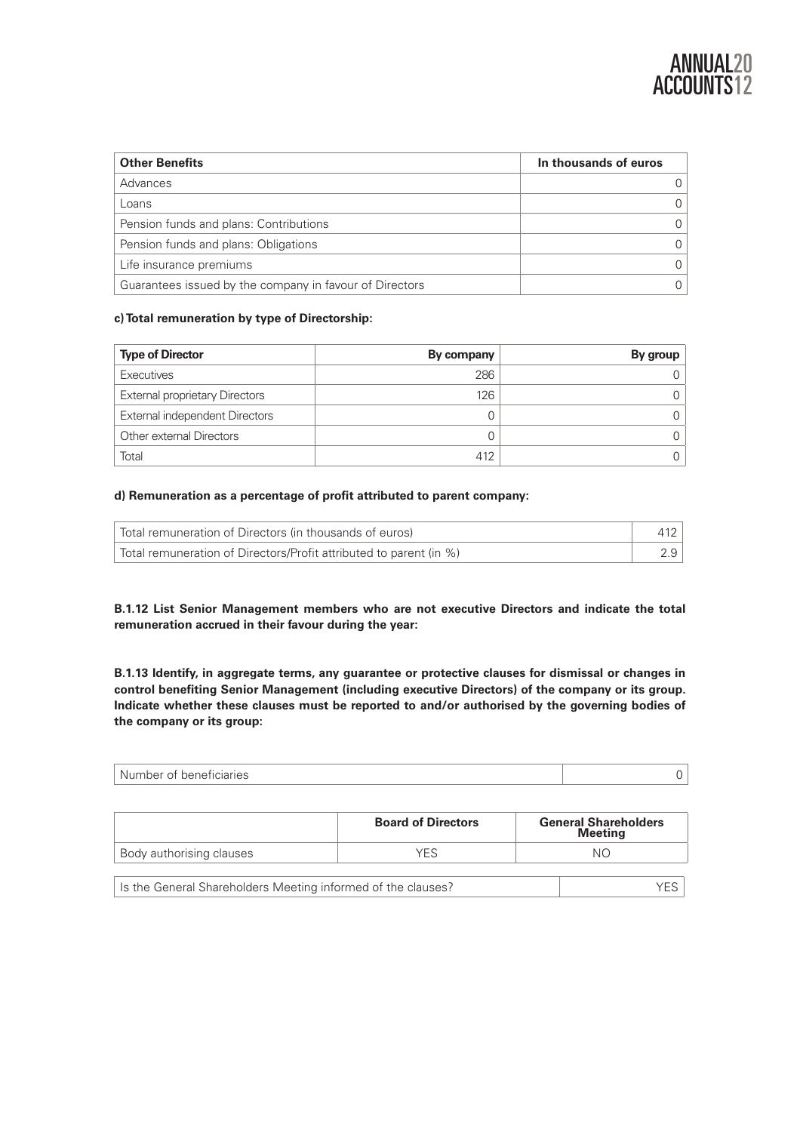| <b>Other Benefits</b>                                   | In thousands of euros |
|---------------------------------------------------------|-----------------------|
| Advances                                                |                       |
| Loans                                                   |                       |
| Pension funds and plans: Contributions                  |                       |
| Pension funds and plans: Obligations                    |                       |
| Life insurance premiums                                 |                       |
| Guarantees issued by the company in favour of Directors |                       |

# **c) Total remuneration by type of Directorship:**

| <b>Type of Director</b>               | By company | By group |
|---------------------------------------|------------|----------|
| Executives                            | 286        |          |
| <b>External proprietary Directors</b> | 126        |          |
| External independent Directors        |            |          |
| Other external Directors              |            |          |
| Total                                 | 412        |          |

# **d) Remuneration as a percentage of profit attributed to parent company:**

| Total remuneration of Directors (in thousands of euros)            |     |
|--------------------------------------------------------------------|-----|
| Total remuneration of Directors/Profit attributed to parent (in %) | 2.9 |

**B.1.12 List Senior Management members who are not executive Directors and indicate the total remuneration accrued in their favour during the year:** 

**B.1.13 Identify, in aggregate terms, any guarantee or protective clauses for dismissal or changes in control benefiting Senior Management (including executive Directors) of the company or its group. Indicate whether these clauses must be reported to and/or authorised by the governing bodies of the company or its group:** 

| l Number of beneficiaries |  |
|---------------------------|--|
|                           |  |

|                                                              | <b>Board of Directors</b> | <b>General Shareholders</b><br><b>Meeting</b> |
|--------------------------------------------------------------|---------------------------|-----------------------------------------------|
| Body authorising clauses                                     | YFS                       | NΩ                                            |
| Is the General Shareholders Meeting informed of the clauses? |                           |                                               |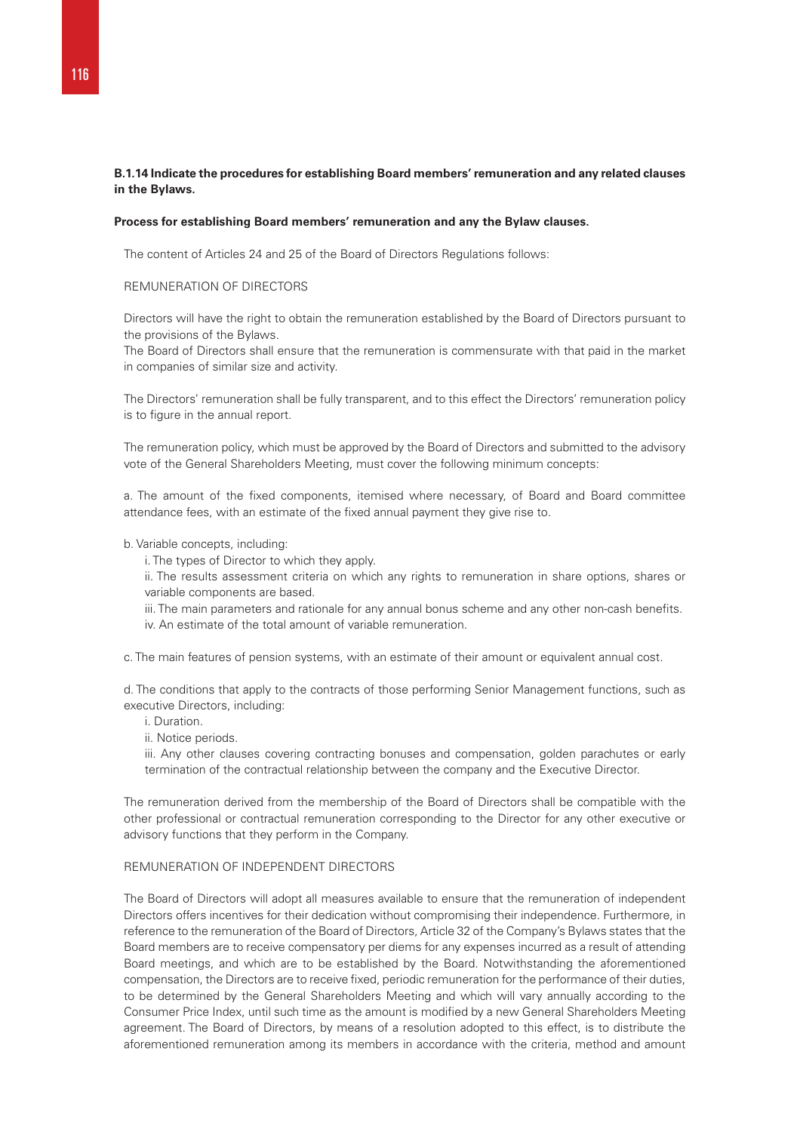# **B.1.14 Indicate the procedures for establishing Board members' remuneration and any related clauses in the Bylaws.**

#### **Process for establishing Board members' remuneration and any the Bylaw clauses.**

The content of Articles 24 and 25 of the Board of Directors Regulations follows:

# REMUNERATION OF DIRECTORS

Directors will have the right to obtain the remuneration established by the Board of Directors pursuant to the provisions of the Bylaws.

The Board of Directors shall ensure that the remuneration is commensurate with that paid in the market in companies of similar size and activity.

The Directors' remuneration shall be fully transparent, and to this effect the Directors' remuneration policy is to figure in the annual report.

The remuneration policy, which must be approved by the Board of Directors and submitted to the advisory vote of the General Shareholders Meeting, must cover the following minimum concepts:

a. The amount of the fixed components, itemised where necessary, of Board and Board committee attendance fees, with an estimate of the fixed annual payment they give rise to.

- b. Variable concepts, including:
	- i. The types of Director to which they apply.
	- ii. The results assessment criteria on which any rights to remuneration in share options, shares or variable components are based.
	- iii. The main parameters and rationale for any annual bonus scheme and any other non-cash benefits. iv. An estimate of the total amount of variable remuneration.

c. The main features of pension systems, with an estimate of their amount or equivalent annual cost.

d. The conditions that apply to the contracts of those performing Senior Management functions, such as executive Directors, including:

- i. Duration.
- ii. Notice periods.

iii. Any other clauses covering contracting bonuses and compensation, golden parachutes or early termination of the contractual relationship between the company and the Executive Director.

The remuneration derived from the membership of the Board of Directors shall be compatible with the other professional or contractual remuneration corresponding to the Director for any other executive or advisory functions that they perform in the Company.

# REMUNERATION OF INDEPENDENT DIRECTORS

The Board of Directors will adopt all measures available to ensure that the remuneration of independent Directors offers incentives for their dedication without compromising their independence. Furthermore, in reference to the remuneration of the Board of Directors, Article 32 of the Company's Bylaws states that the Board members are to receive compensatory per diems for any expenses incurred as a result of attending Board meetings, and which are to be established by the Board. Notwithstanding the aforementioned compensation, the Directors are to receive fixed, periodic remuneration for the performance of their duties, to be determined by the General Shareholders Meeting and which will vary annually according to the Consumer Price Index, until such time as the amount is modified by a new General Shareholders Meeting agreement. The Board of Directors, by means of a resolution adopted to this effect, is to distribute the aforementioned remuneration among its members in accordance with the criteria, method and amount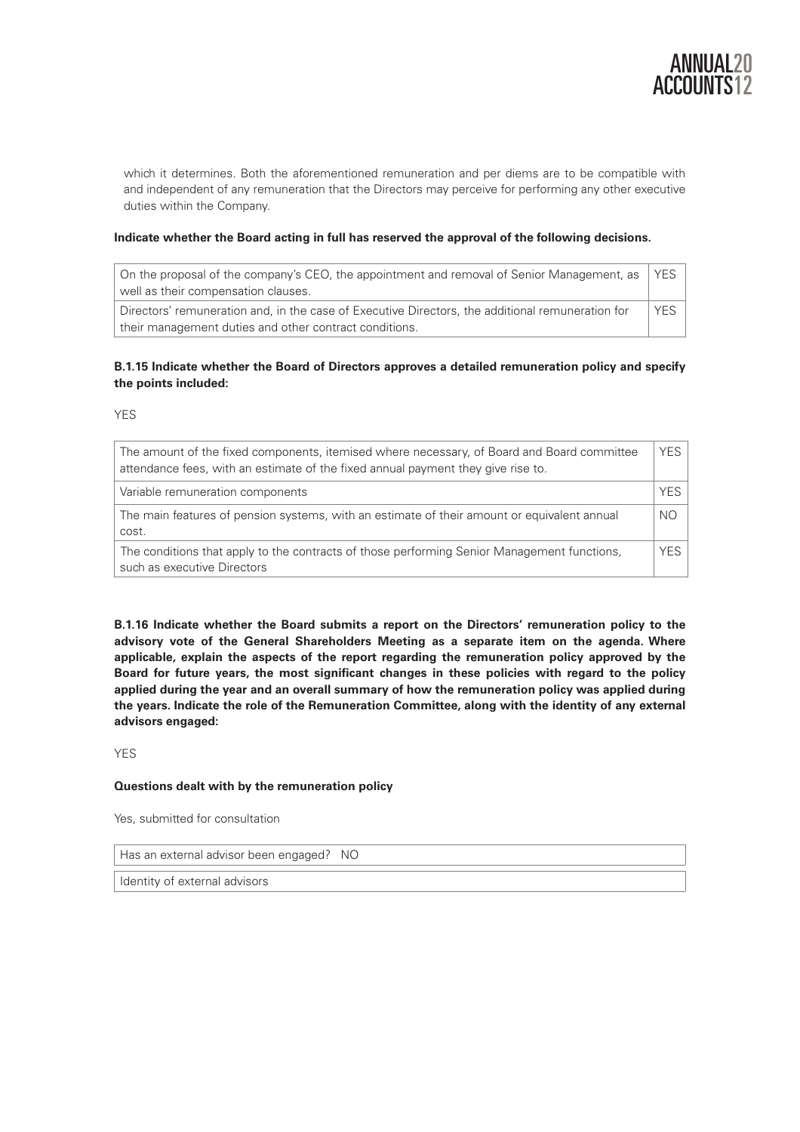

which it determines. Both the aforementioned remuneration and per diems are to be compatible with and independent of any remuneration that the Directors may perceive for performing any other executive duties within the Company.

## **Indicate whether the Board acting in full has reserved the approval of the following decisions.**

| On the proposal of the company's CEO, the appointment and removal of Senior Management, as<br>well as their compensation clauses.                          | <b>YFS</b> |
|------------------------------------------------------------------------------------------------------------------------------------------------------------|------------|
| Directors' remuneration and, in the case of Executive Directors, the additional remuneration for<br>their management duties and other contract conditions. | <b>YFS</b> |

# **B.1.15 Indicate whether the Board of Directors approves a detailed remuneration policy and specify the points included:**

YES

| The amount of the fixed components, itemised where necessary, of Board and Board committee<br>attendance fees, with an estimate of the fixed annual payment they give rise to. | YES.       |
|--------------------------------------------------------------------------------------------------------------------------------------------------------------------------------|------------|
| Variable remuneration components                                                                                                                                               | <b>YES</b> |
| The main features of pension systems, with an estimate of their amount or equivalent annual<br>cost.                                                                           | <b>NO</b>  |
| The conditions that apply to the contracts of those performing Senior Management functions,<br>such as executive Directors                                                     | YES.       |

**B.1.16 Indicate whether the Board submits a report on the Directors' remuneration policy to the advisory vote of the General Shareholders Meeting as a separate item on the agenda. Where applicable, explain the aspects of the report regarding the remuneration policy approved by the Board for future years, the most significant changes in these policies with regard to the policy applied during the year and an overall summary of how the remuneration policy was applied during the years. Indicate the role of the Remuneration Committee, along with the identity of any external advisors engaged:** 

YES

# **Questions dealt with by the remuneration policy**

Yes, submitted for consultation

Has an external advisor been engaged? NO

Identity of external advisors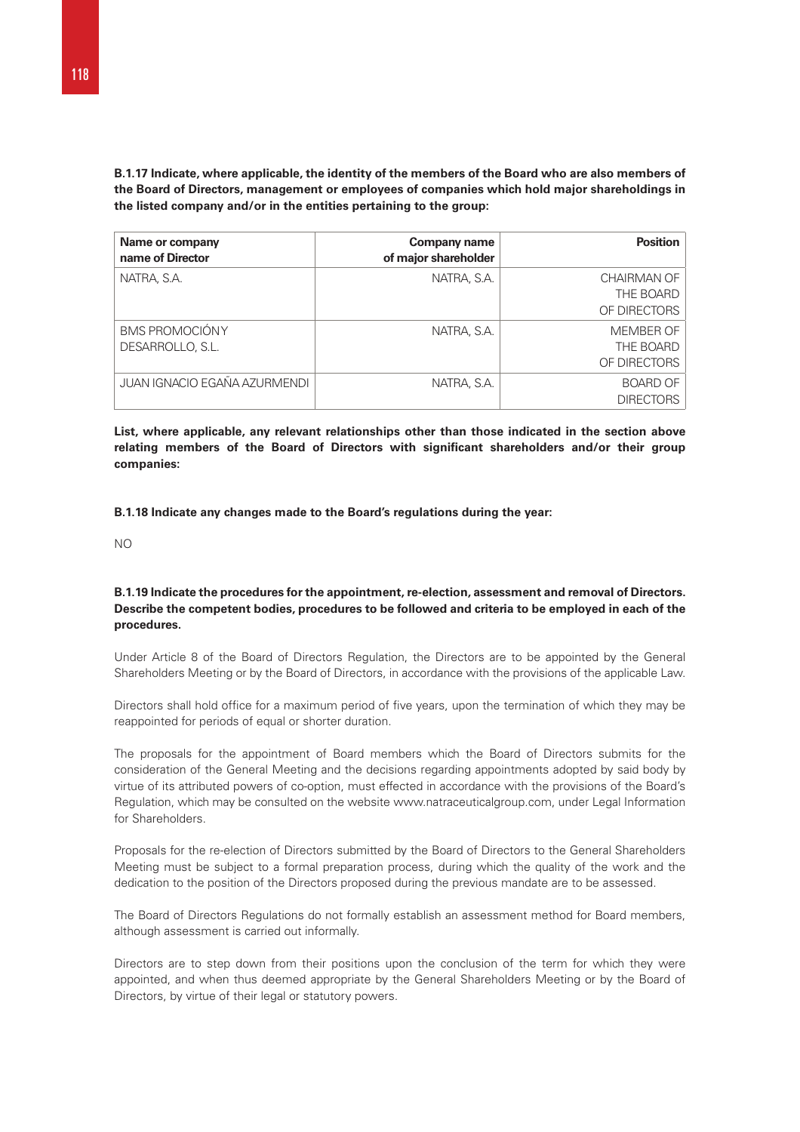**B.1.17 Indicate, where applicable, the identity of the members of the Board who are also members of the Board of Directors, management or employees of companies which hold major shareholdings in the listed company and/or in the entities pertaining to the group:** 

| Name or company<br>name of Director | Company name<br>of major shareholder | <b>Position</b>                          |
|-------------------------------------|--------------------------------------|------------------------------------------|
| NATRA, S.A.                         | NATRA, S.A.                          | CHAIRMAN OF<br>THE BOARD<br>OF DIRECTORS |
| BMS PROMOCIÓNY<br>DESARROLLO, S.L.  | NATRA, S.A.                          | MEMBER OF<br>THE BOARD<br>OF DIRECTORS   |
| JUAN IGNACIO EGAÑA AZURMENDI        | NATRA, S.A.                          | <b>BOARD OF</b><br><b>DIRECTORS</b>      |

**List, where applicable, any relevant relationships other than those indicated in the section above relating members of the Board of Directors with significant shareholders and/or their group companies:** 

#### **B.1.18 Indicate any changes made to the Board's regulations during the year:**

NO

# **B.1.19 Indicate the procedures for the appointment, re-election, assessment and removal of Directors. Describe the competent bodies, procedures to be followed and criteria to be employed in each of the procedures.**

Under Article 8 of the Board of Directors Regulation, the Directors are to be appointed by the General Shareholders Meeting or by the Board of Directors, in accordance with the provisions of the applicable Law.

Directors shall hold office for a maximum period of five years, upon the termination of which they may be reappointed for periods of equal or shorter duration.

The proposals for the appointment of Board members which the Board of Directors submits for the consideration of the General Meeting and the decisions regarding appointments adopted by said body by virtue of its attributed powers of co-option, must effected in accordance with the provisions of the Board's Regulation, which may be consulted on the website www.natraceuticalgroup.com, under Legal Information for Shareholders.

Proposals for the re-election of Directors submitted by the Board of Directors to the General Shareholders Meeting must be subject to a formal preparation process, during which the quality of the work and the dedication to the position of the Directors proposed during the previous mandate are to be assessed.

The Board of Directors Regulations do not formally establish an assessment method for Board members, although assessment is carried out informally.

Directors are to step down from their positions upon the conclusion of the term for which they were appointed, and when thus deemed appropriate by the General Shareholders Meeting or by the Board of Directors, by virtue of their legal or statutory powers.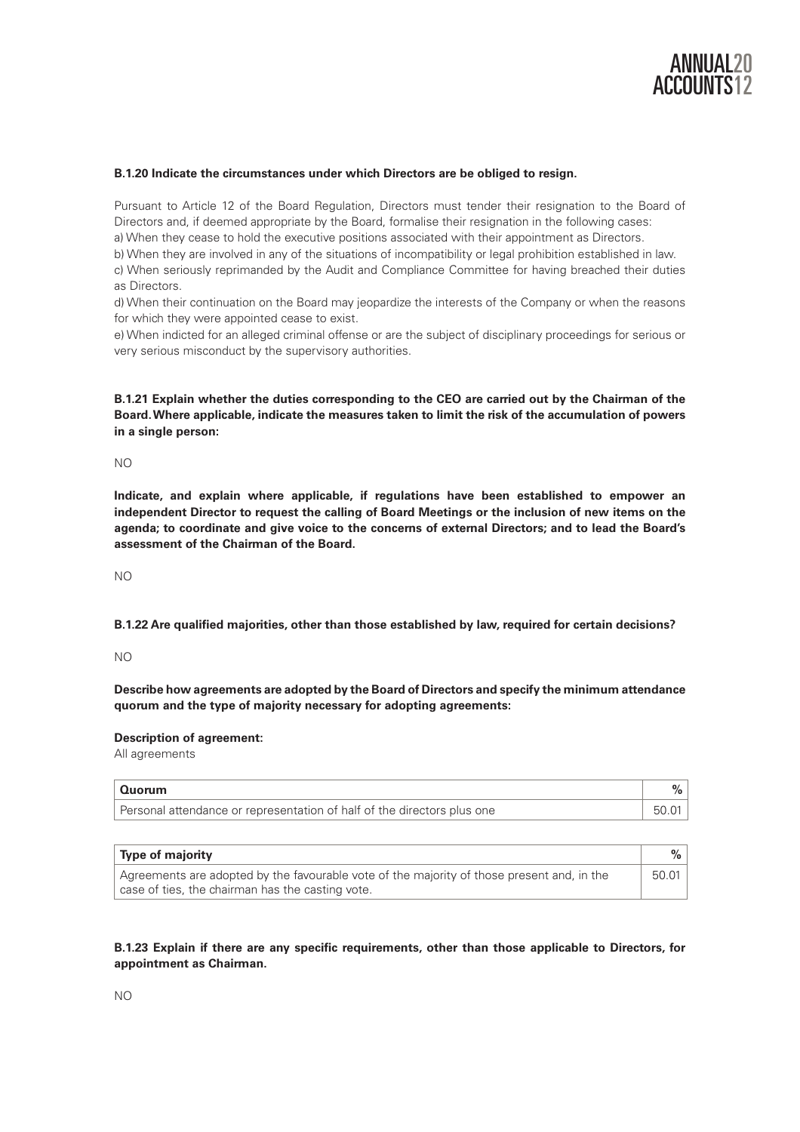

#### **B.1.20 Indicate the circumstances under which Directors are be obliged to resign.**

Pursuant to Article 12 of the Board Regulation, Directors must tender their resignation to the Board of Directors and, if deemed appropriate by the Board, formalise their resignation in the following cases: a) When they cease to hold the executive positions associated with their appointment as Directors.

b) When they are involved in any of the situations of incompatibility or legal prohibition established in law. c) When seriously reprimanded by the Audit and Compliance Committee for having breached their duties as Directors.

d) When their continuation on the Board may jeopardize the interests of the Company or when the reasons for which they were appointed cease to exist.

e) When indicted for an alleged criminal offense or are the subject of disciplinary proceedings for serious or very serious misconduct by the supervisory authorities.

**B.1.21 Explain whether the duties corresponding to the CEO are carried out by the Chairman of the Board. Where applicable, indicate the measures taken to limit the risk of the accumulation of powers in a single person:** 

NO

**Indicate, and explain where applicable, if regulations have been established to empower an independent Director to request the calling of Board Meetings or the inclusion of new items on the agenda; to coordinate and give voice to the concerns of external Directors; and to lead the Board's assessment of the Chairman of the Board.** 

NO

**B.1.22 Are qualified majorities, other than those established by law, required for certain decisions?** 

NO

**Describe how agreements are adopted by the Board of Directors and specify the minimum attendance quorum and the type of majority necessary for adopting agreements:** 

**Description of agreement:** 

All agreements

| Quorum                                                                  |  |
|-------------------------------------------------------------------------|--|
| Personal attendance or representation of half of the directors plus one |  |

| Type of majority                                                                                                                               |       |
|------------------------------------------------------------------------------------------------------------------------------------------------|-------|
| Agreements are adopted by the favourable vote of the majority of those present and, in the<br>case of ties, the chairman has the casting vote. | 50.01 |

# **B.1.23 Explain if there are any specific requirements, other than those applicable to Directors, for appointment as Chairman.**

NO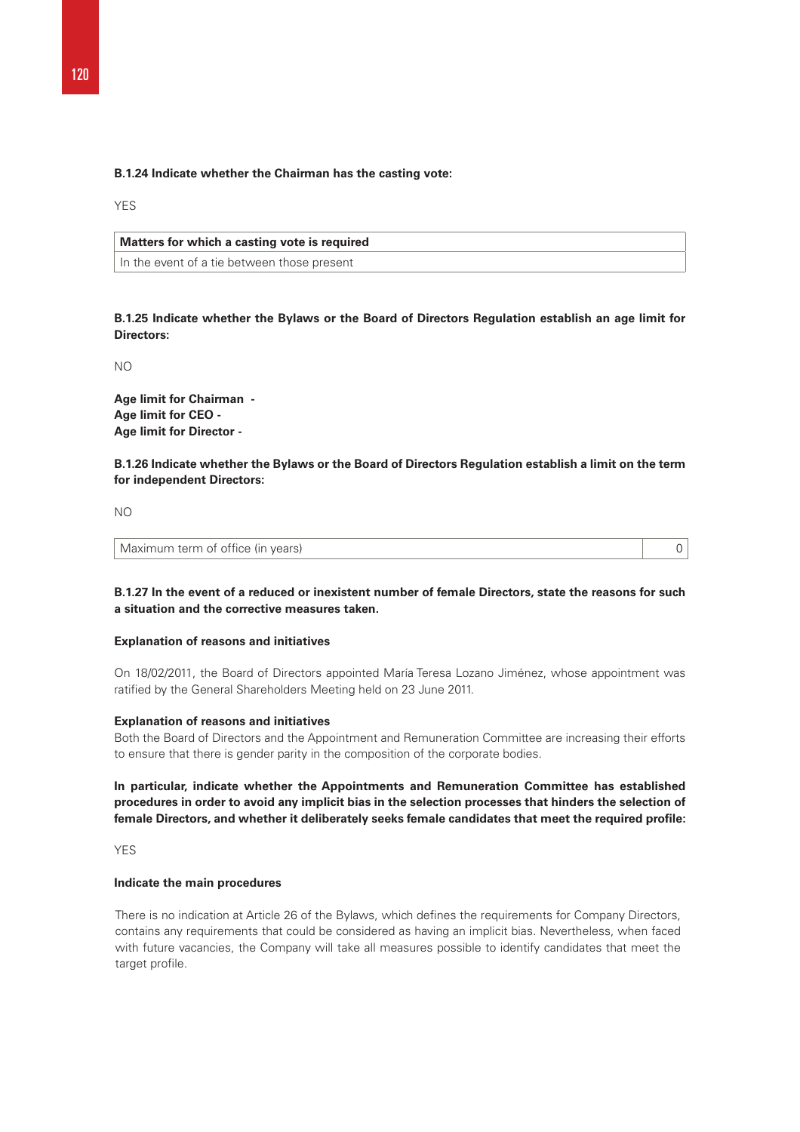#### **B.1.24 Indicate whether the Chairman has the casting vote:**

YES

# **Matters for which a casting vote is required**

In the event of a tie between those present

**B.1.25 Indicate whether the Bylaws or the Board of Directors Regulation establish an age limit for Directors:** 

NO

**Age limit for Chairman - Age limit for CEO - Age limit for Director -** 

**B.1.26 Indicate whether the Bylaws or the Board of Directors Regulation establish a limit on the term for independent Directors:** 

NO

Maximum term of office (in years) 0

# **B.1.27 In the event of a reduced or inexistent number of female Directors, state the reasons for such a situation and the corrective measures taken.**

## **Explanation of reasons and initiatives**

On 18/02/2011, the Board of Directors appointed María Teresa Lozano Jiménez, whose appointment was ratified by the General Shareholders Meeting held on 23 June 2011.

#### **Explanation of reasons and initiatives**

Both the Board of Directors and the Appointment and Remuneration Committee are increasing their efforts to ensure that there is gender parity in the composition of the corporate bodies.

**In particular, indicate whether the Appointments and Remuneration Committee has established procedures in order to avoid any implicit bias in the selection processes that hinders the selection of female Directors, and whether it deliberately seeks female candidates that meet the required profile:** 

YF<sub>S</sub>

#### **Indicate the main procedures**

There is no indication at Article 26 of the Bylaws, which defines the requirements for Company Directors, contains any requirements that could be considered as having an implicit bias. Nevertheless, when faced with future vacancies, the Company will take all measures possible to identify candidates that meet the target profile.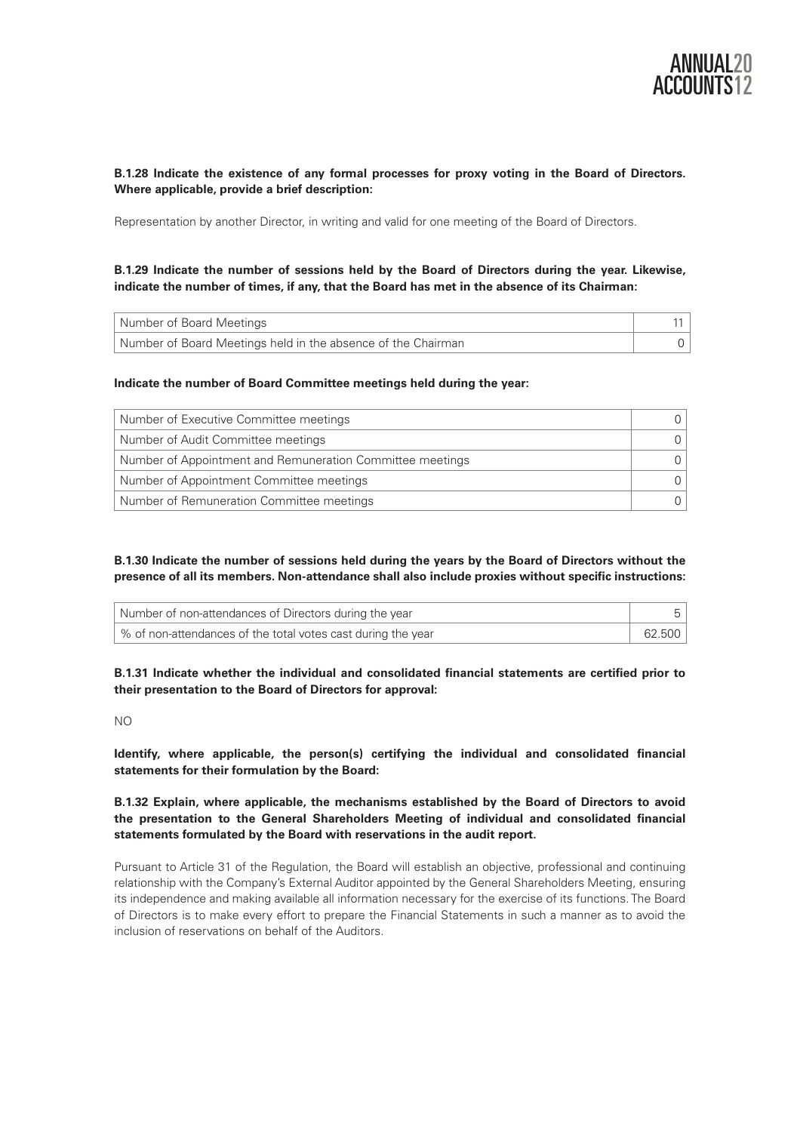

# **B.1.28 Indicate the existence of any formal processes for proxy voting in the Board of Directors. Where applicable, provide a brief description:**

Representation by another Director, in writing and valid for one meeting of the Board of Directors.

# **B.1.29 Indicate the number of sessions held by the Board of Directors during the year. Likewise, indicate the number of times, if any, that the Board has met in the absence of its Chairman:**

| Number of Board Meetings                                     |  |
|--------------------------------------------------------------|--|
| Number of Board Meetings held in the absence of the Chairman |  |

## **Indicate the number of Board Committee meetings held during the year:**

| Number of Executive Committee meetings                    |  |
|-----------------------------------------------------------|--|
| Number of Audit Committee meetings                        |  |
| Number of Appointment and Remuneration Committee meetings |  |
| Number of Appointment Committee meetings                  |  |
| Number of Remuneration Committee meetings                 |  |

**B.1.30 Indicate the number of sessions held during the years by the Board of Directors without the presence of all its members. Non-attendance shall also include proxies without specific instructions:** 

| Number of non-attendances of Directors during the year         |        |
|----------------------------------------------------------------|--------|
| │ % of non-attendances of the total votes cast during the year | 62.500 |

**B.1.31 Indicate whether the individual and consolidated financial statements are certified prior to their presentation to the Board of Directors for approval:** 

**Identify, where applicable, the person(s) certifying the individual and consolidated financial statements for their formulation by the Board:** 

**B.1.32 Explain, where applicable, the mechanisms established by the Board of Directors to avoid the presentation to the General Shareholders Meeting of individual and consolidated financial statements formulated by the Board with reservations in the audit report.** 

Pursuant to Article 31 of the Regulation, the Board will establish an objective, professional and continuing relationship with the Company's External Auditor appointed by the General Shareholders Meeting, ensuring its independence and making available all information necessary for the exercise of its functions. The Board of Directors is to make every effort to prepare the Financial Statements in such a manner as to avoid the inclusion of reservations on behalf of the Auditors.

NO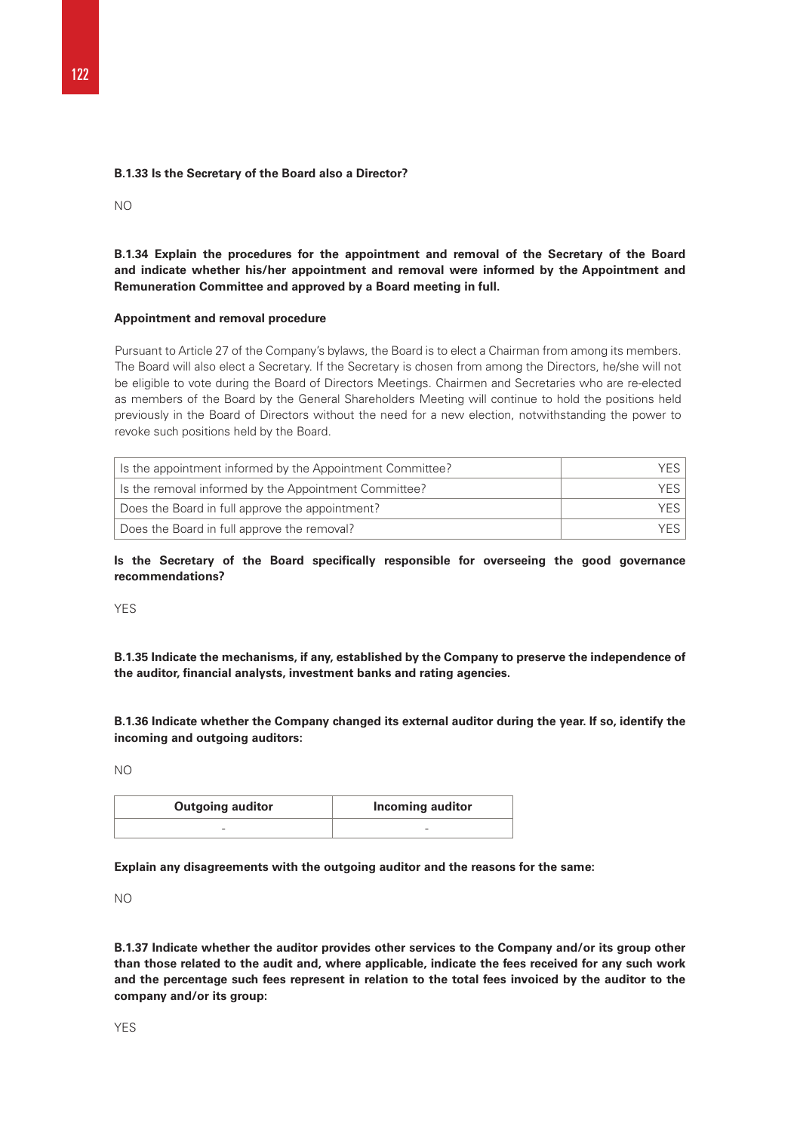#### **B.1.33 Is the Secretary of the Board also a Director?**

 $N<sub>O</sub>$ 

**B.1.34 Explain the procedures for the appointment and removal of the Secretary of the Board and indicate whether his/her appointment and removal were informed by the Appointment and Remuneration Committee and approved by a Board meeting in full.** 

#### **Appointment and removal procedure**

Pursuant to Article 27 of the Company's bylaws, the Board is to elect a Chairman from among its members. The Board will also elect a Secretary. If the Secretary is chosen from among the Directors, he/she will not be eligible to vote during the Board of Directors Meetings. Chairmen and Secretaries who are re-elected as members of the Board by the General Shareholders Meeting will continue to hold the positions held previously in the Board of Directors without the need for a new election, notwithstanding the power to revoke such positions held by the Board.

| Is the appointment informed by the Appointment Committee? | YFS. |
|-----------------------------------------------------------|------|
| Is the removal informed by the Appointment Committee?     | YFS  |
| Does the Board in full approve the appointment?           | YFS. |
| Does the Board in full approve the removal?               | YFS. |

**Is the Secretary of the Board specifically responsible for overseeing the good governance recommendations?** 

YES

**B.1.35 Indicate the mechanisms, if any, established by the Company to preserve the independence of the auditor, financial analysts, investment banks and rating agencies.** 

**B.1.36 Indicate whether the Company changed its external auditor during the year. If so, identify the incoming and outgoing auditors:** 

NO

| <b>Outgoing auditor</b> | Incoming auditor |
|-------------------------|------------------|
|                         | -                |

**Explain any disagreements with the outgoing auditor and the reasons for the same:** 

NO

**B.1.37 Indicate whether the auditor provides other services to the Company and/or its group other than those related to the audit and, where applicable, indicate the fees received for any such work and the percentage such fees represent in relation to the total fees invoiced by the auditor to the company and/or its group:**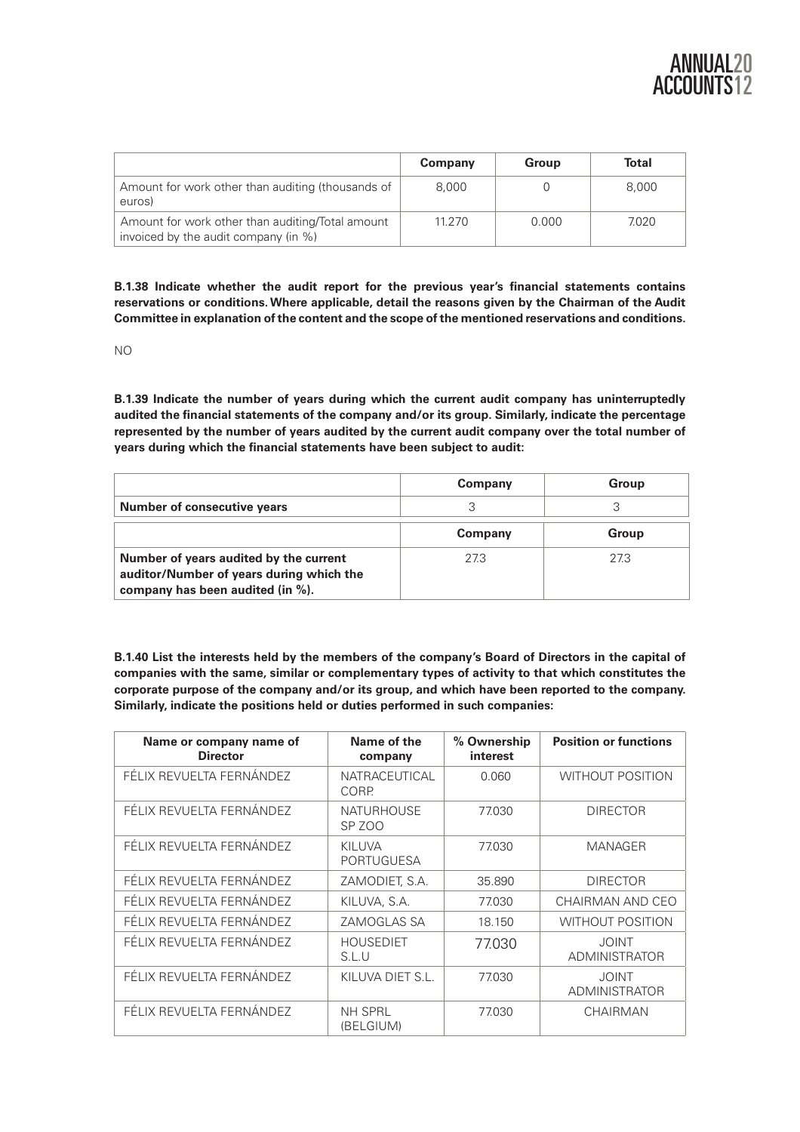|                                                                                          | Company | Group | <b>Total</b> |
|------------------------------------------------------------------------------------------|---------|-------|--------------|
| Amount for work other than auditing (thousands of<br>euros)                              | 8.000   |       | 8.000        |
| Amount for work other than auditing/Total amount<br>invoiced by the audit company (in %) | 11.270  | 0.000 | 7.020        |

**B.1.38 Indicate whether the audit report for the previous year's financial statements contains reservations or conditions. Where applicable, detail the reasons given by the Chairman of the Audit Committee in explanation of the content and the scope of the mentioned reservations and conditions.** 

NO

**B.1.39 Indicate the number of years during which the current audit company has uninterruptedly audited the financial statements of the company and/or its group. Similarly, indicate the percentage represented by the number of years audited by the current audit company over the total number of years during which the financial statements have been subject to audit:** 

|                                                                                                                        | Company | Group |
|------------------------------------------------------------------------------------------------------------------------|---------|-------|
| <b>Number of consecutive years</b>                                                                                     |         |       |
|                                                                                                                        | Company | Group |
| Number of years audited by the current<br>auditor/Number of years during which the<br>company has been audited (in %). | 27.3    | 27.3  |

**B.1.40 List the interests held by the members of the company's Board of Directors in the capital of companies with the same, similar or complementary types of activity to that which constitutes the corporate purpose of the company and/or its group, and which have been reported to the company. Similarly, indicate the positions held or duties performed in such companies:**

| Name or company name of<br><b>Director</b> | Name of the<br>company                 | % Ownership<br>interest | <b>Position or functions</b>         |
|--------------------------------------------|----------------------------------------|-------------------------|--------------------------------------|
| FÉLIX REVUELTA FERNÁNDEZ                   | <b>NATRACEUTICAL</b><br>CORP.          | 0.060                   | <b>WITHOUT POSITION</b>              |
| FÉLIX REVUELTA FERNÁNDEZ                   | <b>NATURHOUSE</b><br>SP <sub>ZOO</sub> | 77.030                  | <b>DIRECTOR</b>                      |
| FÉLIX REVUELTA FERNÁNDEZ                   | <b>KILUVA</b><br><b>PORTUGUESA</b>     | 77.030                  | <b>MANAGER</b>                       |
| FÉLIX REVUELTA FERNÁNDEZ                   | ZAMODIET, S.A.                         | 35.890                  | <b>DIRECTOR</b>                      |
| FÉLIX REVUELTA FERNÁNDEZ                   | KILUVA, S.A.                           | 77.030                  | CHAIRMAN AND CEO                     |
| FÉLIX REVUELTA FERNÁNDEZ                   | ZAMOGLAS SA                            | 18.150                  | <b>WITHOUT POSITION</b>              |
| FÉLIX REVUELTA FERNÁNDEZ                   | <b>HOUSEDIET</b><br>S.L.U              | 77.030                  | <b>JOINT</b><br><b>ADMINISTRATOR</b> |
| FÉLIX REVUELTA FERNÁNDEZ                   | KILUVA DIET S.L.                       | 77.030                  | <b>JOINT</b><br><b>ADMINISTRATOR</b> |
| FÉLIX REVUELTA FERNÁNDEZ                   | <b>NH SPRL</b><br>(BELGIUM)            | 77.030                  | <b>CHAIRMAN</b>                      |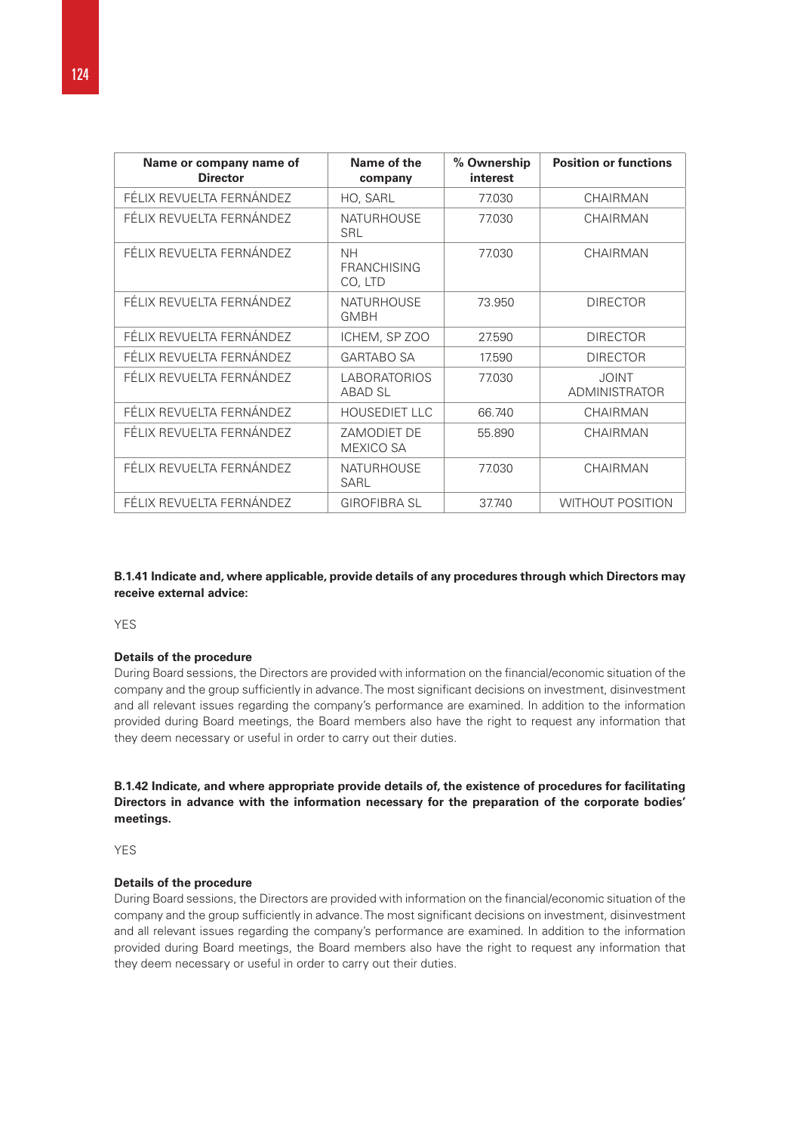| Name or company name of<br><b>Director</b> | Name of the<br>company                     | % Ownership<br>interest | <b>Position or functions</b>         |
|--------------------------------------------|--------------------------------------------|-------------------------|--------------------------------------|
| FÉLIX REVUELTA FERNÁNDEZ                   | HO, SARL                                   | 77.030                  | CHAIRMAN                             |
| FÉLIX REVUELTA FERNÁNDEZ                   | <b>NATURHOUSE</b><br><b>SRL</b>            | 77.030                  | <b>CHAIRMAN</b>                      |
| FÉLIX REVUELTA FERNÁNDEZ                   | <b>NH</b><br><b>FRANCHISING</b><br>CO, LTD | 77.030                  | <b>CHAIRMAN</b>                      |
| FÉLIX REVUELTA FERNÁNDEZ                   | <b>NATURHOUSE</b><br><b>GMBH</b>           | 73.950                  | <b>DIRECTOR</b>                      |
| FÉLIX REVUELTA FERNÁNDEZ                   | ICHEM, SP ZOO                              | 27.590                  | <b>DIRECTOR</b>                      |
| FÉLIX REVUELTA FERNÁNDEZ                   | <b>GARTABO SA</b>                          | 17.590                  | <b>DIRECTOR</b>                      |
| FÉLIX REVUELTA FERNÁNDEZ                   | LABORATORIOS<br><b>ABAD SL</b>             | 77.030                  | <b>JOINT</b><br><b>ADMINISTRATOR</b> |
| FÉLIX REVUELTA FERNÁNDEZ                   | <b>HOUSEDIET LLC</b>                       | 66.740                  | CHAIRMAN                             |
| FÉLIX REVUELTA FERNÁNDEZ                   | ZAMODIET DE<br>MEXICO SA                   | 55.890                  | <b>CHAIRMAN</b>                      |
| FÉLIX REVUELTA FERNÁNDEZ                   | <b>NATURHOUSE</b><br><b>SARL</b>           | 77.030                  | <b>CHAIRMAN</b>                      |
| FÉLIX REVUELTA FERNÁNDEZ                   | <b>GIROFIBRA SL</b>                        | 37.740                  | <b>WITHOUT POSITION</b>              |

**B.1.41 Indicate and, where applicable, provide details of any procedures through which Directors may receive external advice:** 

**YES** 

#### **Details of the procedure**

During Board sessions, the Directors are provided with information on the financial/economic situation of the company and the group sufficiently in advance. The most significant decisions on investment, disinvestment and all relevant issues regarding the company's performance are examined. In addition to the information provided during Board meetings, the Board members also have the right to request any information that they deem necessary or useful in order to carry out their duties.

# **B.1.42 Indicate, and where appropriate provide details of, the existence of procedures for facilitating Directors in advance with the information necessary for the preparation of the corporate bodies' meetings.**

YFS

# **Details of the procedure**

During Board sessions, the Directors are provided with information on the financial/economic situation of the company and the group sufficiently in advance. The most significant decisions on investment, disinvestment and all relevant issues regarding the company's performance are examined. In addition to the information provided during Board meetings, the Board members also have the right to request any information that they deem necessary or useful in order to carry out their duties.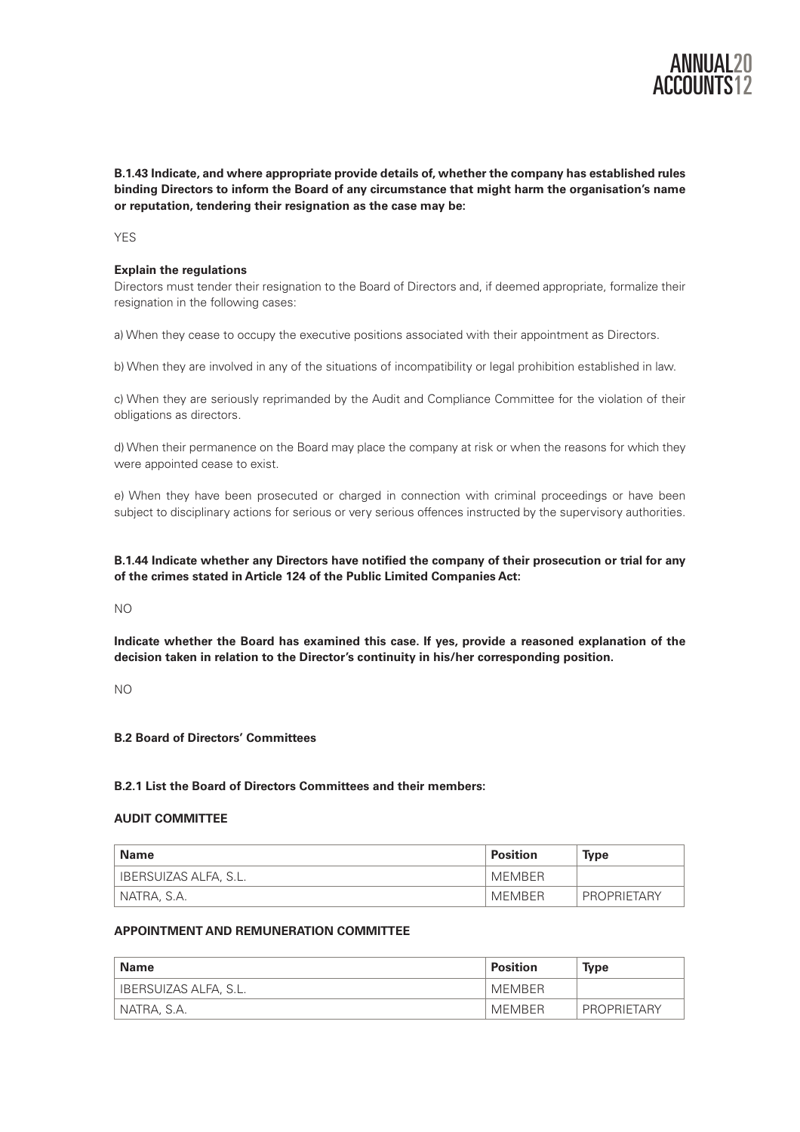

**B.1.43 Indicate, and where appropriate provide details of, whether the company has established rules binding Directors to inform the Board of any circumstance that might harm the organisation's name or reputation, tendering their resignation as the case may be:** 

YF<sub>S</sub>

# **Explain the regulations**

Directors must tender their resignation to the Board of Directors and, if deemed appropriate, formalize their resignation in the following cases:

a) When they cease to occupy the executive positions associated with their appointment as Directors.

b) When they are involved in any of the situations of incompatibility or legal prohibition established in law.

c) When they are seriously reprimanded by the Audit and Compliance Committee for the violation of their obligations as directors.

d) When their permanence on the Board may place the company at risk or when the reasons for which they were appointed cease to exist.

e) When they have been prosecuted or charged in connection with criminal proceedings or have been subject to disciplinary actions for serious or very serious offences instructed by the supervisory authorities.

**B.1.44 Indicate whether any Directors have notified the company of their prosecution or trial for any of the crimes stated in Article 124 of the Public Limited Companies Act:** 

NO

**Indicate whether the Board has examined this case. If yes, provide a reasoned explanation of the decision taken in relation to the Director's continuity in his/her corresponding position.** 

NO

# **B.2 Board of Directors' Committees**

# **B.2.1 List the Board of Directors Committees and their members:**

## **AUDIT COMMITTEE**

| ˈ Name                | <b>Position</b> | <b>Type</b> |
|-----------------------|-----------------|-------------|
| IBERSUIZAS ALFA, S.L. | MEMBER          |             |
| ' NATRA, S.A.         | MEMBER          | PROPRIETARY |

## **APPOINTMENT AND REMUNERATION COMMITTEE**

| <b>Name</b>           | Position | <b>Type</b>        |
|-----------------------|----------|--------------------|
| IBERSUIZAS ALFA, S.L. | MFMBFR   |                    |
| NATRA, S.A.           | MEMBER   | <b>PROPRIETARY</b> |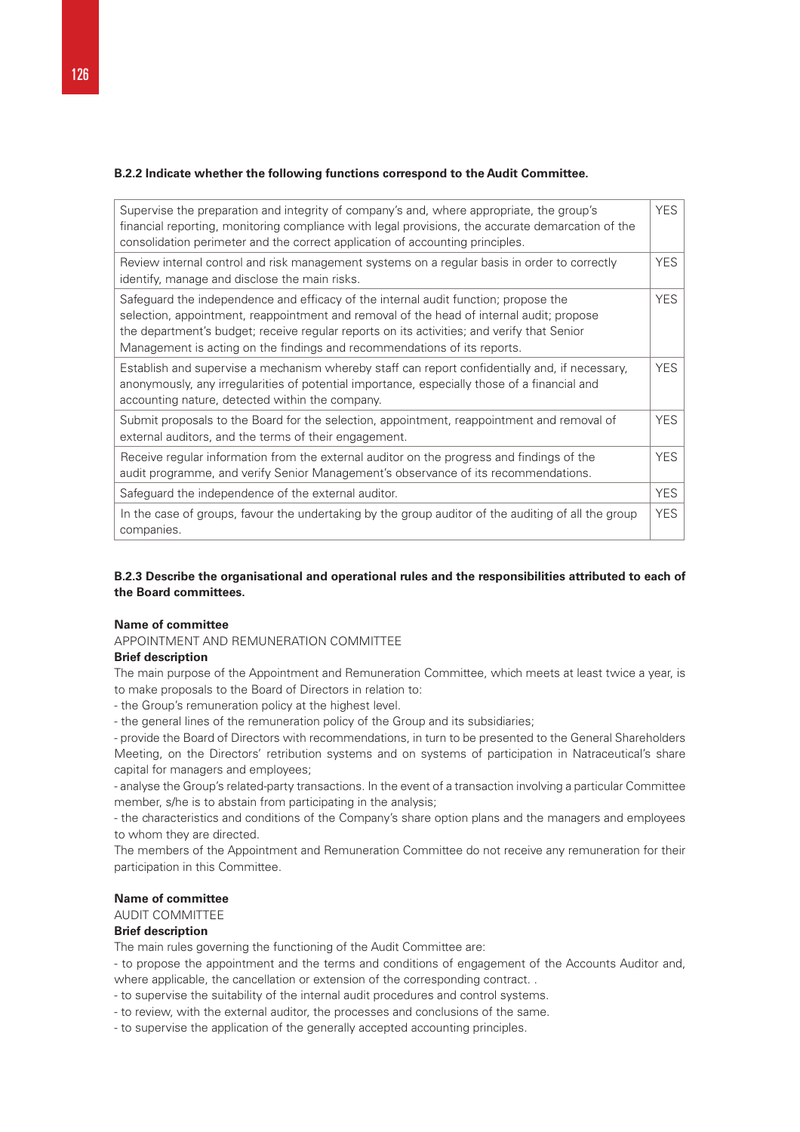## **B.2.2 Indicate whether the following functions correspond to the Audit Committee.**

| Supervise the preparation and integrity of company's and, where appropriate, the group's<br>financial reporting, monitoring compliance with legal provisions, the accurate demarcation of the<br>consolidation perimeter and the correct application of accounting principles.                                                                            | <b>YES</b> |
|-----------------------------------------------------------------------------------------------------------------------------------------------------------------------------------------------------------------------------------------------------------------------------------------------------------------------------------------------------------|------------|
| Review internal control and risk management systems on a regular basis in order to correctly<br>identify, manage and disclose the main risks.                                                                                                                                                                                                             | <b>YES</b> |
| Safeguard the independence and efficacy of the internal audit function; propose the<br>selection, appointment, reappointment and removal of the head of internal audit; propose<br>the department's budget; receive regular reports on its activities; and verify that Senior<br>Management is acting on the findings and recommendations of its reports. | <b>YES</b> |
| Establish and supervise a mechanism whereby staff can report confidentially and, if necessary,<br>anonymously, any irregularities of potential importance, especially those of a financial and<br>accounting nature, detected within the company.                                                                                                         | <b>YES</b> |
| Submit proposals to the Board for the selection, appointment, reappointment and removal of<br>external auditors, and the terms of their engagement.                                                                                                                                                                                                       | <b>YES</b> |
| Receive regular information from the external auditor on the progress and findings of the<br>audit programme, and verify Senior Management's observance of its recommendations.                                                                                                                                                                           | <b>YES</b> |
| Safeguard the independence of the external auditor.                                                                                                                                                                                                                                                                                                       | <b>YES</b> |
| In the case of groups, favour the undertaking by the group auditor of the auditing of all the group<br>companies.                                                                                                                                                                                                                                         | <b>YES</b> |

# **B.2.3 Describe the organisational and operational rules and the responsibilities attributed to each of the Board committees.**

# **Name of committee**

APPOINTMENT AND REMUNERATION COMMITTEE

#### **Brief description**

The main purpose of the Appointment and Remuneration Committee, which meets at least twice a year, is to make proposals to the Board of Directors in relation to:

- the Group's remuneration policy at the highest level.

- the general lines of the remuneration policy of the Group and its subsidiaries;

- provide the Board of Directors with recommendations, in turn to be presented to the General Shareholders Meeting, on the Directors' retribution systems and on systems of participation in Natraceutical's share capital for managers and employees;

- analyse the Group's related-party transactions. In the event of a transaction involving a particular Committee member, s/he is to abstain from participating in the analysis;

- the characteristics and conditions of the Company's share option plans and the managers and employees to whom they are directed.

The members of the Appointment and Remuneration Committee do not receive any remuneration for their participation in this Committee.

## **Name of committee**

# AUDIT COMMITTEE

# **Brief description**

The main rules governing the functioning of the Audit Committee are:

- to propose the appointment and the terms and conditions of engagement of the Accounts Auditor and, where applicable, the cancellation or extension of the corresponding contract. .

- to supervise the suitability of the internal audit procedures and control systems.

- to review, with the external auditor, the processes and conclusions of the same.

- to supervise the application of the generally accepted accounting principles.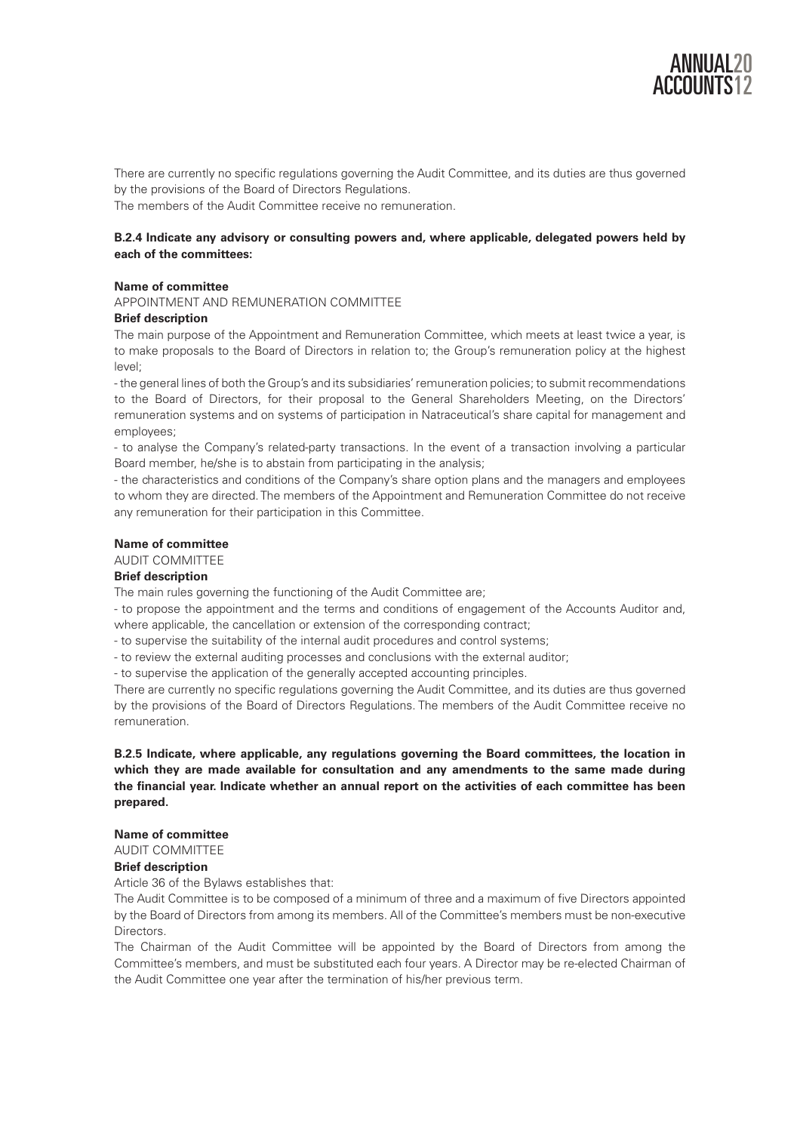

There are currently no specific regulations governing the Audit Committee, and its duties are thus governed by the provisions of the Board of Directors Regulations.

The members of the Audit Committee receive no remuneration.

# **B.2.4 Indicate any advisory or consulting powers and, where applicable, delegated powers held by each of the committees:**

# **Name of committee**

APPOINTMENT AND REMUNERATION COMMITTEE

# **Brief description**

The main purpose of the Appointment and Remuneration Committee, which meets at least twice a year, is to make proposals to the Board of Directors in relation to; the Group's remuneration policy at the highest level;

- the general lines of both the Group's and its subsidiaries' remuneration policies; to submit recommendations to the Board of Directors, for their proposal to the General Shareholders Meeting, on the Directors' remuneration systems and on systems of participation in Natraceutical's share capital for management and employees;

- to analyse the Company's related-party transactions. In the event of a transaction involving a particular Board member, he/she is to abstain from participating in the analysis;

- the characteristics and conditions of the Company's share option plans and the managers and employees to whom they are directed. The members of the Appointment and Remuneration Committee do not receive any remuneration for their participation in this Committee.

# **Name of committee**

## AUDIT COMMITTEE

# **Brief description**

The main rules governing the functioning of the Audit Committee are;

- to propose the appointment and the terms and conditions of engagement of the Accounts Auditor and, where applicable, the cancellation or extension of the corresponding contract;

- to supervise the suitability of the internal audit procedures and control systems;

- to review the external auditing processes and conclusions with the external auditor;

- to supervise the application of the generally accepted accounting principles.

There are currently no specific regulations governing the Audit Committee, and its duties are thus governed by the provisions of the Board of Directors Regulations. The members of the Audit Committee receive no remuneration.

**B.2.5 Indicate, where applicable, any regulations governing the Board committees, the location in which they are made available for consultation and any amendments to the same made during the financial year. Indicate whether an annual report on the activities of each committee has been prepared.** 

# **Name of committee**

AUDIT COMMITTEE

# **Brief description**

Article 36 of the Bylaws establishes that:

The Audit Committee is to be composed of a minimum of three and a maximum of five Directors appointed by the Board of Directors from among its members. All of the Committee's members must be non-executive Directors.

The Chairman of the Audit Committee will be appointed by the Board of Directors from among the Committee's members, and must be substituted each four years. A Director may be re-elected Chairman of the Audit Committee one year after the termination of his/her previous term.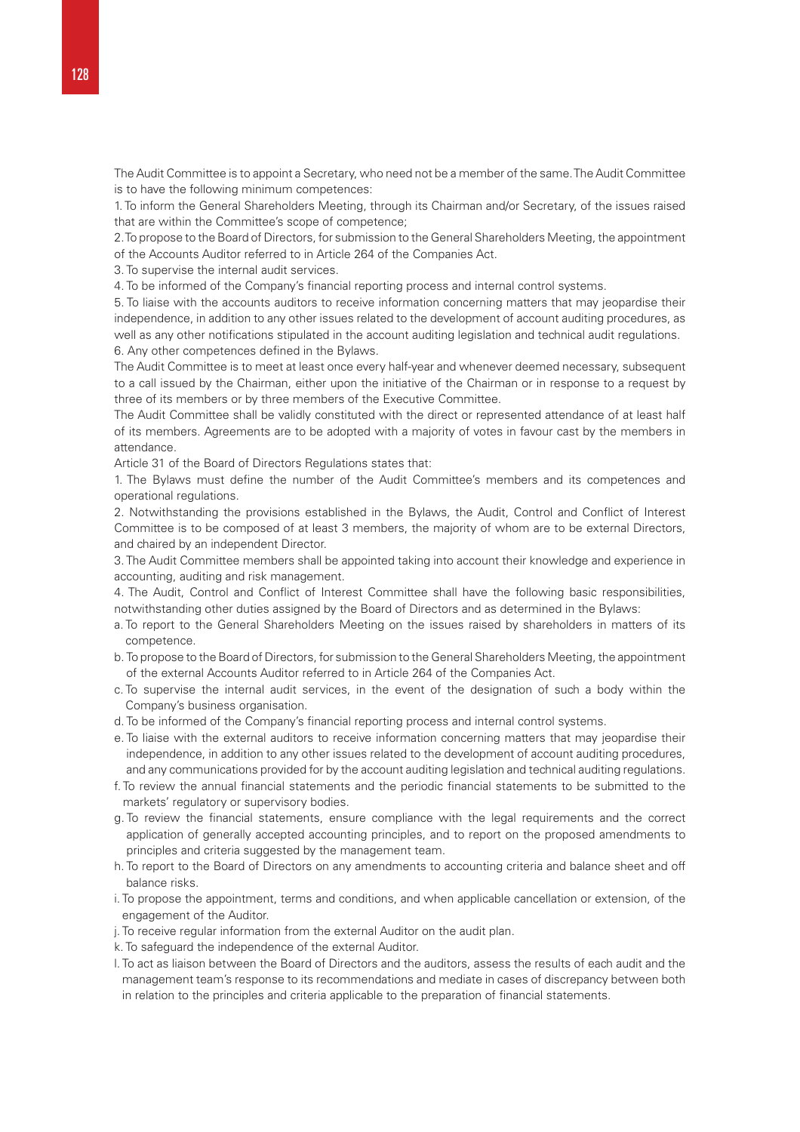The Audit Committee is to appoint a Secretary, who need not be a member of the same. The Audit Committee is to have the following minimum competences:

1. To inform the General Shareholders Meeting, through its Chairman and/or Secretary, of the issues raised that are within the Committee's scope of competence;

2. To propose to the Board of Directors, for submission to the General Shareholders Meeting, the appointment of the Accounts Auditor referred to in Article 264 of the Companies Act.

3. To supervise the internal audit services.

4. To be informed of the Company's financial reporting process and internal control systems.

5. To liaise with the accounts auditors to receive information concerning matters that may jeopardise their independence, in addition to any other issues related to the development of account auditing procedures, as well as any other notifications stipulated in the account auditing legislation and technical audit regulations. 6. Any other competences defined in the Bylaws.

The Audit Committee is to meet at least once every half-year and whenever deemed necessary, subsequent to a call issued by the Chairman, either upon the initiative of the Chairman or in response to a request by three of its members or by three members of the Executive Committee.

The Audit Committee shall be validly constituted with the direct or represented attendance of at least half of its members. Agreements are to be adopted with a majority of votes in favour cast by the members in attendance.

Article 31 of the Board of Directors Regulations states that:

1. The Bylaws must define the number of the Audit Committee's members and its competences and operational regulations.

2. Notwithstanding the provisions established in the Bylaws, the Audit, Control and Conflict of Interest Committee is to be composed of at least 3 members, the majority of whom are to be external Directors, and chaired by an independent Director.

3. The Audit Committee members shall be appointed taking into account their knowledge and experience in accounting, auditing and risk management.

4. The Audit, Control and Conflict of Interest Committee shall have the following basic responsibilities, notwithstanding other duties assigned by the Board of Directors and as determined in the Bylaws:

- a. To report to the General Shareholders Meeting on the issues raised by shareholders in matters of its competence.
- b. To propose to the Board of Directors, for submission to the General Shareholders Meeting, the appointment of the external Accounts Auditor referred to in Article 264 of the Companies Act.
- c. To supervise the internal audit services, in the event of the designation of such a body within the Company's business organisation.
- d. To be informed of the Company's financial reporting process and internal control systems.
- e. To liaise with the external auditors to receive information concerning matters that may jeopardise their independence, in addition to any other issues related to the development of account auditing procedures, and any communications provided for by the account auditing legislation and technical auditing regulations.
- f. To review the annual financial statements and the periodic financial statements to be submitted to the markets' regulatory or supervisory bodies.
- g. To review the financial statements, ensure compliance with the legal requirements and the correct application of generally accepted accounting principles, and to report on the proposed amendments to principles and criteria suggested by the management team.
- h. To report to the Board of Directors on any amendments to accounting criteria and balance sheet and off balance risks.
- i. To propose the appointment, terms and conditions, and when applicable cancellation or extension, of the engagement of the Auditor.
- j. To receive regular information from the external Auditor on the audit plan.
- k. To safeguard the independence of the external Auditor.
- l. To act as liaison between the Board of Directors and the auditors, assess the results of each audit and the management team's response to its recommendations and mediate in cases of discrepancy between both in relation to the principles and criteria applicable to the preparation of financial statements.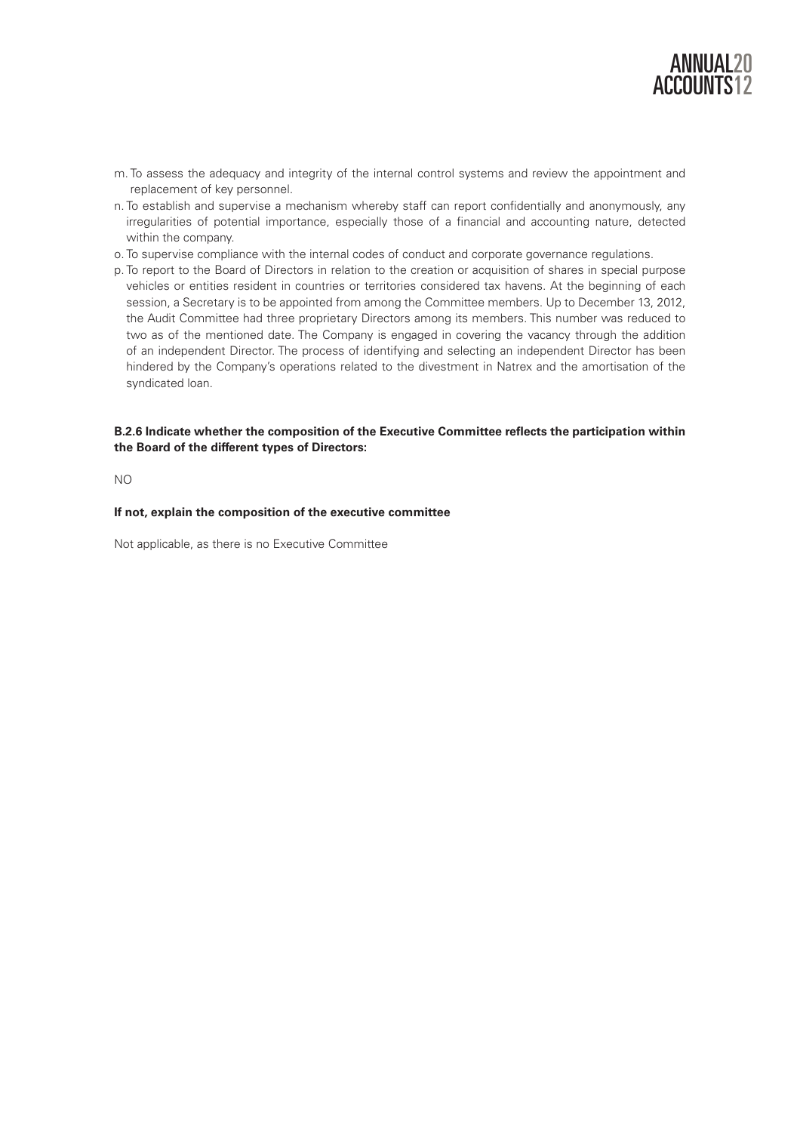

- m. To assess the adequacy and integrity of the internal control systems and review the appointment and replacement of key personnel.
- n. To establish and supervise a mechanism whereby staff can report confidentially and anonymously, any irregularities of potential importance, especially those of a financial and accounting nature, detected within the company.
- o. To supervise compliance with the internal codes of conduct and corporate governance regulations.
- p. To report to the Board of Directors in relation to the creation or acquisition of shares in special purpose vehicles or entities resident in countries or territories considered tax havens. At the beginning of each session, a Secretary is to be appointed from among the Committee members. Up to December 13, 2012, the Audit Committee had three proprietary Directors among its members. This number was reduced to two as of the mentioned date. The Company is engaged in covering the vacancy through the addition of an independent Director. The process of identifying and selecting an independent Director has been hindered by the Company's operations related to the divestment in Natrex and the amortisation of the syndicated loan.

# **B.2.6 Indicate whether the composition of the Executive Committee reflects the participation within the Board of the different types of Directors:**

NO

#### **If not, explain the composition of the executive committee**

Not applicable, as there is no Executive Committee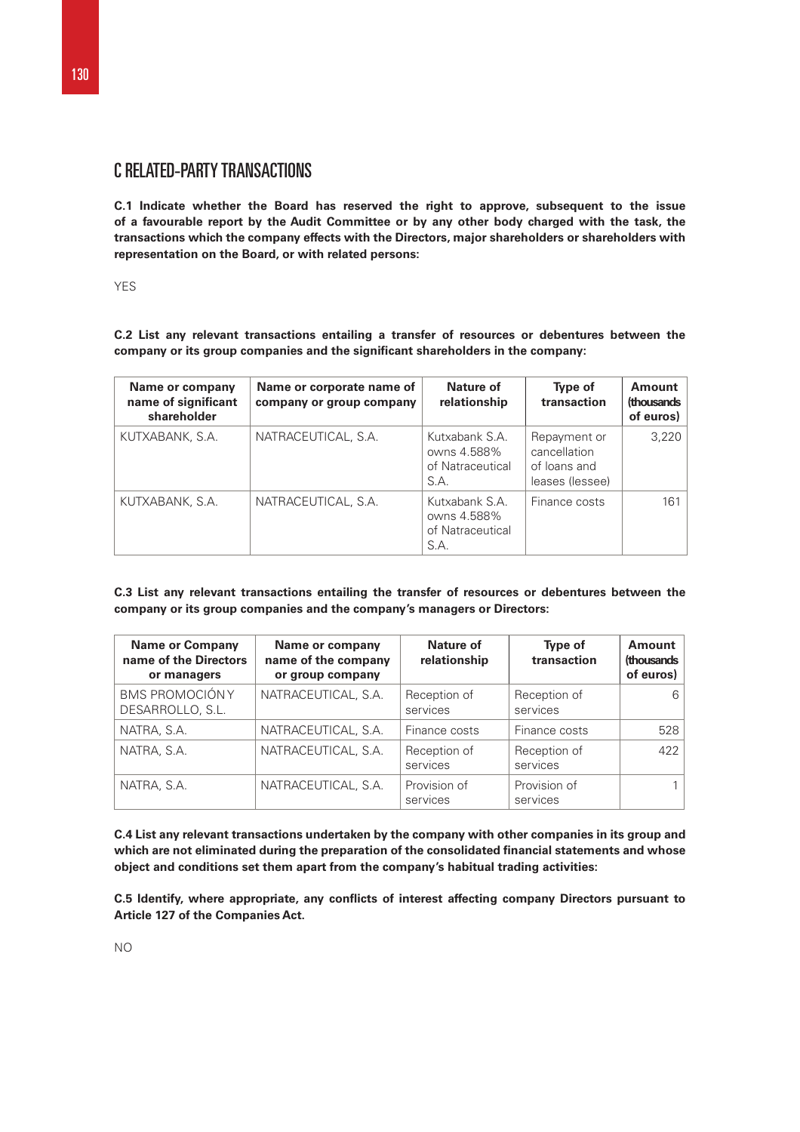# C RELATED-PARTY TRANSACTIONS

**C.1 Indicate whether the Board has reserved the right to approve, subsequent to the issue of a favourable report by the Audit Committee or by any other body charged with the task, the transactions which the company effects with the Directors, major shareholders or shareholders with representation on the Board, or with related persons:** 

YES

**C.2 List any relevant transactions entailing a transfer of resources or debentures between the company or its group companies and the significant shareholders in the company:** 

| Name or company<br>name of significant<br>shareholder | Name or corporate name of<br>company or group company | Nature of<br>relationship                                 | Type of<br>transaction                                          | Amount<br>(thousands)<br>of euros) |
|-------------------------------------------------------|-------------------------------------------------------|-----------------------------------------------------------|-----------------------------------------------------------------|------------------------------------|
| KUTXABANK, S.A.                                       | NATRACEUTICAL, S.A.                                   | Kutxabank S.A.<br>owns 4.588%<br>of Natraceutical<br>S.A. | Repayment or<br>cancellation<br>of loans and<br>leases (lessee) | 3,220                              |
| KUTXABANK, S.A.                                       | NATRACEUTICAL, S.A.                                   | Kutxabank S.A.<br>owns 4.588%<br>of Natraceutical<br>S.A. | Finance costs                                                   | 161                                |

**C.3 List any relevant transactions entailing the transfer of resources or debentures between the company or its group companies and the company's managers or Directors:** 

| <b>Name or Company</b><br>name of the Directors<br>or managers | Name or company<br>name of the company<br>or group company | Nature of<br>relationship | Type of<br>transaction   | <b>Amount</b><br>(thousands<br>of euros) |
|----------------------------------------------------------------|------------------------------------------------------------|---------------------------|--------------------------|------------------------------------------|
| <b>BMS PROMOCIÓNY</b><br>DESARROLLO, S.L.                      | NATRACEUTICAL, S.A.                                        | Reception of<br>services  | Reception of<br>services | 6                                        |
| NATRA, S.A.                                                    | NATRACEUTICAL, S.A.                                        | Finance costs             | Finance costs            | 528                                      |
| NATRA, S.A.                                                    | NATRACEUTICAL, S.A.                                        | Reception of<br>services  | Reception of<br>services | 422                                      |
| NATRA, S.A.                                                    | NATRACEUTICAL, S.A.                                        | Provision of<br>services  | Provision of<br>services |                                          |

**C.4 List any relevant transactions undertaken by the company with other companies in its group and which are not eliminated during the preparation of the consolidated financial statements and whose object and conditions set them apart from the company's habitual trading activities:** 

**C.5 Identify, where appropriate, any conflicts of interest affecting company Directors pursuant to Article 127 of the Companies Act.**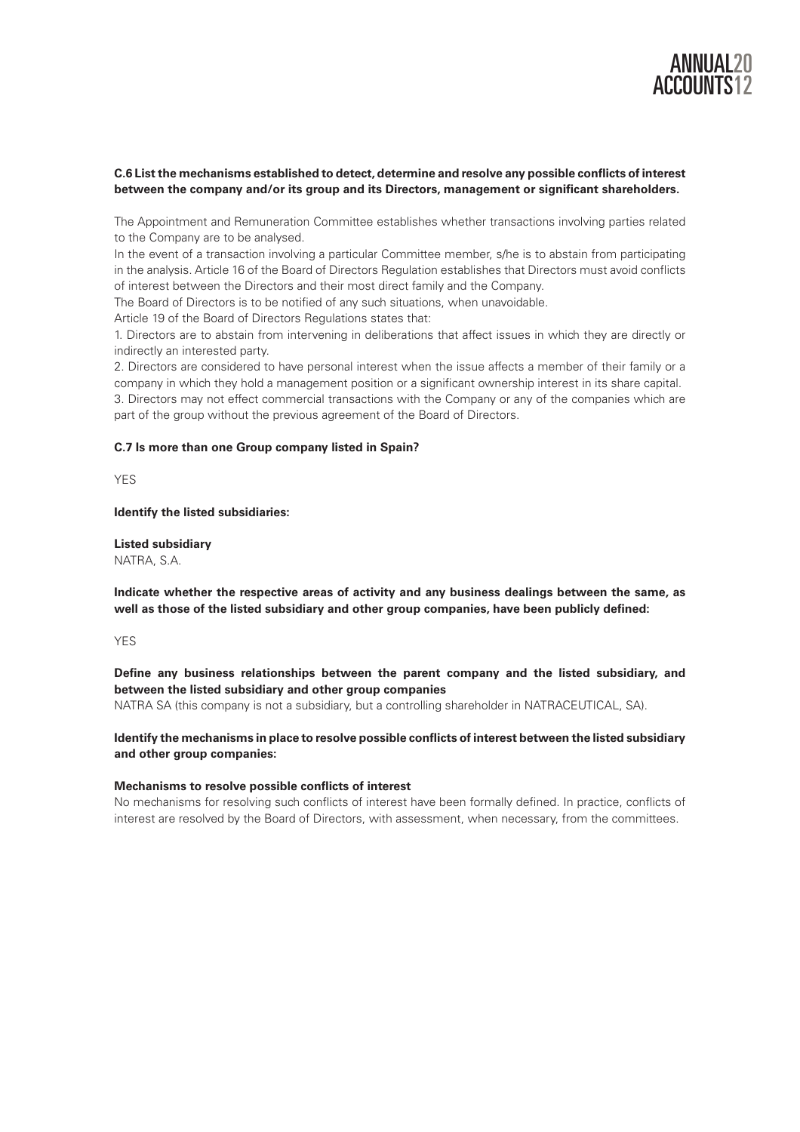

# **C.6 List the mechanisms established to detect, determine and resolve any possible conflicts of interest between the company and/or its group and its Directors, management or significant shareholders.**

The Appointment and Remuneration Committee establishes whether transactions involving parties related to the Company are to be analysed.

In the event of a transaction involving a particular Committee member, s/he is to abstain from participating in the analysis. Article 16 of the Board of Directors Regulation establishes that Directors must avoid conflicts of interest between the Directors and their most direct family and the Company.

The Board of Directors is to be notified of any such situations, when unavoidable.

Article 19 of the Board of Directors Regulations states that:

1. Directors are to abstain from intervening in deliberations that affect issues in which they are directly or indirectly an interested party.

2. Directors are considered to have personal interest when the issue affects a member of their family or a company in which they hold a management position or a significant ownership interest in its share capital. 3. Directors may not effect commercial transactions with the Company or any of the companies which are part of the group without the previous agreement of the Board of Directors.

## **C.7 Is more than one Group company listed in Spain?**

YES

# **Identify the listed subsidiaries:**

**Listed subsidiary**  NATRA, S.A.

**Indicate whether the respective areas of activity and any business dealings between the same, as well as those of the listed subsidiary and other group companies, have been publicly defined:** 

YES

# **Define any business relationships between the parent company and the listed subsidiary, and between the listed subsidiary and other group companies**

NATRA SA (this company is not a subsidiary, but a controlling shareholder in NATRACEUTICAL, SA).

# **Identify the mechanisms in place to resolve possible conflicts of interest between the listed subsidiary and other group companies:**

# **Mechanisms to resolve possible conflicts of interest**

No mechanisms for resolving such conflicts of interest have been formally defined. In practice, conflicts of interest are resolved by the Board of Directors, with assessment, when necessary, from the committees.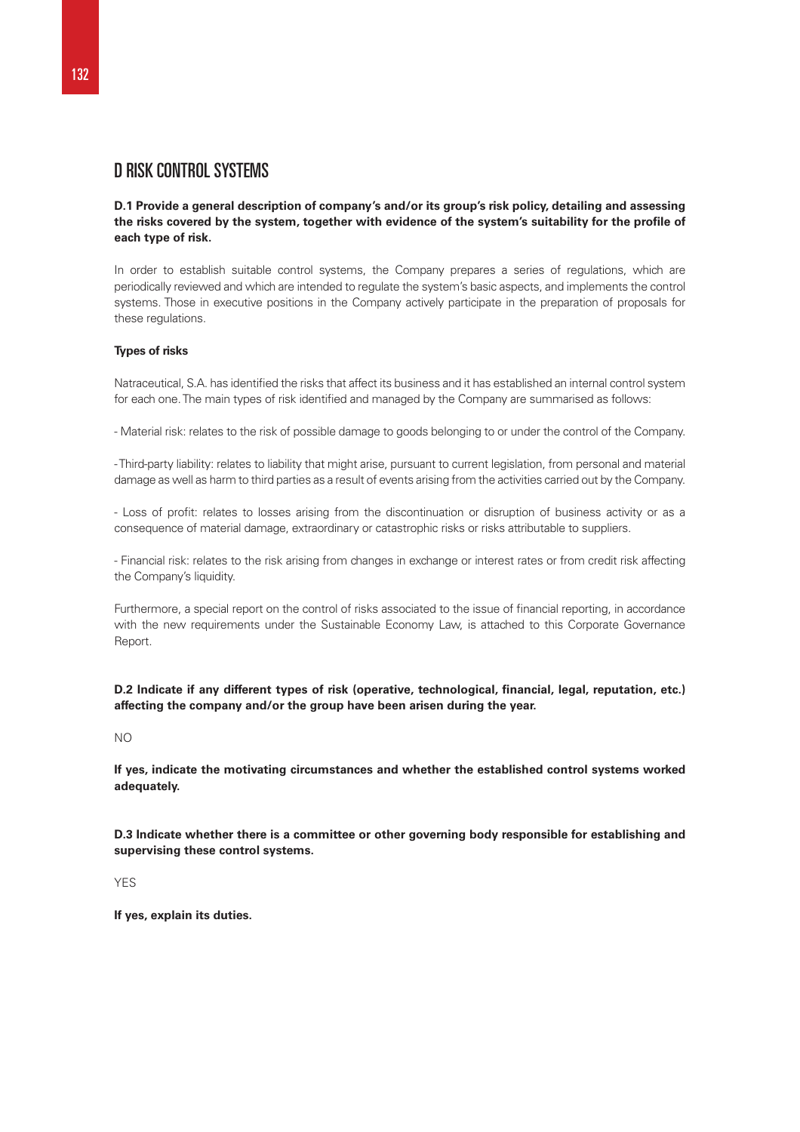# D RISK CONTROL SYSTEMS

# **D.1 Provide a general description of company's and/or its group's risk policy, detailing and assessing the risks covered by the system, together with evidence of the system's suitability for the profile of each type of risk.**

In order to establish suitable control systems, the Company prepares a series of regulations, which are periodically reviewed and which are intended to regulate the system's basic aspects, and implements the control systems. Those in executive positions in the Company actively participate in the preparation of proposals for these regulations.

# **Types of risks**

Natraceutical, S.A. has identified the risks that affect its business and it has established an internal control system for each one. The main types of risk identified and managed by the Company are summarised as follows:

- Material risk: relates to the risk of possible damage to goods belonging to or under the control of the Company.

- Third-party liability: relates to liability that might arise, pursuant to current legislation, from personal and material damage as well as harm to third parties as a result of events arising from the activities carried out by the Company.

- Loss of profit: relates to losses arising from the discontinuation or disruption of business activity or as a consequence of material damage, extraordinary or catastrophic risks or risks attributable to suppliers.

- Financial risk: relates to the risk arising from changes in exchange or interest rates or from credit risk affecting the Company's liquidity.

Furthermore, a special report on the control of risks associated to the issue of financial reporting, in accordance with the new requirements under the Sustainable Economy Law, is attached to this Corporate Governance Report.

**D.2 Indicate if any different types of risk (operative, technological, financial, legal, reputation, etc.) affecting the company and/or the group have been arisen during the year.** 

NO

**If yes, indicate the motivating circumstances and whether the established control systems worked adequately.** 

**D.3 Indicate whether there is a committee or other governing body responsible for establishing and supervising these control systems.** 

YES

**If yes, explain its duties.**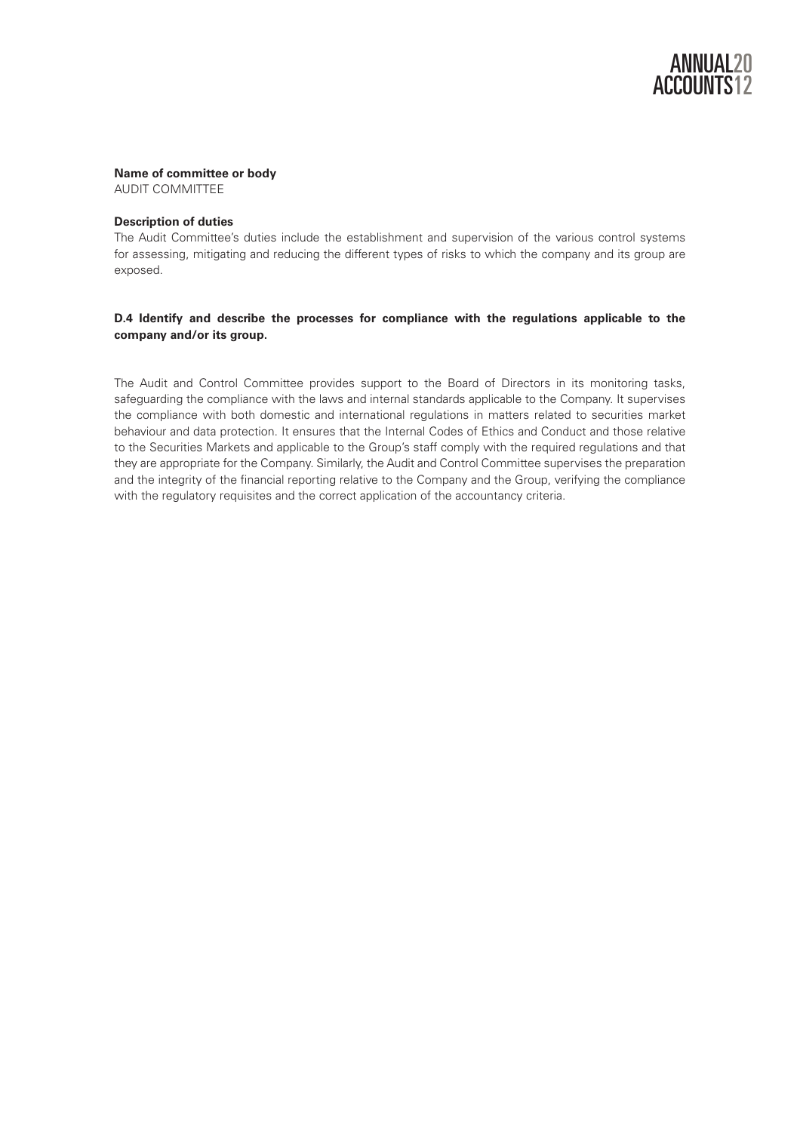# **Name of committee or body**

AUDIT COMMITTEE

# **Description of duties**

The Audit Committee's duties include the establishment and supervision of the various control systems for assessing, mitigating and reducing the different types of risks to which the company and its group are exposed.

# **D.4 Identify and describe the processes for compliance with the regulations applicable to the company and/or its group.**

The Audit and Control Committee provides support to the Board of Directors in its monitoring tasks, safeguarding the compliance with the laws and internal standards applicable to the Company. It supervises the compliance with both domestic and international regulations in matters related to securities market behaviour and data protection. It ensures that the Internal Codes of Ethics and Conduct and those relative to the Securities Markets and applicable to the Group's staff comply with the required regulations and that they are appropriate for the Company. Similarly, the Audit and Control Committee supervises the preparation and the integrity of the financial reporting relative to the Company and the Group, verifying the compliance with the regulatory requisites and the correct application of the accountancy criteria.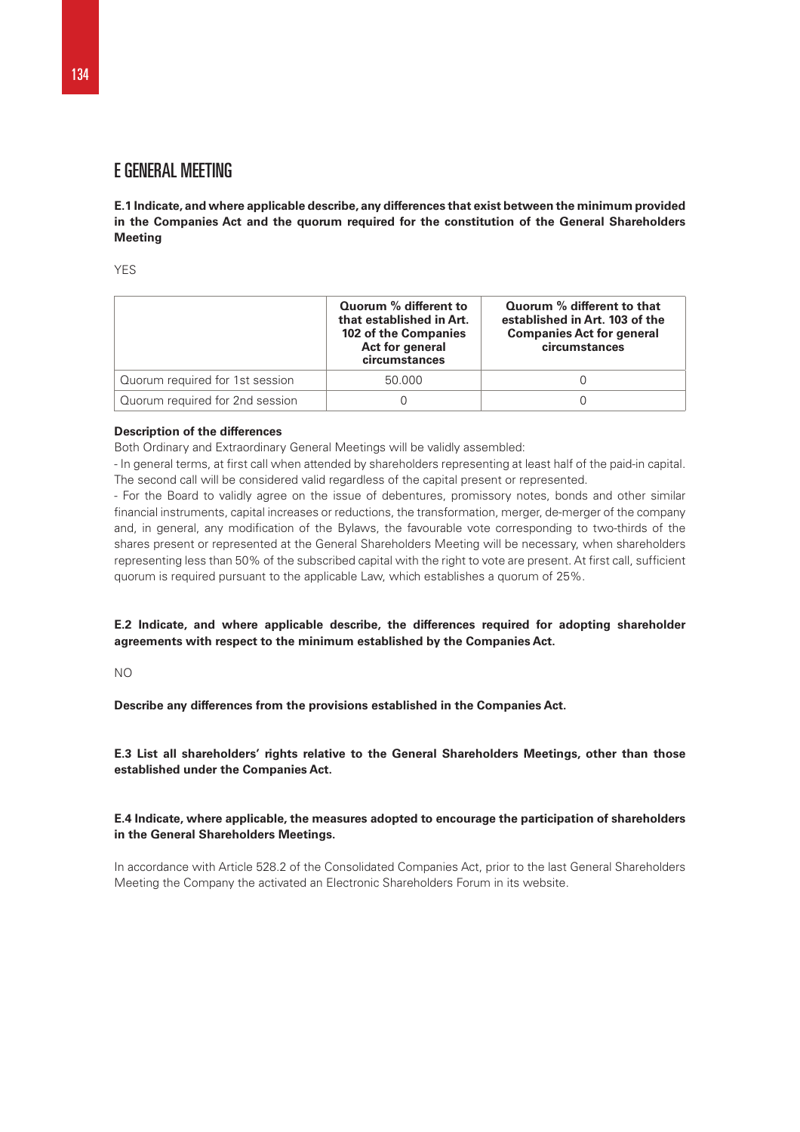# E GENERAL MEETING

**E.1 Indicate, and where applicable describe, any differences that exist between the minimum provided in the Companies Act and the quorum required for the constitution of the General Shareholders Meeting** 

**YES** 

|                                 | Quorum % different to<br>that established in Art.<br>102 of the Companies<br>Act for general<br>circumstances | Quorum % different to that<br>established in Art. 103 of the<br><b>Companies Act for general</b><br>circumstances |
|---------------------------------|---------------------------------------------------------------------------------------------------------------|-------------------------------------------------------------------------------------------------------------------|
| Quorum required for 1st session | 50.000                                                                                                        |                                                                                                                   |
| Quorum required for 2nd session |                                                                                                               |                                                                                                                   |

## **Description of the differences**

Both Ordinary and Extraordinary General Meetings will be validly assembled:

- In general terms, at first call when attended by shareholders representing at least half of the paid-in capital. The second call will be considered valid regardless of the capital present or represented.

- For the Board to validly agree on the issue of debentures, promissory notes, bonds and other similar financial instruments, capital increases or reductions, the transformation, merger, de-merger of the company and, in general, any modification of the Bylaws, the favourable vote corresponding to two-thirds of the shares present or represented at the General Shareholders Meeting will be necessary, when shareholders representing less than 50% of the subscribed capital with the right to vote are present. At first call, sufficient quorum is required pursuant to the applicable Law, which establishes a quorum of 25%.

**E.2 Indicate, and where applicable describe, the differences required for adopting shareholder agreements with respect to the minimum established by the Companies Act.** 

 $N<sub>O</sub>$ 

**Describe any differences from the provisions established in the Companies Act.** 

**E.3 List all shareholders' rights relative to the General Shareholders Meetings, other than those established under the Companies Act.** 

# **E.4 Indicate, where applicable, the measures adopted to encourage the participation of shareholders in the General Shareholders Meetings.**

In accordance with Article 528.2 of the Consolidated Companies Act, prior to the last General Shareholders Meeting the Company the activated an Electronic Shareholders Forum in its website.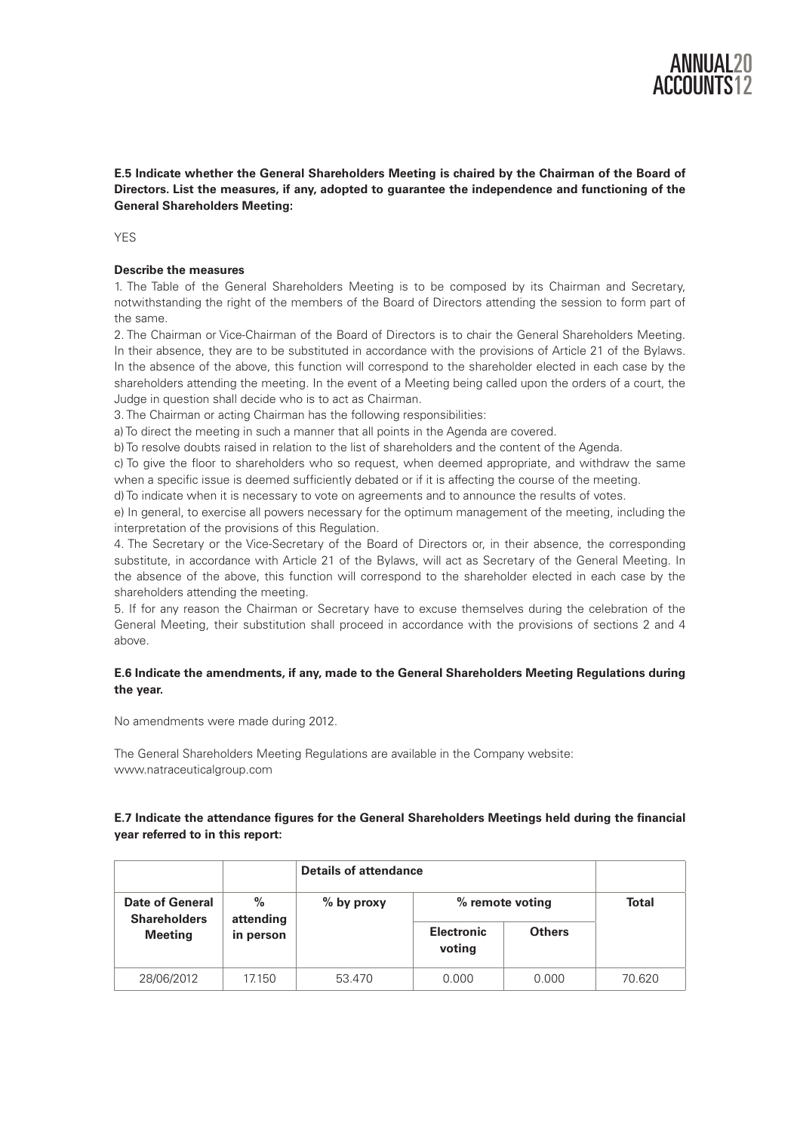

**E.5 Indicate whether the General Shareholders Meeting is chaired by the Chairman of the Board of Directors. List the measures, if any, adopted to guarantee the independence and functioning of the General Shareholders Meeting:** 

YF<sub>S</sub>

# **Describe the measures**

1. The Table of the General Shareholders Meeting is to be composed by its Chairman and Secretary, notwithstanding the right of the members of the Board of Directors attending the session to form part of the same.

2. The Chairman or Vice-Chairman of the Board of Directors is to chair the General Shareholders Meeting. In their absence, they are to be substituted in accordance with the provisions of Article 21 of the Bylaws. In the absence of the above, this function will correspond to the shareholder elected in each case by the shareholders attending the meeting. In the event of a Meeting being called upon the orders of a court, the Judge in question shall decide who is to act as Chairman.

3. The Chairman or acting Chairman has the following responsibilities:

a) To direct the meeting in such a manner that all points in the Agenda are covered.

b) To resolve doubts raised in relation to the list of shareholders and the content of the Agenda.

c) To give the floor to shareholders who so request, when deemed appropriate, and withdraw the same when a specific issue is deemed sufficiently debated or if it is affecting the course of the meeting.

d) To indicate when it is necessary to vote on agreements and to announce the results of votes.

e) In general, to exercise all powers necessary for the optimum management of the meeting, including the interpretation of the provisions of this Regulation.

4. The Secretary or the Vice-Secretary of the Board of Directors or, in their absence, the corresponding substitute, in accordance with Article 21 of the Bylaws, will act as Secretary of the General Meeting. In the absence of the above, this function will correspond to the shareholder elected in each case by the shareholders attending the meeting.

5. If for any reason the Chairman or Secretary have to excuse themselves during the celebration of the General Meeting, their substitution shall proceed in accordance with the provisions of sections 2 and 4 above.

# **E.6 Indicate the amendments, if any, made to the General Shareholders Meeting Regulations during the year.**

No amendments were made during 2012.

The General Shareholders Meeting Regulations are available in the Company website: www.natraceuticalgroup.com

# **E.7 Indicate the attendance figures for the General Shareholders Meetings held during the financial year referred to in this report:**

|                                               |                   | <b>Details of attendance</b> |                             |               |              |
|-----------------------------------------------|-------------------|------------------------------|-----------------------------|---------------|--------------|
| <b>Date of General</b><br><b>Shareholders</b> | $\%$<br>attending | $%$ by proxy                 | % remote voting             |               | <b>Total</b> |
| <b>Meeting</b>                                | in person         |                              | <b>Electronic</b><br>voting | <b>Others</b> |              |
| 28/06/2012                                    | 17.150            | 53.470                       | 0.000                       | 0.000         | 70.620       |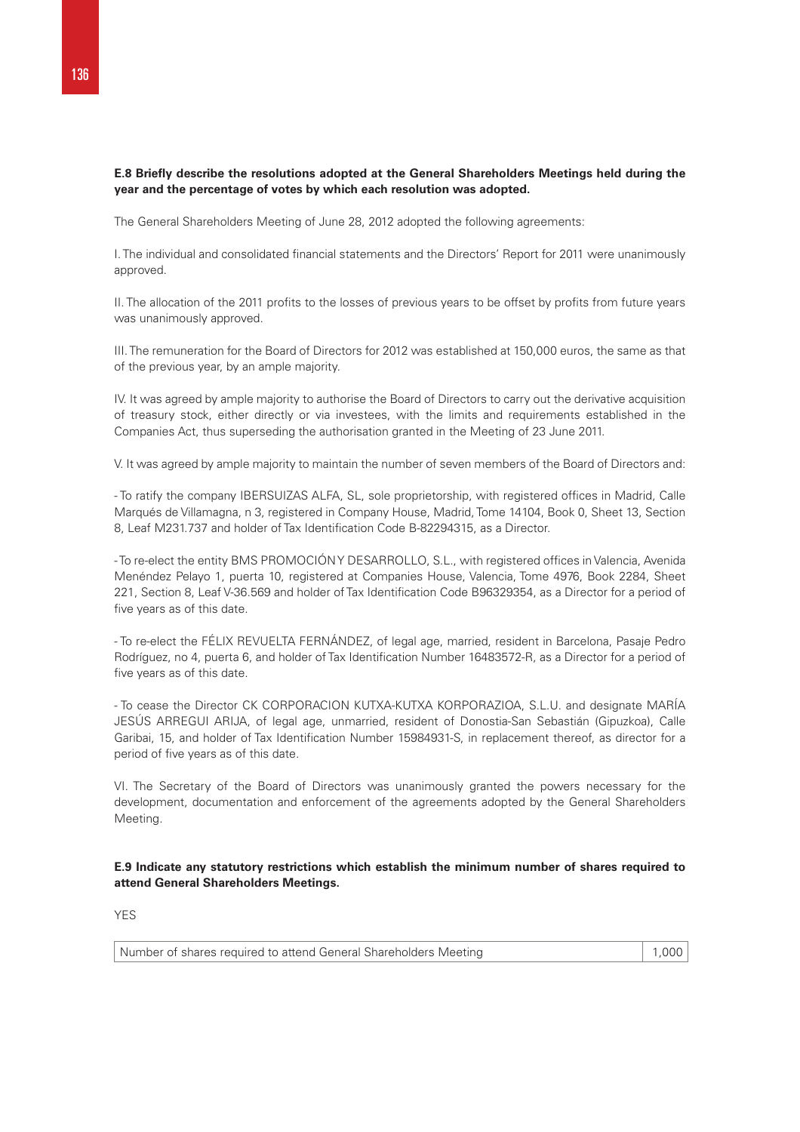# **E.8 Briefly describe the resolutions adopted at the General Shareholders Meetings held during the year and the percentage of votes by which each resolution was adopted.**

The General Shareholders Meeting of June 28, 2012 adopted the following agreements:

I. The individual and consolidated financial statements and the Directors' Report for 2011 were unanimously approved.

II. The allocation of the 2011 profits to the losses of previous years to be offset by profits from future years was unanimously approved.

III. The remuneration for the Board of Directors for 2012 was established at 150,000 euros, the same as that of the previous year, by an ample majority.

IV. It was agreed by ample majority to authorise the Board of Directors to carry out the derivative acquisition of treasury stock, either directly or via investees, with the limits and requirements established in the Companies Act, thus superseding the authorisation granted in the Meeting of 23 June 2011.

V. It was agreed by ample majority to maintain the number of seven members of the Board of Directors and:

- To ratify the company IBERSUIZAS ALFA, SL, sole proprietorship, with registered offices in Madrid, Calle Marqués de Villamagna, n 3, registered in Company House, Madrid, Tome 14104, Book 0, Sheet 13, Section 8, Leaf M231.737 and holder of Tax Identification Code B-82294315, as a Director.

-To re-elect the entity BMS PROMOCIÓN Y DESARROLLO, S.L., with registered offices in Valencia, Avenida Menéndez Pelayo 1, puerta 10, registered at Companies House, Valencia, Tome 4976, Book 2284, Sheet 221, Section 8, Leaf V-36.569 and holder of Tax Identification Code B96329354, as a Director for a period of five years as of this date.

- To re-elect the FÉLIX REVUELTA FERNÁNDEZ, of legal age, married, resident in Barcelona, Pasaje Pedro Rodríguez, no 4, puerta 6, and holder of Tax Identification Number 16483572-R, as a Director for a period of five years as of this date.

- To cease the Director CK CORPORACION KUTXA-KUTXA KORPORAZIOA, S.L.U. and designate MARÍA JESÚS ARREGUI ARIJA, of legal age, unmarried, resident of Donostia-San Sebastián (Gipuzkoa), Calle Garibai, 15, and holder of Tax Identification Number 15984931-S, in replacement thereof, as director for a period of five years as of this date.

VI. The Secretary of the Board of Directors was unanimously granted the powers necessary for the development, documentation and enforcement of the agreements adopted by the General Shareholders Meeting.

**E.9 Indicate any statutory restrictions which establish the minimum number of shares required to attend General Shareholders Meetings.** 

YES

Number of shares required to attend General Shareholders Meeting 1,000 | 1,000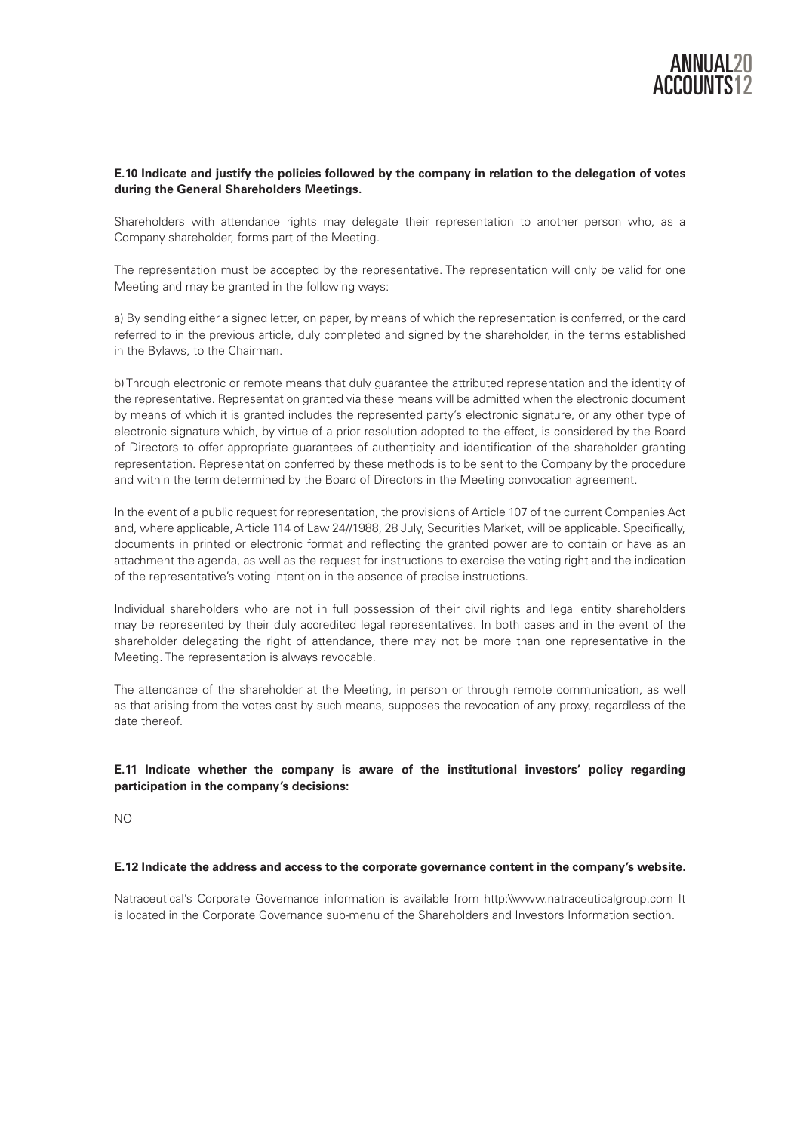

# **E.10 Indicate and justify the policies followed by the company in relation to the delegation of votes during the General Shareholders Meetings.**

Shareholders with attendance rights may delegate their representation to another person who, as a Company shareholder, forms part of the Meeting.

The representation must be accepted by the representative. The representation will only be valid for one Meeting and may be granted in the following ways:

a) By sending either a signed letter, on paper, by means of which the representation is conferred, or the card referred to in the previous article, duly completed and signed by the shareholder, in the terms established in the Bylaws, to the Chairman.

b) Through electronic or remote means that duly guarantee the attributed representation and the identity of the representative. Representation granted via these means will be admitted when the electronic document by means of which it is granted includes the represented party's electronic signature, or any other type of electronic signature which, by virtue of a prior resolution adopted to the effect, is considered by the Board of Directors to offer appropriate guarantees of authenticity and identification of the shareholder granting representation. Representation conferred by these methods is to be sent to the Company by the procedure and within the term determined by the Board of Directors in the Meeting convocation agreement.

In the event of a public request for representation, the provisions of Article 107 of the current Companies Act and, where applicable, Article 114 of Law 24//1988, 28 July, Securities Market, will be applicable. Specifically, documents in printed or electronic format and reflecting the granted power are to contain or have as an attachment the agenda, as well as the request for instructions to exercise the voting right and the indication of the representative's voting intention in the absence of precise instructions.

Individual shareholders who are not in full possession of their civil rights and legal entity shareholders may be represented by their duly accredited legal representatives. In both cases and in the event of the shareholder delegating the right of attendance, there may not be more than one representative in the Meeting. The representation is always revocable.

The attendance of the shareholder at the Meeting, in person or through remote communication, as well as that arising from the votes cast by such means, supposes the revocation of any proxy, regardless of the date thereof.

# **E.11 Indicate whether the company is aware of the institutional investors' policy regarding participation in the company's decisions:**

NO

## **E.12 Indicate the address and access to the corporate governance content in the company's website.**

Natraceutical's Corporate Governance information is available from http:\\www.natraceuticalgroup.com It is located in the Corporate Governance sub-menu of the Shareholders and Investors Information section.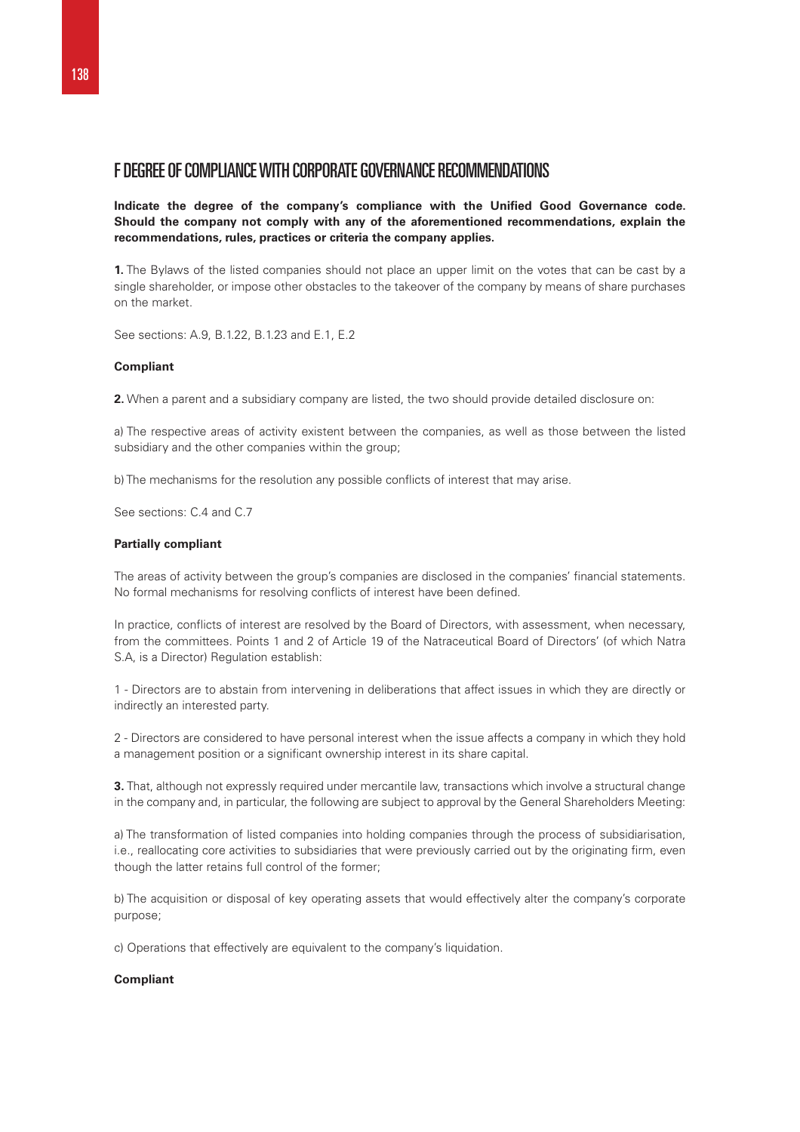# F DEGREE OF COMPLIANCE WITH CORPORATE GOVERNANCE RECOMMENDATIONS

**Indicate the degree of the company's compliance with the Unified Good Governance code. Should the company not comply with any of the aforementioned recommendations, explain the recommendations, rules, practices or criteria the company applies.** 

**1.** The Bylaws of the listed companies should not place an upper limit on the votes that can be cast by a single shareholder, or impose other obstacles to the takeover of the company by means of share purchases on the market.

See sections: A.9, B.1.22, B.1.23 and E.1, E.2

# **Compliant**

**2.** When a parent and a subsidiary company are listed, the two should provide detailed disclosure on:

a) The respective areas of activity existent between the companies, as well as those between the listed subsidiary and the other companies within the group;

b) The mechanisms for the resolution any possible conflicts of interest that may arise.

See sections: C.4 and C.7

## **Partially compliant**

The areas of activity between the group's companies are disclosed in the companies' financial statements. No formal mechanisms for resolving conflicts of interest have been defined.

In practice, conflicts of interest are resolved by the Board of Directors, with assessment, when necessary, from the committees. Points 1 and 2 of Article 19 of the Natraceutical Board of Directors' (of which Natra S.A, is a Director) Regulation establish:

1 - Directors are to abstain from intervening in deliberations that affect issues in which they are directly or indirectly an interested party.

2 - Directors are considered to have personal interest when the issue affects a company in which they hold a management position or a significant ownership interest in its share capital.

**3.** That, although not expressly required under mercantile law, transactions which involve a structural change in the company and, in particular, the following are subject to approval by the General Shareholders Meeting:

a) The transformation of listed companies into holding companies through the process of subsidiarisation, i.e., reallocating core activities to subsidiaries that were previously carried out by the originating firm, even though the latter retains full control of the former;

b) The acquisition or disposal of key operating assets that would effectively alter the company's corporate purpose;

c) Operations that effectively are equivalent to the company's liquidation.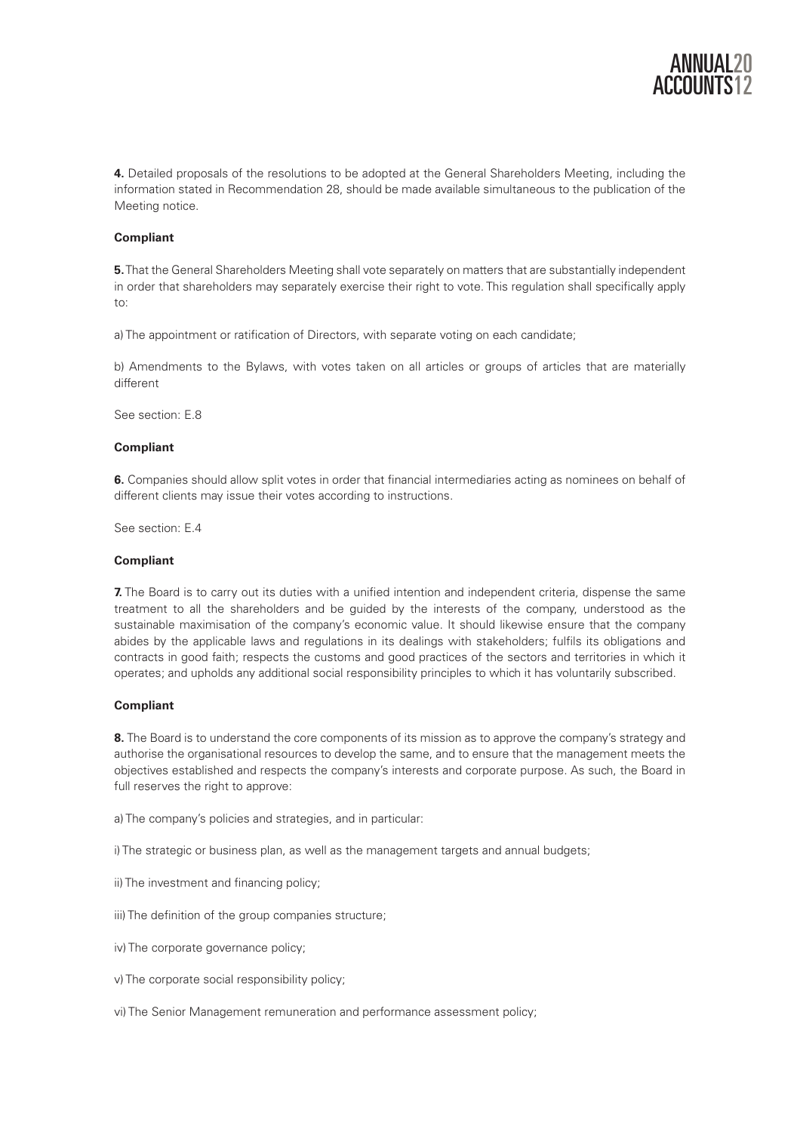

**4.** Detailed proposals of the resolutions to be adopted at the General Shareholders Meeting, including the information stated in Recommendation 28, should be made available simultaneous to the publication of the Meeting notice.

# **Compliant**

**5.** That the General Shareholders Meeting shall vote separately on matters that are substantially independent in order that shareholders may separately exercise their right to vote. This regulation shall specifically apply to:

a) The appointment or ratification of Directors, with separate voting on each candidate;

b) Amendments to the Bylaws, with votes taken on all articles or groups of articles that are materially different

See section: E.8

## **Compliant**

**6.** Companies should allow split votes in order that financial intermediaries acting as nominees on behalf of different clients may issue their votes according to instructions.

See section: E.4

#### **Compliant**

**7.** The Board is to carry out its duties with a unified intention and independent criteria, dispense the same treatment to all the shareholders and be guided by the interests of the company, understood as the sustainable maximisation of the company's economic value. It should likewise ensure that the company abides by the applicable laws and regulations in its dealings with stakeholders; fulfils its obligations and contracts in good faith; respects the customs and good practices of the sectors and territories in which it operates; and upholds any additional social responsibility principles to which it has voluntarily subscribed.

#### **Compliant**

**8.** The Board is to understand the core components of its mission as to approve the company's strategy and authorise the organisational resources to develop the same, and to ensure that the management meets the objectives established and respects the company's interests and corporate purpose. As such, the Board in full reserves the right to approve:

a) The company's policies and strategies, and in particular:

i) The strategic or business plan, as well as the management targets and annual budgets;

ii) The investment and financing policy;

iii) The definition of the group companies structure;

iv) The corporate governance policy;

v) The corporate social responsibility policy;

vi) The Senior Management remuneration and performance assessment policy;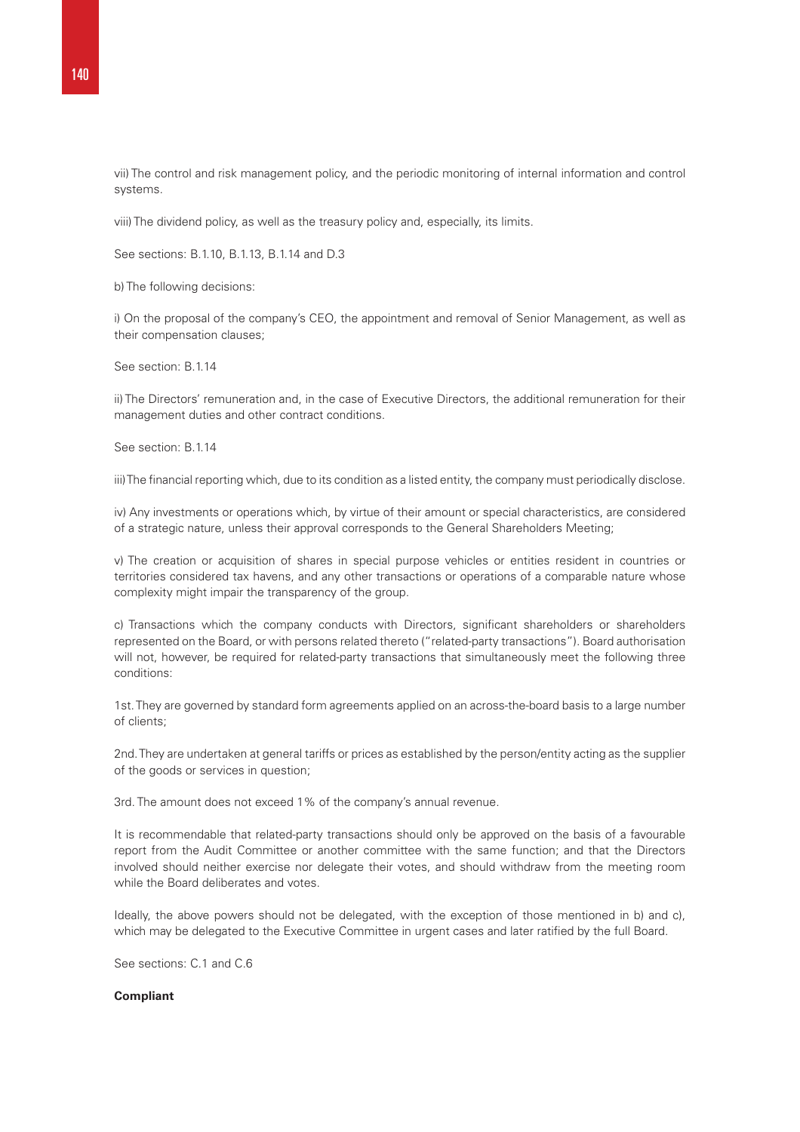vii) The control and risk management policy, and the periodic monitoring of internal information and control systems.

viii) The dividend policy, as well as the treasury policy and, especially, its limits.

See sections: B.1.10, B.1.13, B.1.14 and D.3

b) The following decisions:

i) On the proposal of the company's CEO, the appointment and removal of Senior Management, as well as their compensation clauses;

See section: B.1.14

ii) The Directors' remuneration and, in the case of Executive Directors, the additional remuneration for their management duties and other contract conditions.

See section: B.1.14

iii) The financial reporting which, due to its condition as a listed entity, the company must periodically disclose.

iv) Any investments or operations which, by virtue of their amount or special characteristics, are considered of a strategic nature, unless their approval corresponds to the General Shareholders Meeting;

v) The creation or acquisition of shares in special purpose vehicles or entities resident in countries or territories considered tax havens, and any other transactions or operations of a comparable nature whose complexity might impair the transparency of the group.

c) Transactions which the company conducts with Directors, significant shareholders or shareholders represented on the Board, or with persons related thereto ("related-party transactions"). Board authorisation will not, however, be required for related-party transactions that simultaneously meet the following three conditions:

1st. They are governed by standard form agreements applied on an across-the-board basis to a large number of clients;

2nd. They are undertaken at general tariffs or prices as established by the person/entity acting as the supplier of the goods or services in question;

3rd. The amount does not exceed 1% of the company's annual revenue.

It is recommendable that related-party transactions should only be approved on the basis of a favourable report from the Audit Committee or another committee with the same function; and that the Directors involved should neither exercise nor delegate their votes, and should withdraw from the meeting room while the Board deliberates and votes.

Ideally, the above powers should not be delegated, with the exception of those mentioned in b) and c), which may be delegated to the Executive Committee in urgent cases and later ratified by the full Board.

See sections: C.1 and C.6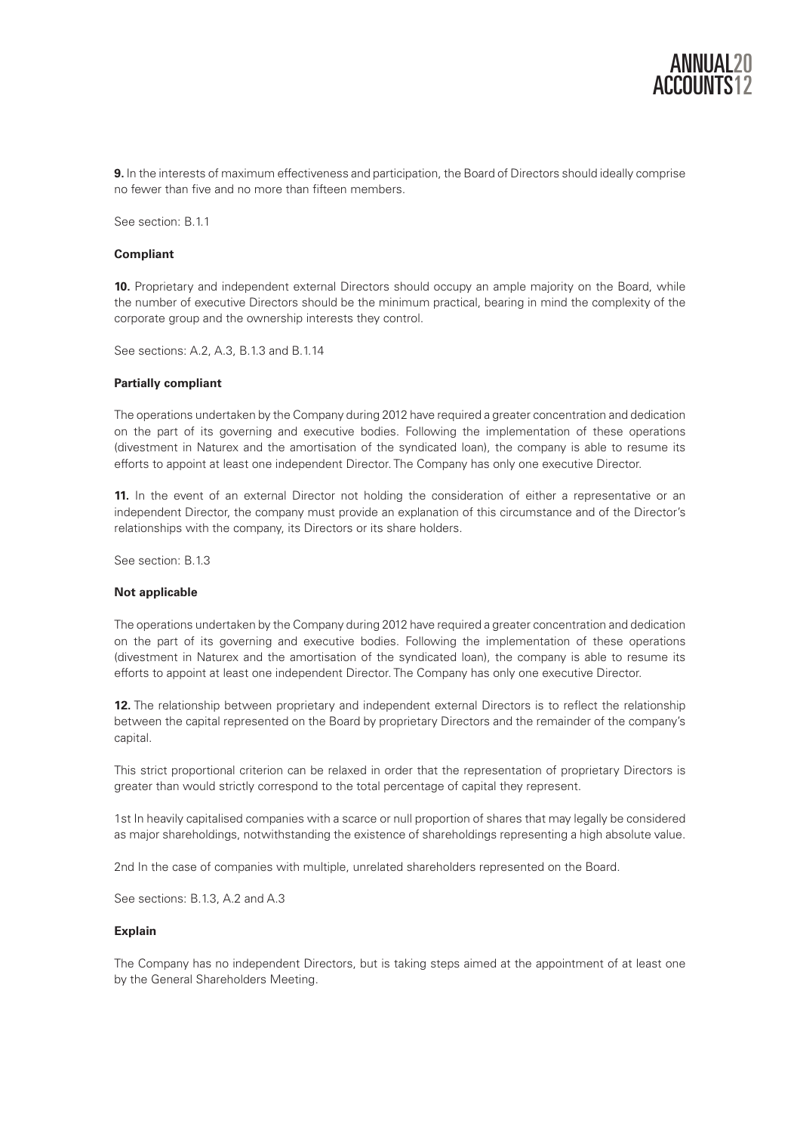

**9.** In the interests of maximum effectiveness and participation, the Board of Directors should ideally comprise no fewer than five and no more than fifteen members.

See section: B.1.1.

#### **Compliant**

**10.** Proprietary and independent external Directors should occupy an ample majority on the Board, while the number of executive Directors should be the minimum practical, bearing in mind the complexity of the corporate group and the ownership interests they control.

See sections: A.2, A.3, B.1.3 and B.1.14

## **Partially compliant**

The operations undertaken by the Company during 2012 have required a greater concentration and dedication on the part of its governing and executive bodies. Following the implementation of these operations (divestment in Naturex and the amortisation of the syndicated loan), the company is able to resume its efforts to appoint at least one independent Director. The Company has only one executive Director.

**11.** In the event of an external Director not holding the consideration of either a representative or an independent Director, the company must provide an explanation of this circumstance and of the Director's relationships with the company, its Directors or its share holders.

See section: B.1.3

#### **Not applicable**

The operations undertaken by the Company during 2012 have required a greater concentration and dedication on the part of its governing and executive bodies. Following the implementation of these operations (divestment in Naturex and the amortisation of the syndicated loan), the company is able to resume its efforts to appoint at least one independent Director. The Company has only one executive Director.

**12.** The relationship between proprietary and independent external Directors is to reflect the relationship between the capital represented on the Board by proprietary Directors and the remainder of the company's capital.

This strict proportional criterion can be relaxed in order that the representation of proprietary Directors is greater than would strictly correspond to the total percentage of capital they represent.

1st In heavily capitalised companies with a scarce or null proportion of shares that may legally be considered as major shareholdings, notwithstanding the existence of shareholdings representing a high absolute value.

2nd In the case of companies with multiple, unrelated shareholders represented on the Board.

See sections: B.1.3, A.2 and A.3

#### **Explain**

The Company has no independent Directors, but is taking steps aimed at the appointment of at least one by the General Shareholders Meeting.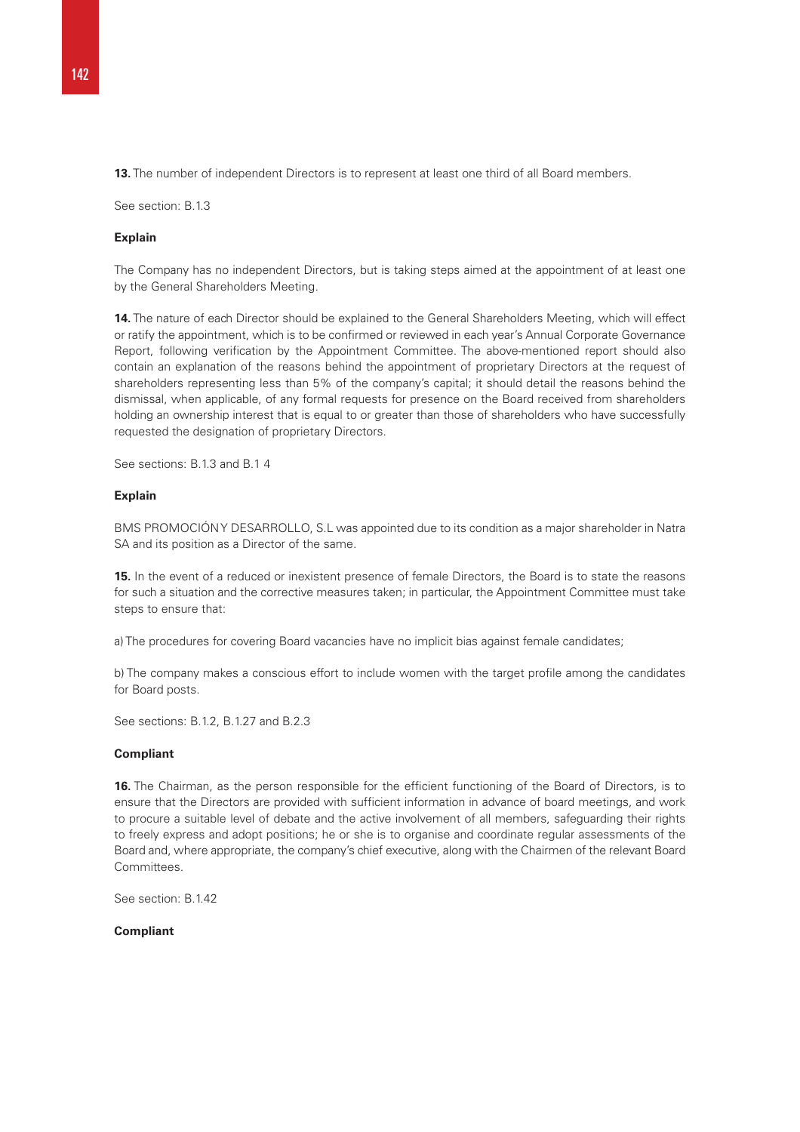**13.** The number of independent Directors is to represent at least one third of all Board members.

See section: B.1.3

#### **Explain**

The Company has no independent Directors, but is taking steps aimed at the appointment of at least one by the General Shareholders Meeting.

**14.** The nature of each Director should be explained to the General Shareholders Meeting, which will effect or ratify the appointment, which is to be confirmed or reviewed in each year's Annual Corporate Governance Report, following verification by the Appointment Committee. The above-mentioned report should also contain an explanation of the reasons behind the appointment of proprietary Directors at the request of shareholders representing less than 5% of the company's capital; it should detail the reasons behind the dismissal, when applicable, of any formal requests for presence on the Board received from shareholders holding an ownership interest that is equal to or greater than those of shareholders who have successfully requested the designation of proprietary Directors.

See sections: B.1.3 and B.1 4

# **Explain**

BMS PROMOCIÓN Y DESARROLLO, S.L was appointed due to its condition as a major shareholder in Natra SA and its position as a Director of the same.

**15.** In the event of a reduced or inexistent presence of female Directors, the Board is to state the reasons for such a situation and the corrective measures taken; in particular, the Appointment Committee must take steps to ensure that:

a) The procedures for covering Board vacancies have no implicit bias against female candidates;

b) The company makes a conscious effort to include women with the target profile among the candidates for Board posts.

See sections: B.1.2, B.1.27 and B.2.3

#### **Compliant**

**16.** The Chairman, as the person responsible for the efficient functioning of the Board of Directors, is to ensure that the Directors are provided with sufficient information in advance of board meetings, and work to procure a suitable level of debate and the active involvement of all members, safeguarding their rights to freely express and adopt positions; he or she is to organise and coordinate regular assessments of the Board and, where appropriate, the company's chief executive, along with the Chairmen of the relevant Board **Committees** 

See section: B.1.42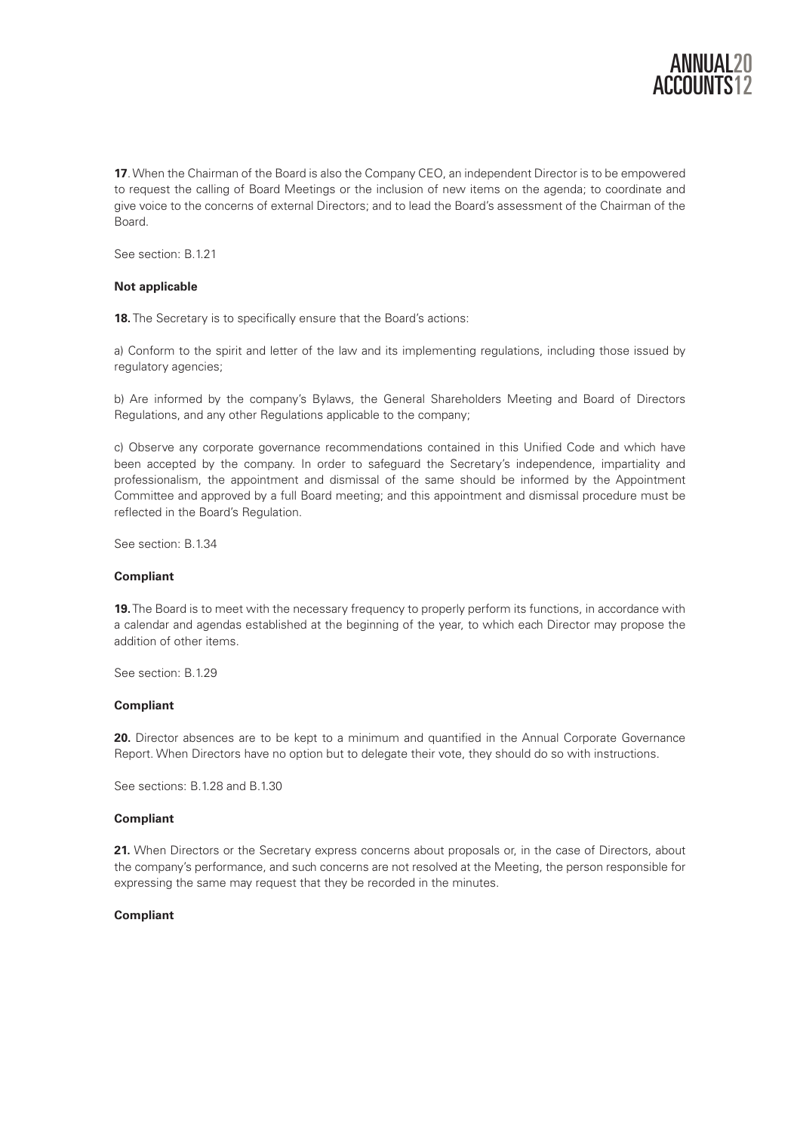

**17**. When the Chairman of the Board is also the Company CEO, an independent Director is to be empowered to request the calling of Board Meetings or the inclusion of new items on the agenda; to coordinate and give voice to the concerns of external Directors; and to lead the Board's assessment of the Chairman of the Board.

See section: B.1.21

## **Not applicable**

**18.** The Secretary is to specifically ensure that the Board's actions:

a) Conform to the spirit and letter of the law and its implementing regulations, including those issued by regulatory agencies;

b) Are informed by the company's Bylaws, the General Shareholders Meeting and Board of Directors Regulations, and any other Regulations applicable to the company;

c) Observe any corporate governance recommendations contained in this Unified Code and which have been accepted by the company. In order to safeguard the Secretary's independence, impartiality and professionalism, the appointment and dismissal of the same should be informed by the Appointment Committee and approved by a full Board meeting; and this appointment and dismissal procedure must be reflected in the Board's Regulation.

See section: B.1.34

## **Compliant**

**19.** The Board is to meet with the necessary frequency to properly perform its functions, in accordance with a calendar and agendas established at the beginning of the year, to which each Director may propose the addition of other items.

See section: B 1.29

#### **Compliant**

**20.** Director absences are to be kept to a minimum and quantified in the Annual Corporate Governance Report. When Directors have no option but to delegate their vote, they should do so with instructions.

See sections: B.1.28 and B.1.30

#### **Compliant**

21. When Directors or the Secretary express concerns about proposals or, in the case of Directors, about the company's performance, and such concerns are not resolved at the Meeting, the person responsible for expressing the same may request that they be recorded in the minutes.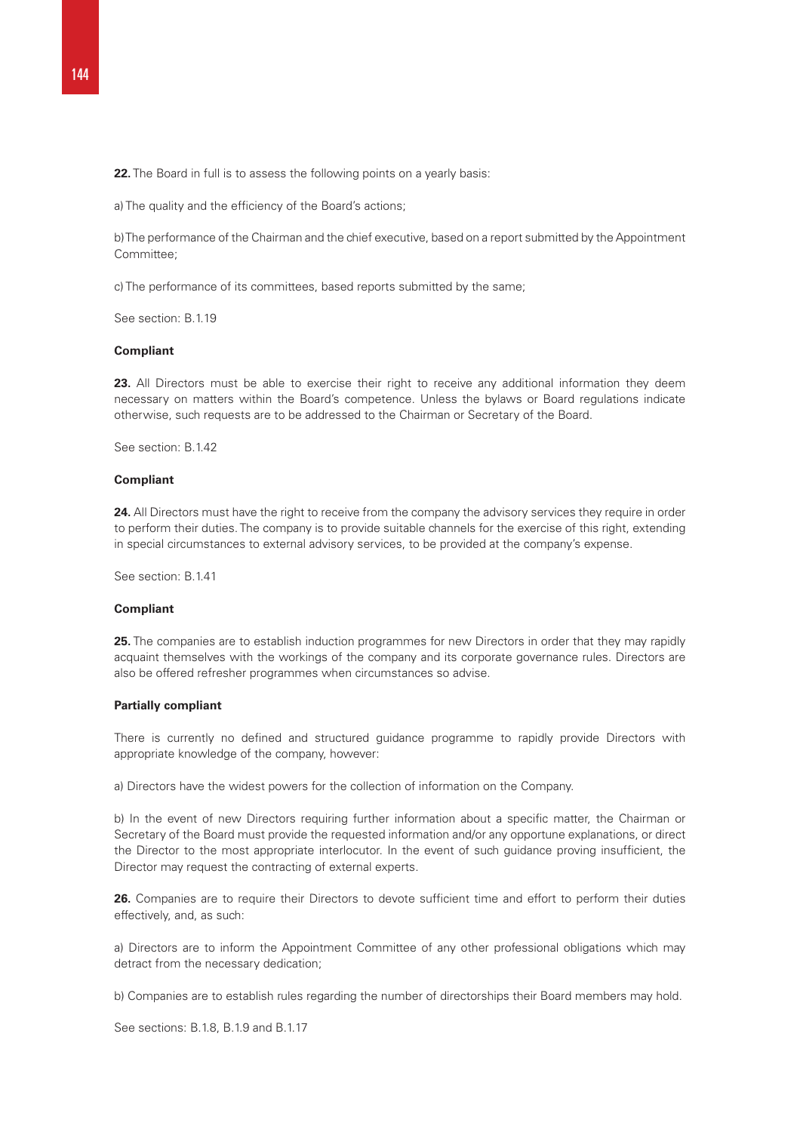**22.** The Board in full is to assess the following points on a vearly basis:

a) The quality and the efficiency of the Board's actions;

b) The performance of the Chairman and the chief executive, based on a report submitted by the Appointment Committee;

c) The performance of its committees, based reports submitted by the same;

See section: B.1.19

#### **Compliant**

**23.** All Directors must be able to exercise their right to receive any additional information they deem necessary on matters within the Board's competence. Unless the bylaws or Board regulations indicate otherwise, such requests are to be addressed to the Chairman or Secretary of the Board.

See section: B.1.42

#### **Compliant**

**24.** All Directors must have the right to receive from the company the advisory services they require in order to perform their duties. The company is to provide suitable channels for the exercise of this right, extending in special circumstances to external advisory services, to be provided at the company's expense.

See section: B 141

# **Compliant**

**25.** The companies are to establish induction programmes for new Directors in order that they may rapidly acquaint themselves with the workings of the company and its corporate governance rules. Directors are also be offered refresher programmes when circumstances so advise.

#### **Partially compliant**

There is currently no defined and structured guidance programme to rapidly provide Directors with appropriate knowledge of the company, however:

a) Directors have the widest powers for the collection of information on the Company.

b) In the event of new Directors requiring further information about a specific matter, the Chairman or Secretary of the Board must provide the requested information and/or any opportune explanations, or direct the Director to the most appropriate interlocutor. In the event of such guidance proving insufficient, the Director may request the contracting of external experts.

26. Companies are to require their Directors to devote sufficient time and effort to perform their duties effectively, and, as such:

a) Directors are to inform the Appointment Committee of any other professional obligations which may detract from the necessary dedication;

b) Companies are to establish rules regarding the number of directorships their Board members may hold.

See sections: B.1.8, B.1.9 and B.1.17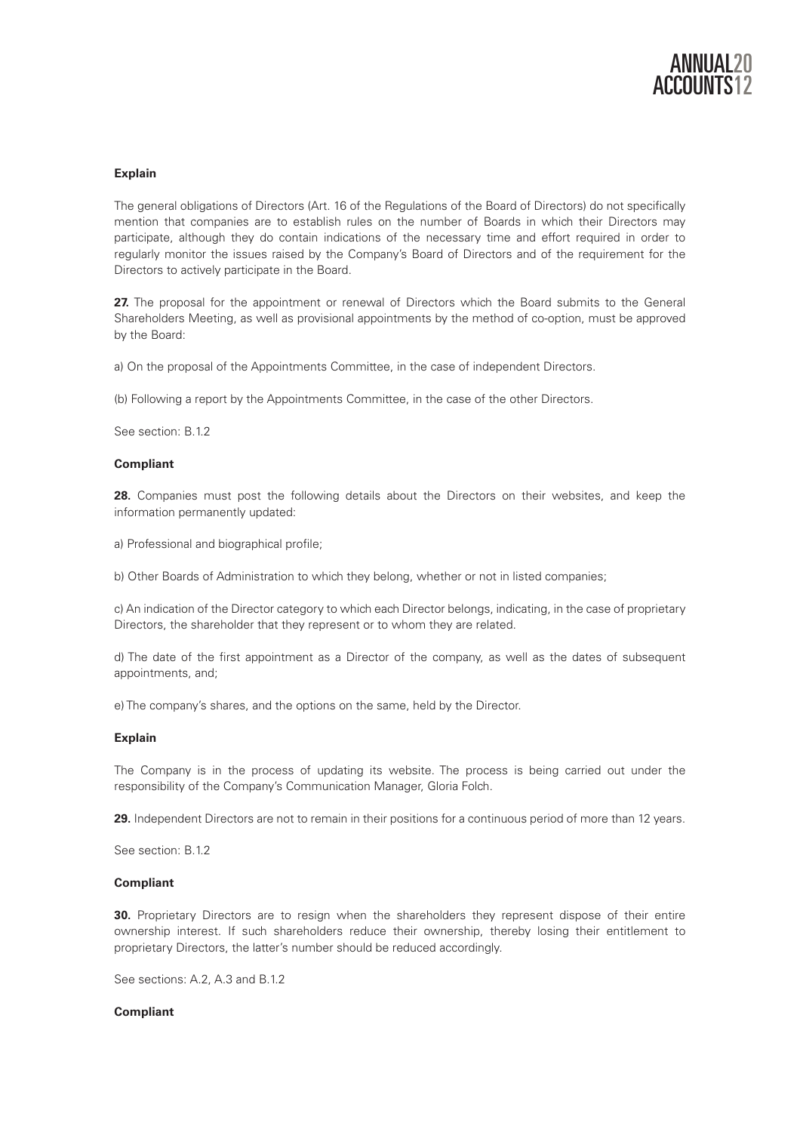

# **Explain**

The general obligations of Directors (Art. 16 of the Regulations of the Board of Directors) do not specifically mention that companies are to establish rules on the number of Boards in which their Directors may participate, although they do contain indications of the necessary time and effort required in order to regularly monitor the issues raised by the Company's Board of Directors and of the requirement for the Directors to actively participate in the Board.

27. The proposal for the appointment or renewal of Directors which the Board submits to the General Shareholders Meeting, as well as provisional appointments by the method of co-option, must be approved by the Board:

a) On the proposal of the Appointments Committee, in the case of independent Directors.

(b) Following a report by the Appointments Committee, in the case of the other Directors.

See section: B.1.2

## **Compliant**

**28.** Companies must post the following details about the Directors on their websites, and keep the information permanently updated:

a) Professional and biographical profile;

b) Other Boards of Administration to which they belong, whether or not in listed companies;

c) An indication of the Director category to which each Director belongs, indicating, in the case of proprietary Directors, the shareholder that they represent or to whom they are related.

d) The date of the first appointment as a Director of the company, as well as the dates of subsequent appointments, and;

e) The company's shares, and the options on the same, held by the Director.

## **Explain**

The Company is in the process of updating its website. The process is being carried out under the responsibility of the Company's Communication Manager, Gloria Folch.

**29.** Independent Directors are not to remain in their positions for a continuous period of more than 12 years.

See section: B.1.2

#### **Compliant**

**30.** Proprietary Directors are to resign when the shareholders they represent dispose of their entire ownership interest. If such shareholders reduce their ownership, thereby losing their entitlement to proprietary Directors, the latter's number should be reduced accordingly.

See sections: A.2, A.3 and B.1.2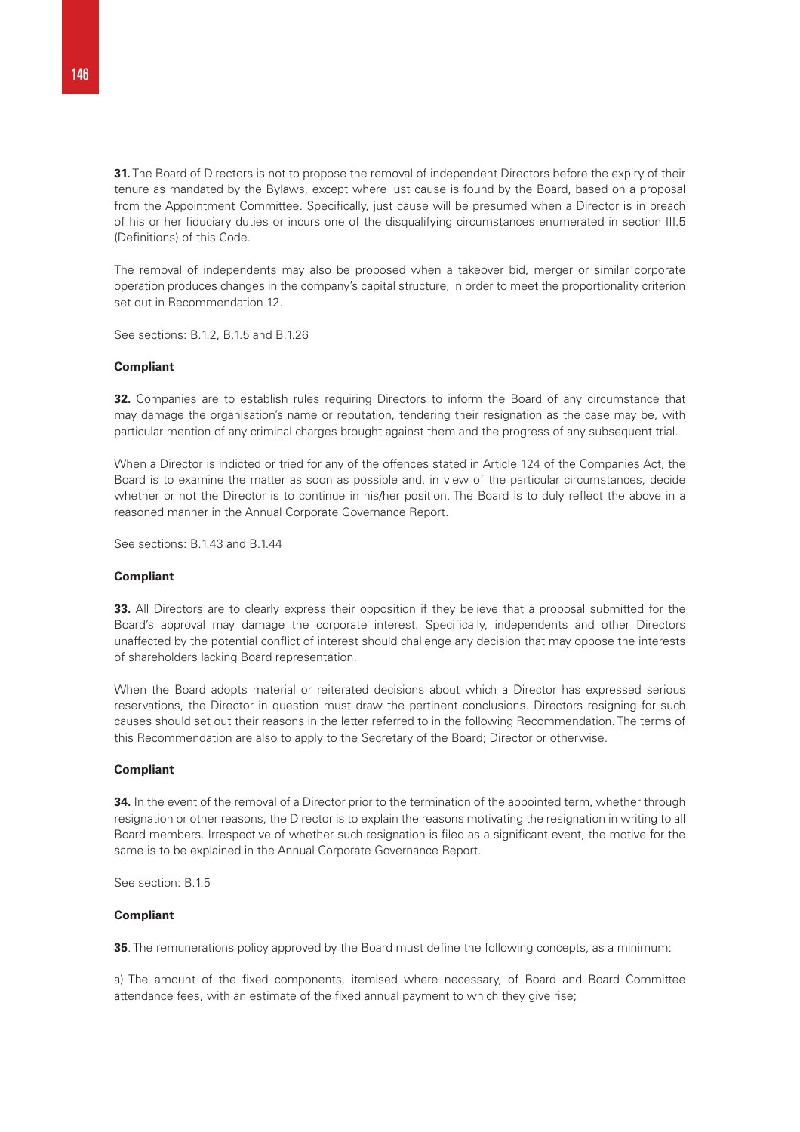**31.** The Board of Directors is not to propose the removal of independent Directors before the expiry of their tenure as mandated by the Bylaws, except where just cause is found by the Board, based on a proposal from the Appointment Committee. Specifically, just cause will be presumed when a Director is in breach of his or her fiduciary duties or incurs one of the disqualifying circumstances enumerated in section III.5 (Definitions) of this Code.

The removal of independents may also be proposed when a takeover bid, merger or similar corporate operation produces changes in the company's capital structure, in order to meet the proportionality criterion set out in Recommendation 12.

See sections: B.1.2, B.1.5 and B.1.26

#### **Compliant**

**32.** Companies are to establish rules requiring Directors to inform the Board of any circumstance that may damage the organisation's name or reputation, tendering their resignation as the case may be, with particular mention of any criminal charges brought against them and the progress of any subsequent trial.

When a Director is indicted or tried for any of the offences stated in Article 124 of the Companies Act, the Board is to examine the matter as soon as possible and, in view of the particular circumstances, decide whether or not the Director is to continue in his/her position. The Board is to duly reflect the above in a reasoned manner in the Annual Corporate Governance Report.

See sections: B.1.43 and B.1.44

#### **Compliant**

**33.** All Directors are to clearly express their opposition if they believe that a proposal submitted for the Board's approval may damage the corporate interest. Specifically, independents and other Directors unaffected by the potential conflict of interest should challenge any decision that may oppose the interests of shareholders lacking Board representation.

When the Board adopts material or reiterated decisions about which a Director has expressed serious reservations, the Director in question must draw the pertinent conclusions. Directors resigning for such causes should set out their reasons in the letter referred to in the following Recommendation. The terms of this Recommendation are also to apply to the Secretary of the Board; Director or otherwise.

#### **Compliant**

**34.** In the event of the removal of a Director prior to the termination of the appointed term, whether through resignation or other reasons, the Director is to explain the reasons motivating the resignation in writing to all Board members. Irrespective of whether such resignation is filed as a significant event, the motive for the same is to be explained in the Annual Corporate Governance Report.

See section: B.1.5

#### **Compliant**

**35**. The remunerations policy approved by the Board must define the following concepts, as a minimum:

a) The amount of the fixed components, itemised where necessary, of Board and Board Committee attendance fees, with an estimate of the fixed annual payment to which they give rise;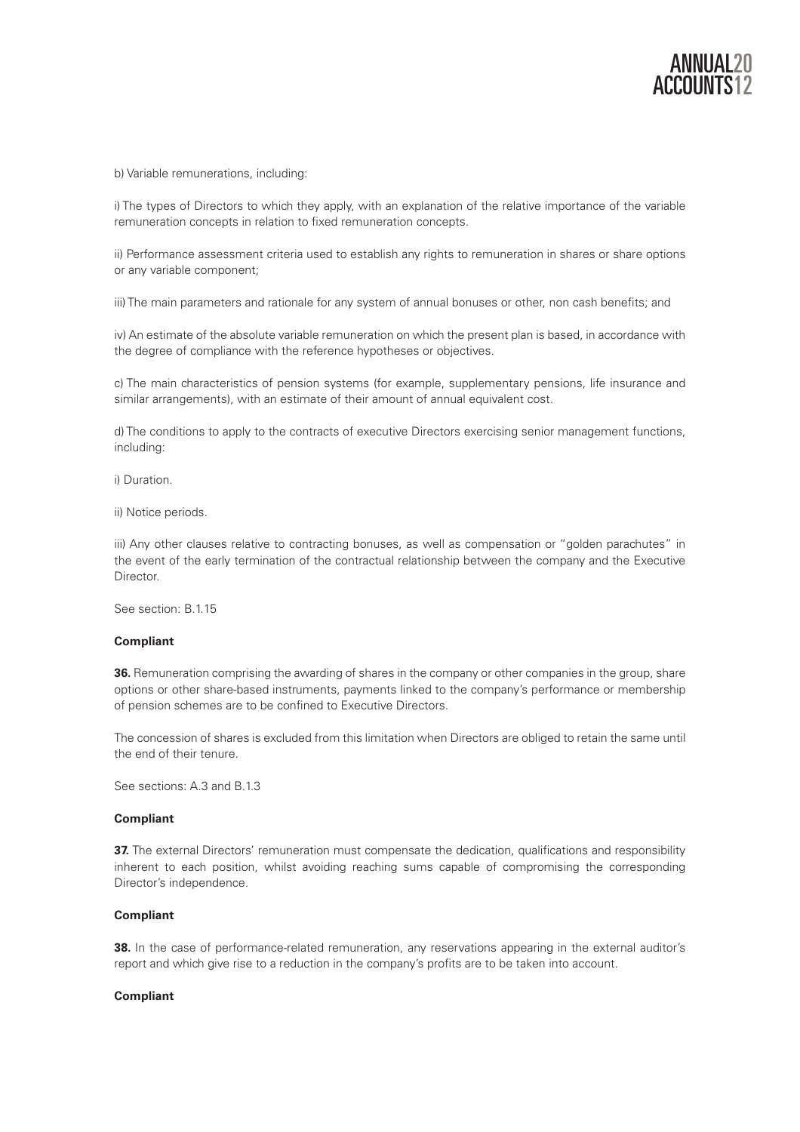

b) Variable remunerations, including:

i) The types of Directors to which they apply, with an explanation of the relative importance of the variable remuneration concepts in relation to fixed remuneration concepts.

ii) Performance assessment criteria used to establish any rights to remuneration in shares or share options or any variable component;

iii) The main parameters and rationale for any system of annual bonuses or other, non cash benefits; and

iv) An estimate of the absolute variable remuneration on which the present plan is based, in accordance with the degree of compliance with the reference hypotheses or objectives.

c) The main characteristics of pension systems (for example, supplementary pensions, life insurance and similar arrangements), with an estimate of their amount of annual equivalent cost.

d) The conditions to apply to the contracts of executive Directors exercising senior management functions, including:

i) Duration.

ii) Notice periods.

iii) Any other clauses relative to contracting bonuses, as well as compensation or "golden parachutes" in the event of the early termination of the contractual relationship between the company and the Executive Director.

See section: B.1.15

## **Compliant**

**36.** Remuneration comprising the awarding of shares in the company or other companies in the group, share options or other share-based instruments, payments linked to the company's performance or membership of pension schemes are to be confined to Executive Directors.

The concession of shares is excluded from this limitation when Directors are obliged to retain the same until the end of their tenure.

See sections: A.3 and B.1.3

## **Compliant**

**37.** The external Directors' remuneration must compensate the dedication, qualifications and responsibility inherent to each position, whilst avoiding reaching sums capable of compromising the corresponding Director's independence.

#### **Compliant**

**38.** In the case of performance-related remuneration, any reservations appearing in the external auditor's report and which give rise to a reduction in the company's profits are to be taken into account.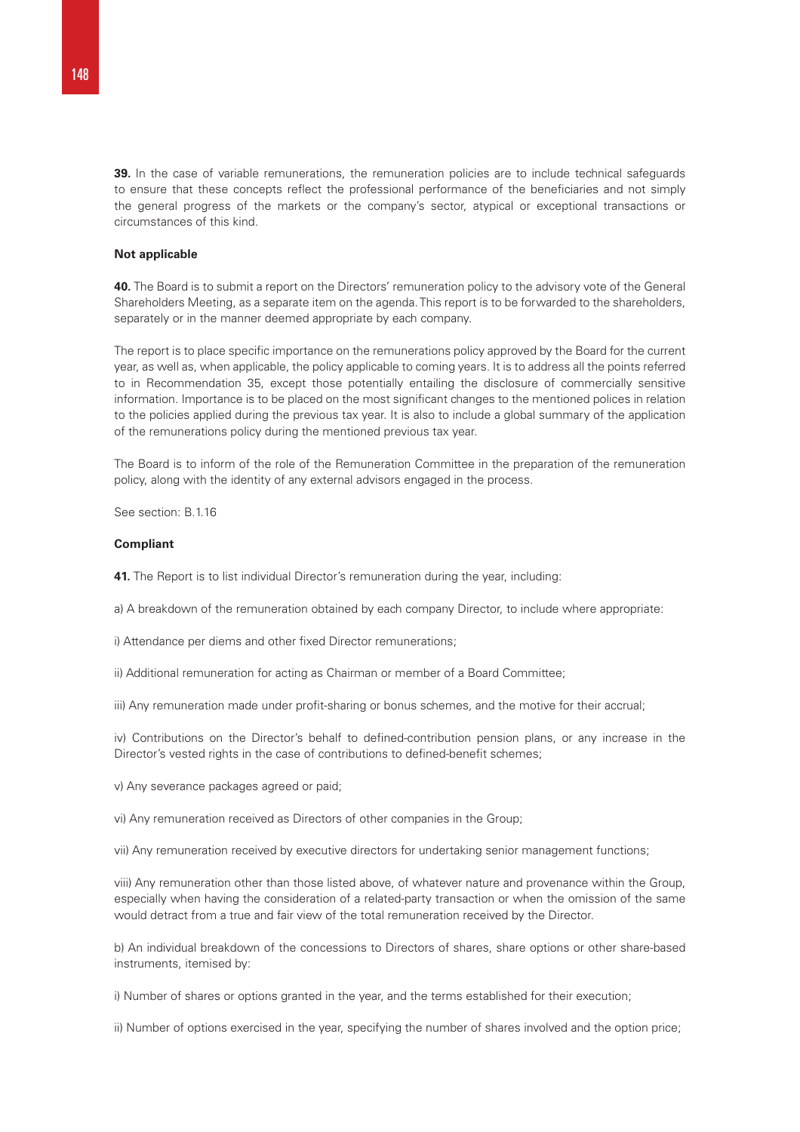**39.** In the case of variable remunerations, the remuneration policies are to include technical safeguards to ensure that these concepts reflect the professional performance of the beneficiaries and not simply the general progress of the markets or the company's sector, atypical or exceptional transactions or circumstances of this kind.

#### **Not applicable**

**40.** The Board is to submit a report on the Directors' remuneration policy to the advisory vote of the General Shareholders Meeting, as a separate item on the agenda. This report is to be forwarded to the shareholders, separately or in the manner deemed appropriate by each company.

The report is to place specific importance on the remunerations policy approved by the Board for the current year, as well as, when applicable, the policy applicable to coming years. It is to address all the points referred to in Recommendation 35, except those potentially entailing the disclosure of commercially sensitive information. Importance is to be placed on the most significant changes to the mentioned polices in relation to the policies applied during the previous tax year. It is also to include a global summary of the application of the remunerations policy during the mentioned previous tax year.

The Board is to inform of the role of the Remuneration Committee in the preparation of the remuneration policy, along with the identity of any external advisors engaged in the process.

See section: B.1.16

#### **Compliant**

**41.** The Report is to list individual Director's remuneration during the year, including:

a) A breakdown of the remuneration obtained by each company Director, to include where appropriate:

i) Attendance per diems and other fixed Director remunerations;

ii) Additional remuneration for acting as Chairman or member of a Board Committee;

iii) Any remuneration made under profit-sharing or bonus schemes, and the motive for their accrual;

iv) Contributions on the Director's behalf to defined-contribution pension plans, or any increase in the Director's vested rights in the case of contributions to defined-benefit schemes;

v) Any severance packages agreed or paid;

vi) Any remuneration received as Directors of other companies in the Group;

vii) Any remuneration received by executive directors for undertaking senior management functions;

viii) Any remuneration other than those listed above, of whatever nature and provenance within the Group, especially when having the consideration of a related-party transaction or when the omission of the same would detract from a true and fair view of the total remuneration received by the Director.

b) An individual breakdown of the concessions to Directors of shares, share options or other share-based instruments, itemised by:

i) Number of shares or options granted in the year, and the terms established for their execution;

ii) Number of options exercised in the year, specifying the number of shares involved and the option price;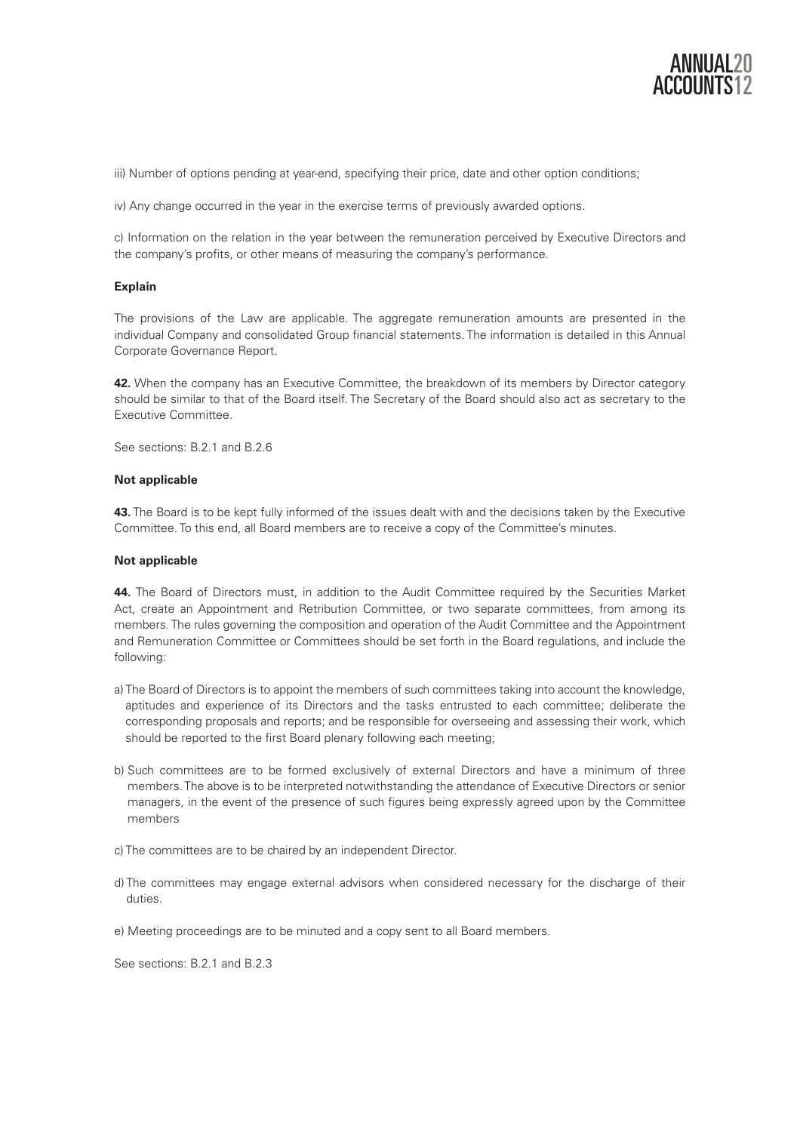

iii) Number of options pending at year-end, specifying their price, date and other option conditions;

iv) Any change occurred in the year in the exercise terms of previously awarded options.

c) Information on the relation in the year between the remuneration perceived by Executive Directors and the company's profits, or other means of measuring the company's performance.

## **Explain**

The provisions of the Law are applicable. The aggregate remuneration amounts are presented in the individual Company and consolidated Group financial statements. The information is detailed in this Annual Corporate Governance Report.

**42.** When the company has an Executive Committee, the breakdown of its members by Director category should be similar to that of the Board itself. The Secretary of the Board should also act as secretary to the Executive Committee.

See sections: B.2.1 and B.2.6

#### **Not applicable**

**43.** The Board is to be kept fully informed of the issues dealt with and the decisions taken by the Executive Committee. To this end, all Board members are to receive a copy of the Committee's minutes.

#### **Not applicable**

**44.** The Board of Directors must, in addition to the Audit Committee required by the Securities Market Act, create an Appointment and Retribution Committee, or two separate committees, from among its members. The rules governing the composition and operation of the Audit Committee and the Appointment and Remuneration Committee or Committees should be set forth in the Board regulations, and include the following:

- a) The Board of Directors is to appoint the members of such committees taking into account the knowledge, aptitudes and experience of its Directors and the tasks entrusted to each committee; deliberate the corresponding proposals and reports; and be responsible for overseeing and assessing their work, which should be reported to the first Board plenary following each meeting;
- b) Such committees are to be formed exclusively of external Directors and have a minimum of three members. The above is to be interpreted notwithstanding the attendance of Executive Directors or senior managers, in the event of the presence of such figures being expressly agreed upon by the Committee members
- c) The committees are to be chaired by an independent Director.
- d) The committees may engage external advisors when considered necessary for the discharge of their duties.
- e) Meeting proceedings are to be minuted and a copy sent to all Board members.

See sections: B.2.1 and B.2.3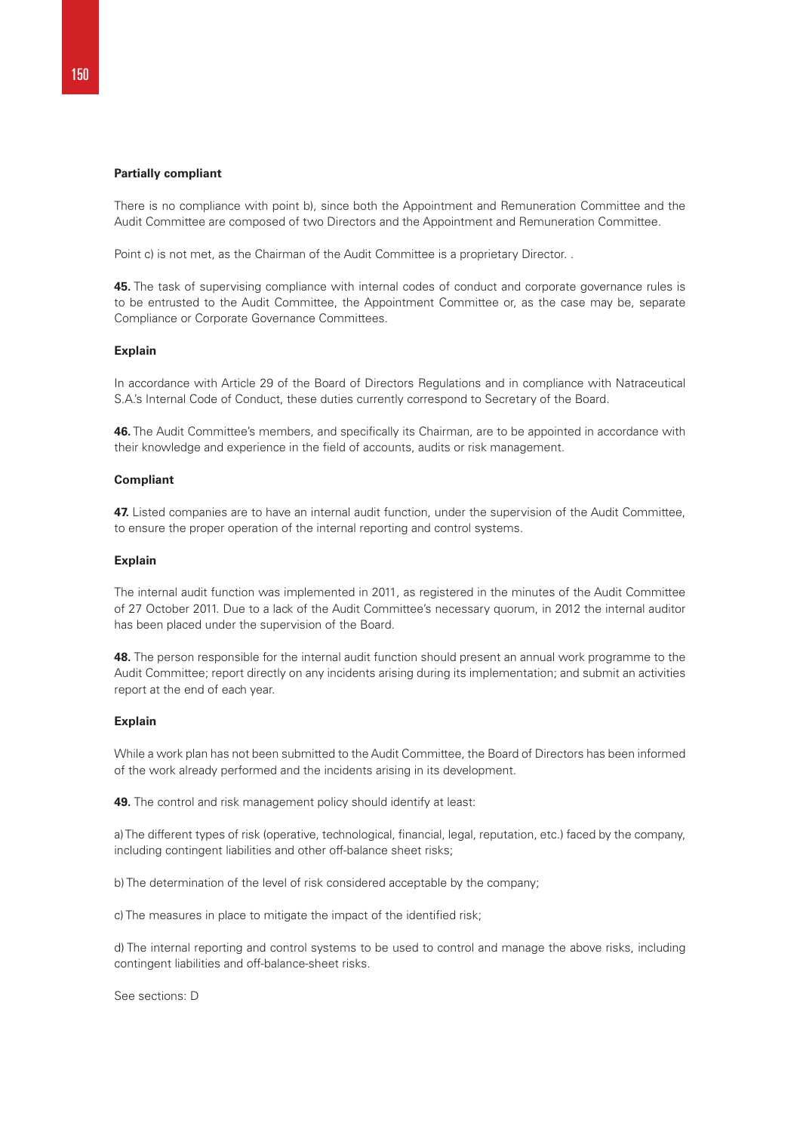#### **Partially compliant**

There is no compliance with point b), since both the Appointment and Remuneration Committee and the Audit Committee are composed of two Directors and the Appointment and Remuneration Committee.

Point c) is not met, as the Chairman of the Audit Committee is a proprietary Director. .

**45.** The task of supervising compliance with internal codes of conduct and corporate governance rules is to be entrusted to the Audit Committee, the Appointment Committee or, as the case may be, separate Compliance or Corporate Governance Committees.

#### **Explain**

In accordance with Article 29 of the Board of Directors Regulations and in compliance with Natraceutical S.A.'s Internal Code of Conduct, these duties currently correspond to Secretary of the Board.

**46.** The Audit Committee's members, and specifically its Chairman, are to be appointed in accordance with their knowledge and experience in the field of accounts, audits or risk management.

#### **Compliant**

**47.** Listed companies are to have an internal audit function, under the supervision of the Audit Committee, to ensure the proper operation of the internal reporting and control systems.

#### **Explain**

The internal audit function was implemented in 2011, as registered in the minutes of the Audit Committee of 27 October 2011. Due to a lack of the Audit Committee's necessary quorum, in 2012 the internal auditor has been placed under the supervision of the Board.

**48.** The person responsible for the internal audit function should present an annual work programme to the Audit Committee; report directly on any incidents arising during its implementation; and submit an activities report at the end of each year.

## **Explain**

While a work plan has not been submitted to the Audit Committee, the Board of Directors has been informed of the work already performed and the incidents arising in its development.

**49.** The control and risk management policy should identify at least:

a) The different types of risk (operative, technological, financial, legal, reputation, etc.) faced by the company, including contingent liabilities and other off-balance sheet risks;

b) The determination of the level of risk considered acceptable by the company;

c) The measures in place to mitigate the impact of the identified risk;

d) The internal reporting and control systems to be used to control and manage the above risks, including contingent liabilities and off-balance-sheet risks.

See sections: D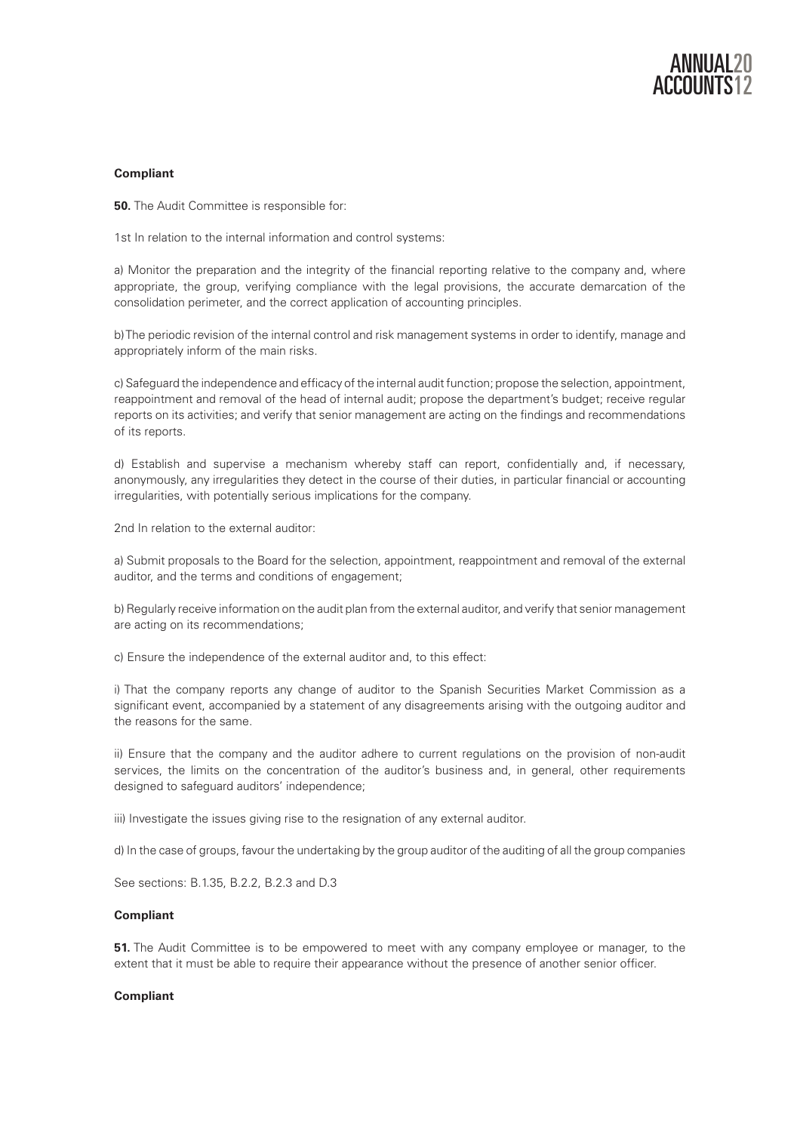

## **Compliant**

**50.** The Audit Committee is responsible for:

1st In relation to the internal information and control systems:

a) Monitor the preparation and the integrity of the financial reporting relative to the company and, where appropriate, the group, verifying compliance with the legal provisions, the accurate demarcation of the consolidation perimeter, and the correct application of accounting principles.

b) The periodic revision of the internal control and risk management systems in order to identify, manage and appropriately inform of the main risks.

c) Safeguard the independence and efficacy of the internal audit function; propose the selection, appointment, reappointment and removal of the head of internal audit; propose the department's budget; receive regular reports on its activities; and verify that senior management are acting on the findings and recommendations of its reports.

d) Establish and supervise a mechanism whereby staff can report, confidentially and, if necessary, anonymously, any irregularities they detect in the course of their duties, in particular financial or accounting irregularities, with potentially serious implications for the company.

2nd In relation to the external auditor:

a) Submit proposals to the Board for the selection, appointment, reappointment and removal of the external auditor, and the terms and conditions of engagement;

b) Regularly receive information on the audit plan from the external auditor, and verify that senior management are acting on its recommendations;

c) Ensure the independence of the external auditor and, to this effect:

i) That the company reports any change of auditor to the Spanish Securities Market Commission as a significant event, accompanied by a statement of any disagreements arising with the outgoing auditor and the reasons for the same.

ii) Ensure that the company and the auditor adhere to current regulations on the provision of non-audit services, the limits on the concentration of the auditor's business and, in general, other requirements designed to safeguard auditors' independence;

iii) Investigate the issues giving rise to the resignation of any external auditor.

d) In the case of groups, favour the undertaking by the group auditor of the auditing of all the group companies

See sections: B.1.35, B.2.2, B.2.3 and D.3

## **Compliant**

**51.** The Audit Committee is to be empowered to meet with any company employee or manager, to the extent that it must be able to require their appearance without the presence of another senior officer.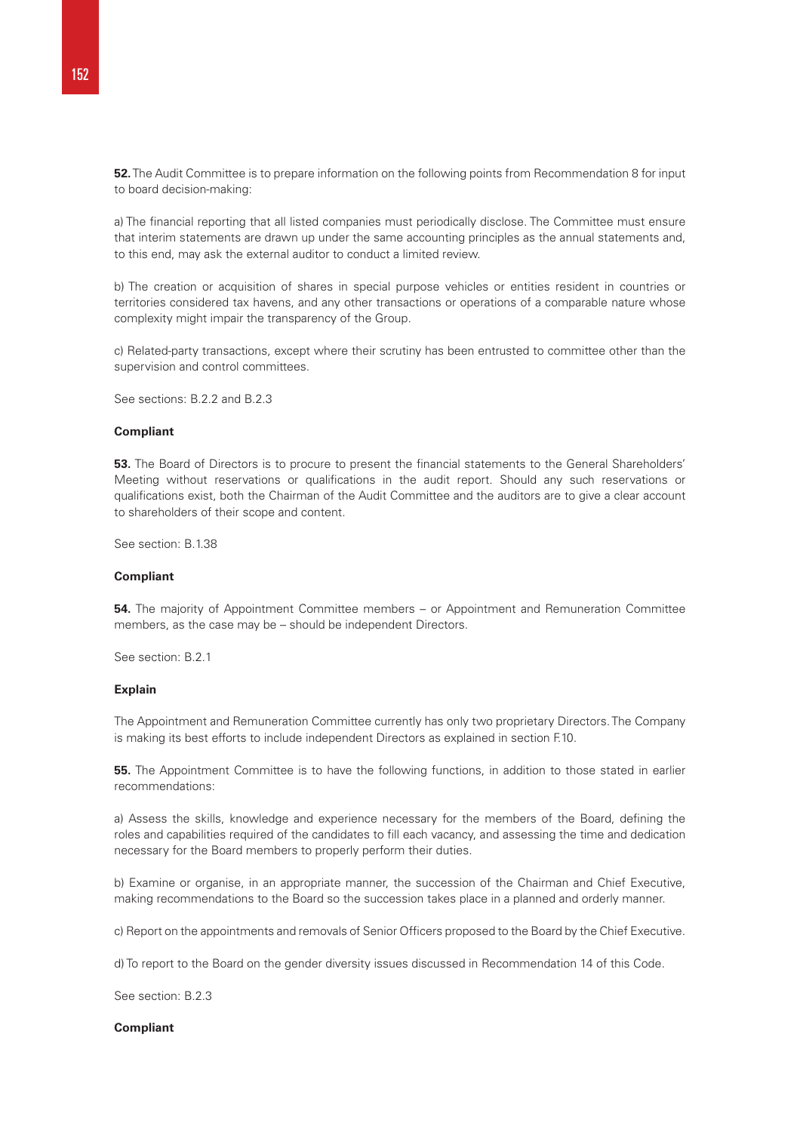**52.** The Audit Committee is to prepare information on the following points from Recommendation 8 for input to board decision-making:

a) The financial reporting that all listed companies must periodically disclose. The Committee must ensure that interim statements are drawn up under the same accounting principles as the annual statements and, to this end, may ask the external auditor to conduct a limited review.

b) The creation or acquisition of shares in special purpose vehicles or entities resident in countries or territories considered tax havens, and any other transactions or operations of a comparable nature whose complexity might impair the transparency of the Group.

c) Related-party transactions, except where their scrutiny has been entrusted to committee other than the supervision and control committees.

See sections: B.2.2 and B.2.3

#### **Compliant**

**53.** The Board of Directors is to procure to present the financial statements to the General Shareholders' Meeting without reservations or qualifications in the audit report. Should any such reservations or qualifications exist, both the Chairman of the Audit Committee and the auditors are to give a clear account to shareholders of their scope and content.

See section: B.1.38

#### **Compliant**

**54.** The majority of Appointment Committee members – or Appointment and Remuneration Committee members, as the case may be – should be independent Directors.

See section: B.2.1

# **Explain**

The Appointment and Remuneration Committee currently has only two proprietary Directors. The Company is making its best efforts to include independent Directors as explained in section F.10.

**55.** The Appointment Committee is to have the following functions, in addition to those stated in earlier recommendations:

a) Assess the skills, knowledge and experience necessary for the members of the Board, defining the roles and capabilities required of the candidates to fill each vacancy, and assessing the time and dedication necessary for the Board members to properly perform their duties.

b) Examine or organise, in an appropriate manner, the succession of the Chairman and Chief Executive, making recommendations to the Board so the succession takes place in a planned and orderly manner.

c) Report on the appointments and removals of Senior Officers proposed to the Board by the Chief Executive.

d) To report to the Board on the gender diversity issues discussed in Recommendation 14 of this Code.

See section: B.2.3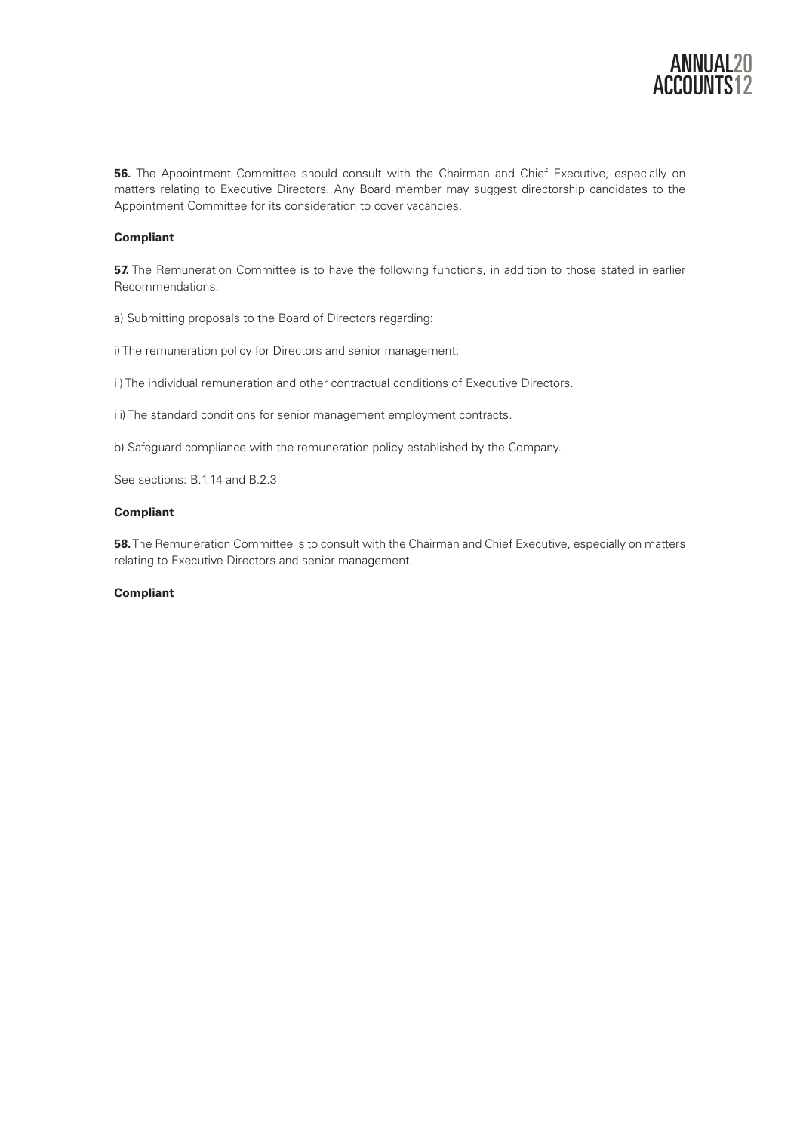

**56.** The Appointment Committee should consult with the Chairman and Chief Executive, especially on matters relating to Executive Directors. Any Board member may suggest directorship candidates to the Appointment Committee for its consideration to cover vacancies.

# **Compliant**

**57.** The Remuneration Committee is to have the following functions, in addition to those stated in earlier Recommendations:

a) Submitting proposals to the Board of Directors regarding:

i) The remuneration policy for Directors and senior management;

ii) The individual remuneration and other contractual conditions of Executive Directors.

iii) The standard conditions for senior management employment contracts.

b) Safeguard compliance with the remuneration policy established by the Company.

See sections: B.1.14 and B.2.3

# **Compliant**

**58.** The Remuneration Committee is to consult with the Chairman and Chief Executive, especially on matters relating to Executive Directors and senior management.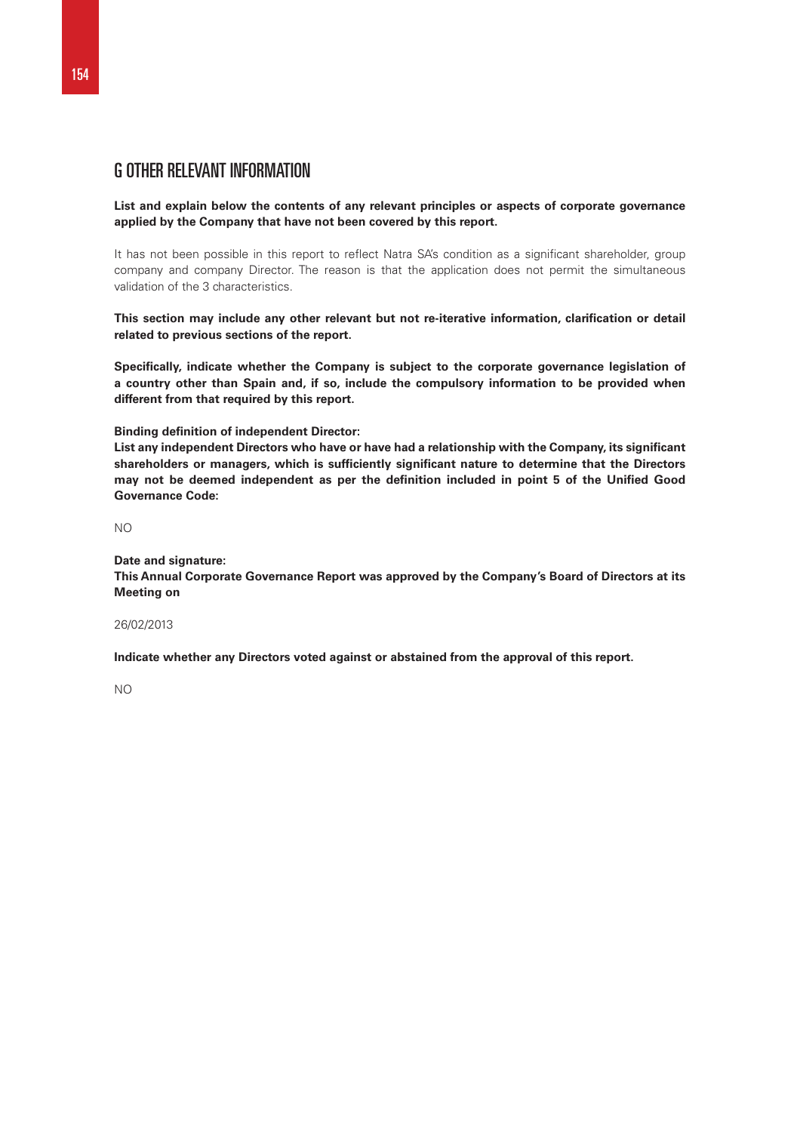# G OTHER RELEVANT INFORMATION

**List and explain below the contents of any relevant principles or aspects of corporate governance applied by the Company that have not been covered by this report.** 

It has not been possible in this report to reflect Natra SA's condition as a significant shareholder, group company and company Director. The reason is that the application does not permit the simultaneous validation of the 3 characteristics.

**This section may include any other relevant but not re-iterative information, clarification or detail related to previous sections of the report.** 

**Specifically, indicate whether the Company is subject to the corporate governance legislation of a country other than Spain and, if so, include the compulsory information to be provided when different from that required by this report.** 

#### **Binding definition of independent Director:**

**List any independent Directors who have or have had a relationship with the Company, its significant shareholders or managers, which is sufficiently significant nature to determine that the Directors may not be deemed independent as per the definition included in point 5 of the Unified Good Governance Code:** 

NO

#### **Date and signature:**

**This Annual Corporate Governance Report was approved by the Company's Board of Directors at its Meeting on** 

# 26/02/2013

**Indicate whether any Directors voted against or abstained from the approval of this report.** 

NO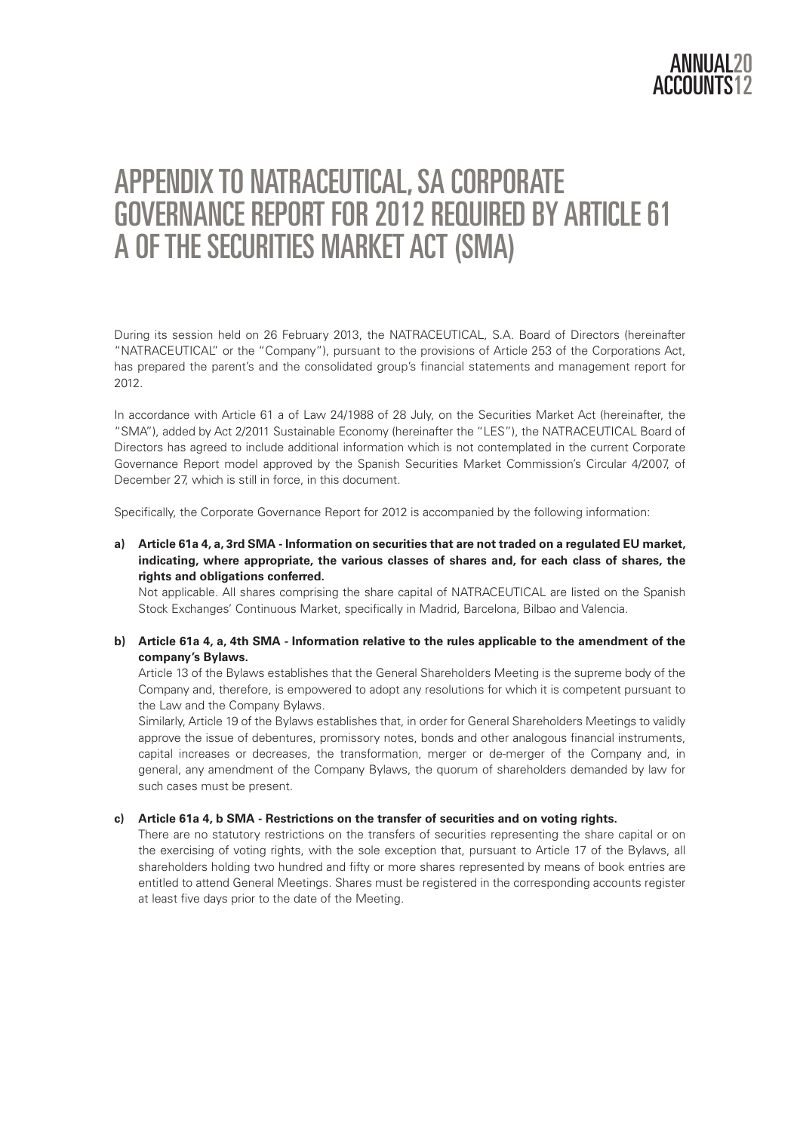# APPENDIX TO NATRACEUTICAL, SA CORPORATE GOVERNANCE REPORT FOR 2012 REQUIRED BY ARTICLE 61 A OF THE SECURITIES MARKET ACT (SMA)

During its session held on 26 February 2013, the NATRACEUTICAL, S.A. Board of Directors (hereinafter "NATRACEUTICAL" or the "Company"), pursuant to the provisions of Article 253 of the Corporations Act, has prepared the parent's and the consolidated group's financial statements and management report for 2012.

In accordance with Article 61 a of Law 24/1988 of 28 July, on the Securities Market Act (hereinafter, the "SMA"), added by Act 2/2011 Sustainable Economy (hereinafter the "LES"), the NATRACEUTICAL Board of Directors has agreed to include additional information which is not contemplated in the current Corporate Governance Report model approved by the Spanish Securities Market Commission's Circular 4/2007, of December 27, which is still in force, in this document.

Specifically, the Corporate Governance Report for 2012 is accompanied by the following information:

# **a) Article 61a 4, a, 3rd SMA - Information on securities that are not traded on a regulated EU market, indicating, where appropriate, the various classes of shares and, for each class of shares, the rights and obligations conferred.**

Not applicable. All shares comprising the share capital of NATRACEUTICAL are listed on the Spanish Stock Exchanges' Continuous Market, specifically in Madrid, Barcelona, Bilbao and Valencia.

# **b) Article 61a 4, a, 4th SMA - Information relative to the rules applicable to the amendment of the company's Bylaws.**

Article 13 of the Bylaws establishes that the General Shareholders Meeting is the supreme body of the Company and, therefore, is empowered to adopt any resolutions for which it is competent pursuant to the Law and the Company Bylaws.

Similarly, Article 19 of the Bylaws establishes that, in order for General Shareholders Meetings to validly approve the issue of debentures, promissory notes, bonds and other analogous financial instruments, capital increases or decreases, the transformation, merger or de-merger of the Company and, in general, any amendment of the Company Bylaws, the quorum of shareholders demanded by law for such cases must be present.

# **c) Article 61a 4, b SMA - Restrictions on the transfer of securities and on voting rights.**

There are no statutory restrictions on the transfers of securities representing the share capital or on the exercising of voting rights, with the sole exception that, pursuant to Article 17 of the Bylaws, all shareholders holding two hundred and fifty or more shares represented by means of book entries are entitled to attend General Meetings. Shares must be registered in the corresponding accounts register at least five days prior to the date of the Meeting.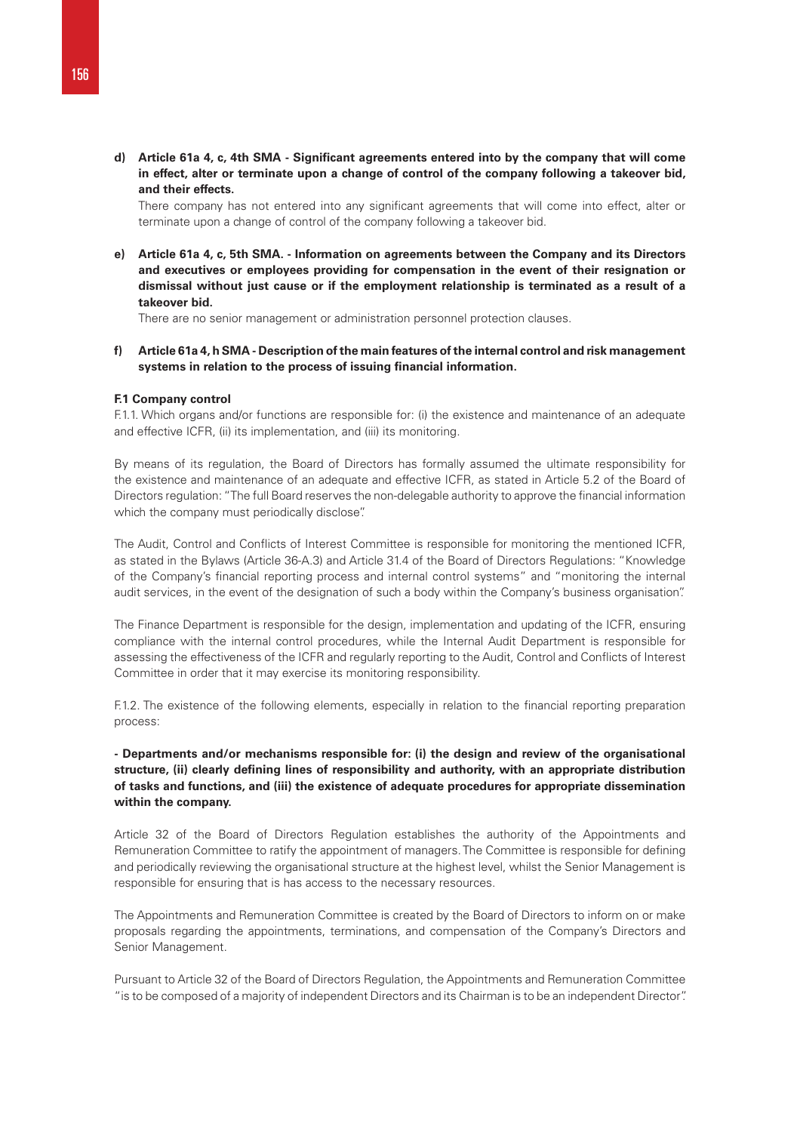**d) Article 61a 4, c, 4th SMA - Significant agreements entered into by the company that will come in effect, alter or terminate upon a change of control of the company following a takeover bid, and their effects.**

There company has not entered into any significant agreements that will come into effect, alter or terminate upon a change of control of the company following a takeover bid.

**e) Article 61a 4, c, 5th SMA. - Information on agreements between the Company and its Directors and executives or employees providing for compensation in the event of their resignation or dismissal without just cause or if the employment relationship is terminated as a result of a takeover bid.**

There are no senior management or administration personnel protection clauses.

**f) Article 61a 4, h SMA - Description of the main features of the internal control and risk management systems in relation to the process of issuing financial information.**

#### **F.1 Company control**

F.1.1. Which organs and/or functions are responsible for: (i) the existence and maintenance of an adequate and effective ICFR, (ii) its implementation, and (iii) its monitoring.

By means of its regulation, the Board of Directors has formally assumed the ultimate responsibility for the existence and maintenance of an adequate and effective ICFR, as stated in Article 5.2 of the Board of Directors regulation: "The full Board reserves the non-delegable authority to approve the financial information which the company must periodically disclose".

The Audit, Control and Conflicts of Interest Committee is responsible for monitoring the mentioned ICFR, as stated in the Bylaws (Article 36-A.3) and Article 31.4 of the Board of Directors Regulations: "Knowledge of the Company's financial reporting process and internal control systems" and "monitoring the internal audit services, in the event of the designation of such a body within the Company's business organisation".

The Finance Department is responsible for the design, implementation and updating of the ICFR, ensuring compliance with the internal control procedures, while the Internal Audit Department is responsible for assessing the effectiveness of the ICFR and regularly reporting to the Audit, Control and Conflicts of Interest Committee in order that it may exercise its monitoring responsibility.

F.1.2. The existence of the following elements, especially in relation to the financial reporting preparation process:

# **- Departments and/or mechanisms responsible for: (i) the design and review of the organisational structure, (ii) clearly defining lines of responsibility and authority, with an appropriate distribution of tasks and functions, and (iii) the existence of adequate procedures for appropriate dissemination within the company.**

Article 32 of the Board of Directors Regulation establishes the authority of the Appointments and Remuneration Committee to ratify the appointment of managers. The Committee is responsible for defining and periodically reviewing the organisational structure at the highest level, whilst the Senior Management is responsible for ensuring that is has access to the necessary resources.

The Appointments and Remuneration Committee is created by the Board of Directors to inform on or make proposals regarding the appointments, terminations, and compensation of the Company's Directors and Senior Management.

Pursuant to Article 32 of the Board of Directors Regulation, the Appointments and Remuneration Committee "is to be composed of a majority of independent Directors and its Chairman is to be an independent Director".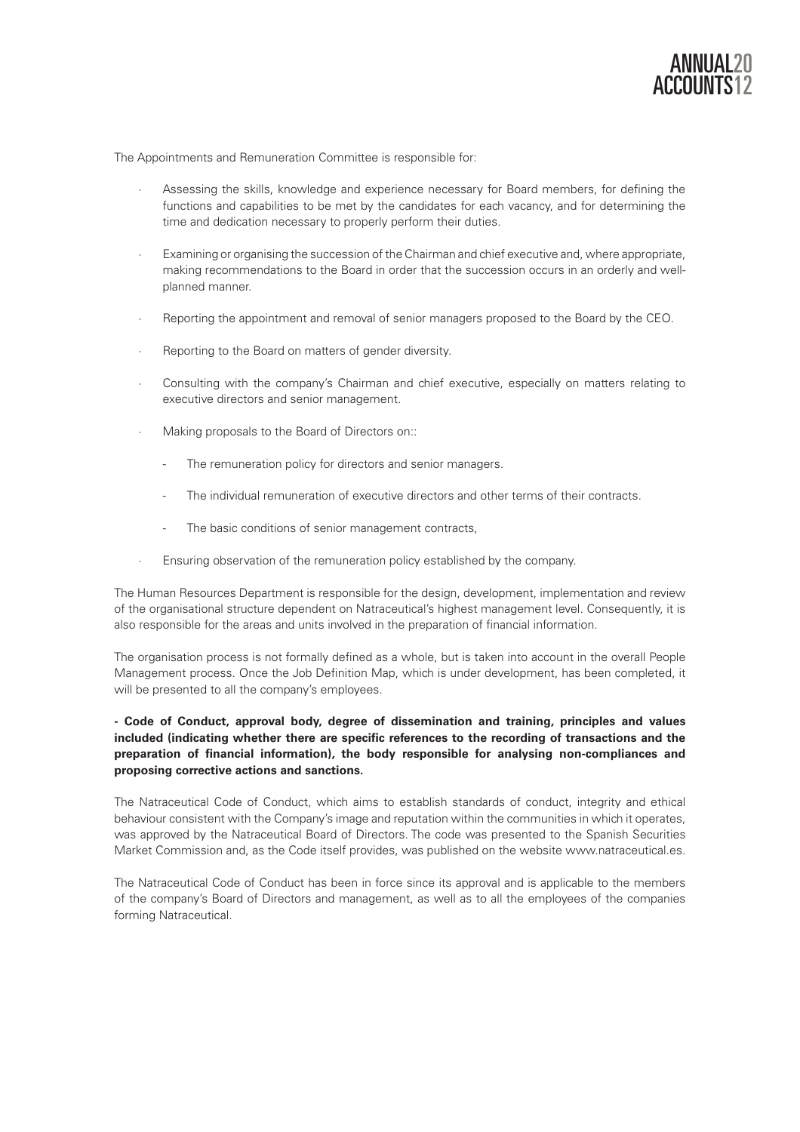

The Appointments and Remuneration Committee is responsible for:

- Assessing the skills, knowledge and experience necessary for Board members, for defining the functions and capabilities to be met by the candidates for each vacancy, and for determining the time and dedication necessary to properly perform their duties.
- Examining or organising the succession of the Chairman and chief executive and, where appropriate, making recommendations to the Board in order that the succession occurs in an orderly and wellplanned manner.
- · Reporting the appointment and removal of senior managers proposed to the Board by the CEO.
- Reporting to the Board on matters of gender diversity.
- · Consulting with the company's Chairman and chief executive, especially on matters relating to executive directors and senior management.
- Making proposals to the Board of Directors on::
	- The remuneration policy for directors and senior managers.
	- The individual remuneration of executive directors and other terms of their contracts.
	- The basic conditions of senior management contracts,
- · Ensuring observation of the remuneration policy established by the company.

The Human Resources Department is responsible for the design, development, implementation and review of the organisational structure dependent on Natraceutical's highest management level. Consequently, it is also responsible for the areas and units involved in the preparation of financial information.

The organisation process is not formally defined as a whole, but is taken into account in the overall People Management process. Once the Job Definition Map, which is under development, has been completed, it will be presented to all the company's employees.

# **- Code of Conduct, approval body, degree of dissemination and training, principles and values included (indicating whether there are specific references to the recording of transactions and the preparation of financial information), the body responsible for analysing non-compliances and proposing corrective actions and sanctions.**

The Natraceutical Code of Conduct, which aims to establish standards of conduct, integrity and ethical behaviour consistent with the Company's image and reputation within the communities in which it operates, was approved by the Natraceutical Board of Directors. The code was presented to the Spanish Securities Market Commission and, as the Code itself provides, was published on the website www.natraceutical.es.

The Natraceutical Code of Conduct has been in force since its approval and is applicable to the members of the company's Board of Directors and management, as well as to all the employees of the companies forming Natraceutical.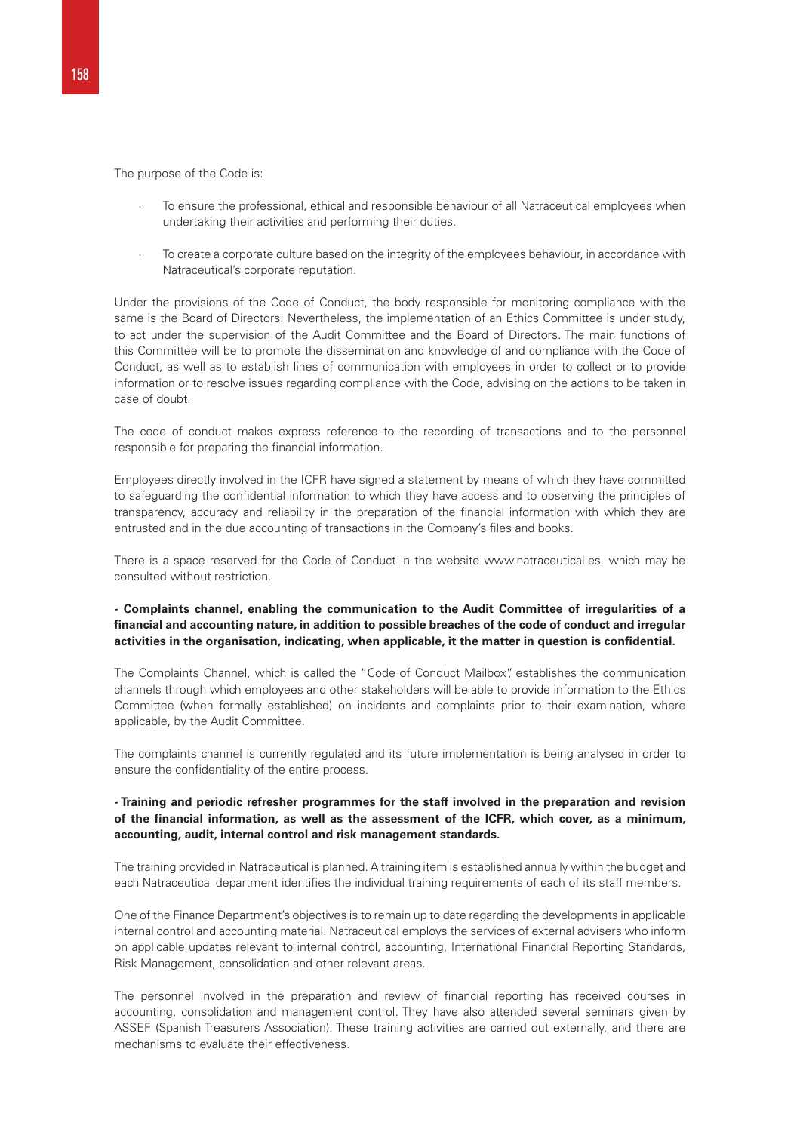The purpose of the Code is:

- To ensure the professional, ethical and responsible behaviour of all Natraceutical employees when undertaking their activities and performing their duties.
- To create a corporate culture based on the integrity of the employees behaviour, in accordance with Natraceutical's corporate reputation.

Under the provisions of the Code of Conduct, the body responsible for monitoring compliance with the same is the Board of Directors. Nevertheless, the implementation of an Ethics Committee is under study, to act under the supervision of the Audit Committee and the Board of Directors. The main functions of this Committee will be to promote the dissemination and knowledge of and compliance with the Code of Conduct, as well as to establish lines of communication with employees in order to collect or to provide information or to resolve issues regarding compliance with the Code, advising on the actions to be taken in case of doubt.

The code of conduct makes express reference to the recording of transactions and to the personnel responsible for preparing the financial information.

Employees directly involved in the ICFR have signed a statement by means of which they have committed to safeguarding the confidential information to which they have access and to observing the principles of transparency, accuracy and reliability in the preparation of the financial information with which they are entrusted and in the due accounting of transactions in the Company's files and books.

There is a space reserved for the Code of Conduct in the website www.natraceutical.es, which may be consulted without restriction.

# **- Complaints channel, enabling the communication to the Audit Committee of irregularities of a financial and accounting nature, in addition to possible breaches of the code of conduct and irregular activities in the organisation, indicating, when applicable, it the matter in question is confidential.**

The Complaints Channel, which is called the "Code of Conduct Mailbox", establishes the communication channels through which employees and other stakeholders will be able to provide information to the Ethics Committee (when formally established) on incidents and complaints prior to their examination, where applicable, by the Audit Committee.

The complaints channel is currently regulated and its future implementation is being analysed in order to ensure the confidentiality of the entire process.

# **- Training and periodic refresher programmes for the staff involved in the preparation and revision of the financial information, as well as the assessment of the ICFR, which cover, as a minimum, accounting, audit, internal control and risk management standards.**

The training provided in Natraceutical is planned. A training item is established annually within the budget and each Natraceutical department identifies the individual training requirements of each of its staff members.

One of the Finance Department's objectives is to remain up to date regarding the developments in applicable internal control and accounting material. Natraceutical employs the services of external advisers who inform on applicable updates relevant to internal control, accounting, International Financial Reporting Standards, Risk Management, consolidation and other relevant areas.

The personnel involved in the preparation and review of financial reporting has received courses in accounting, consolidation and management control. They have also attended several seminars given by ASSEF (Spanish Treasurers Association). These training activities are carried out externally, and there are mechanisms to evaluate their effectiveness.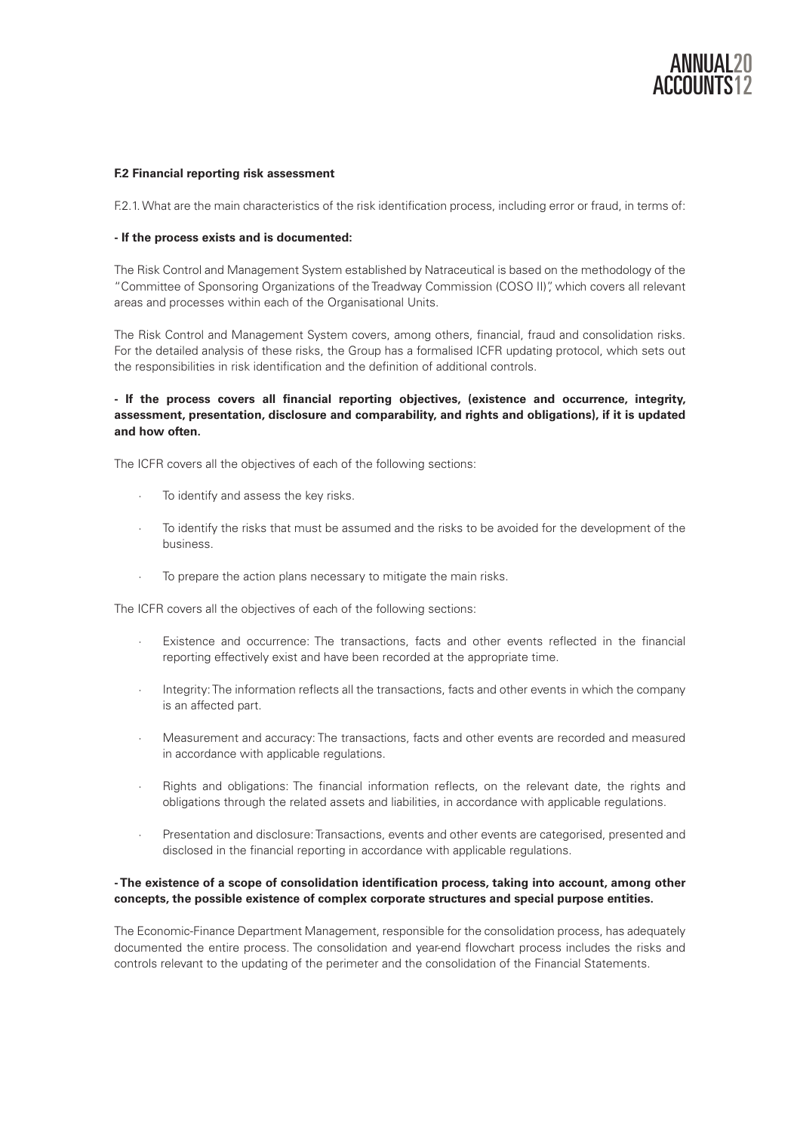

## **F.2 Financial reporting risk assessment**

F.2.1. What are the main characteristics of the risk identification process, including error or fraud, in terms of:

#### **- If the process exists and is documented:**

The Risk Control and Management System established by Natraceutical is based on the methodology of the "Committee of Sponsoring Organizations of the Treadway Commission (COSO II)", which covers all relevant areas and processes within each of the Organisational Units.

The Risk Control and Management System covers, among others, financial, fraud and consolidation risks. For the detailed analysis of these risks, the Group has a formalised ICFR updating protocol, which sets out the responsibilities in risk identification and the definition of additional controls.

# **- If the process covers all financial reporting objectives, (existence and occurrence, integrity, assessment, presentation, disclosure and comparability, and rights and obligations), if it is updated and how often.**

The ICFR covers all the objectives of each of the following sections:

- To identify and assess the key risks.
- · To identify the risks that must be assumed and the risks to be avoided for the development of the business.
- To prepare the action plans necessary to mitigate the main risks.

The ICFR covers all the objectives of each of the following sections:

- · Existence and occurrence: The transactions, facts and other events reflected in the financial reporting effectively exist and have been recorded at the appropriate time.
- Integrity: The information reflects all the transactions, facts and other events in which the company is an affected part.
- Measurement and accuracy: The transactions, facts and other events are recorded and measured in accordance with applicable regulations.
- · Rights and obligations: The financial information reflects, on the relevant date, the rights and obligations through the related assets and liabilities, in accordance with applicable regulations.
- Presentation and disclosure: Transactions, events and other events are categorised, presented and disclosed in the financial reporting in accordance with applicable regulations.

# **- The existence of a scope of consolidation identification process, taking into account, among other concepts, the possible existence of complex corporate structures and special purpose entities.**

The Economic-Finance Department Management, responsible for the consolidation process, has adequately documented the entire process. The consolidation and year-end flowchart process includes the risks and controls relevant to the updating of the perimeter and the consolidation of the Financial Statements.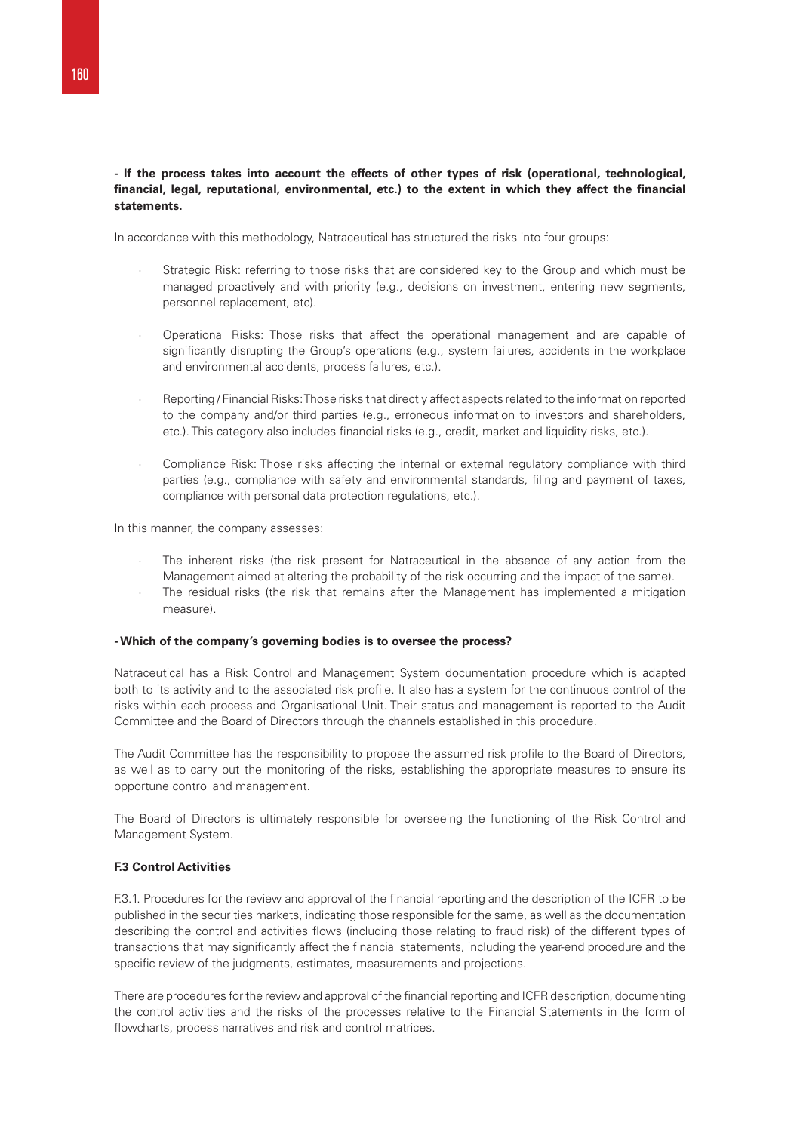# **- If the process takes into account the effects of other types of risk (operational, technological, financial, legal, reputational, environmental, etc.) to the extent in which they affect the financial statements.**

In accordance with this methodology, Natraceutical has structured the risks into four groups:

- Strategic Risk: referring to those risks that are considered key to the Group and which must be managed proactively and with priority (e.g., decisions on investment, entering new segments, personnel replacement, etc).
- · Operational Risks: Those risks that affect the operational management and are capable of significantly disrupting the Group's operations (e.g., system failures, accidents in the workplace and environmental accidents, process failures, etc.).
- Reporting / Financial Risks: Those risks that directly affect aspects related to the information reported to the company and/or third parties (e.g., erroneous information to investors and shareholders, etc.). This category also includes financial risks (e.g., credit, market and liquidity risks, etc.).
- Compliance Risk: Those risks affecting the internal or external regulatory compliance with third parties (e.g., compliance with safety and environmental standards, filing and payment of taxes, compliance with personal data protection regulations, etc.).

In this manner, the company assesses:

- The inherent risks (the risk present for Natraceutical in the absence of any action from the Management aimed at altering the probability of the risk occurring and the impact of the same).
- The residual risks (the risk that remains after the Management has implemented a mitigation measure).

#### **- Which of the company's governing bodies is to oversee the process?**

Natraceutical has a Risk Control and Management System documentation procedure which is adapted both to its activity and to the associated risk profile. It also has a system for the continuous control of the risks within each process and Organisational Unit. Their status and management is reported to the Audit Committee and the Board of Directors through the channels established in this procedure.

The Audit Committee has the responsibility to propose the assumed risk profile to the Board of Directors, as well as to carry out the monitoring of the risks, establishing the appropriate measures to ensure its opportune control and management.

The Board of Directors is ultimately responsible for overseeing the functioning of the Risk Control and Management System.

## **F.3 Control Activities**

F.3.1. Procedures for the review and approval of the financial reporting and the description of the ICFR to be published in the securities markets, indicating those responsible for the same, as well as the documentation describing the control and activities flows (including those relating to fraud risk) of the different types of transactions that may significantly affect the financial statements, including the year-end procedure and the specific review of the judgments, estimates, measurements and projections.

There are procedures for the review and approval of the financial reporting and ICFR description, documenting the control activities and the risks of the processes relative to the Financial Statements in the form of flowcharts, process narratives and risk and control matrices.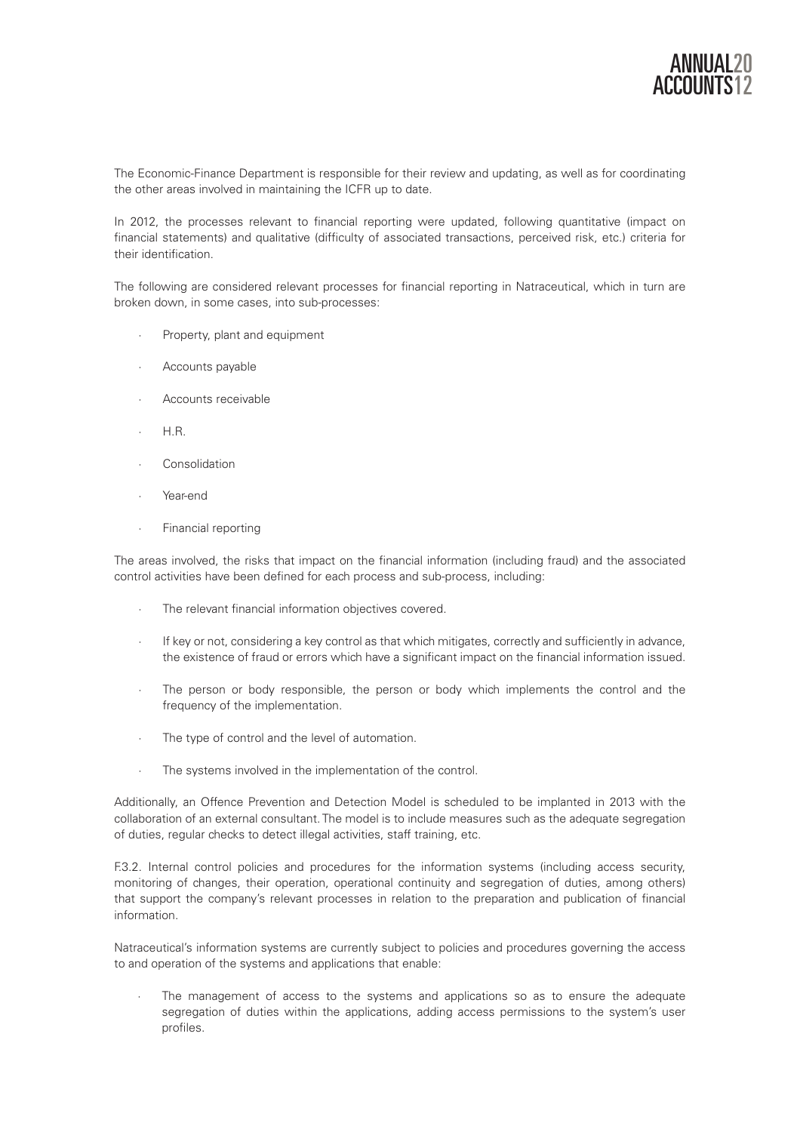The Economic-Finance Department is responsible for their review and updating, as well as for coordinating the other areas involved in maintaining the ICFR up to date.

In 2012, the processes relevant to financial reporting were updated, following quantitative (impact on financial statements) and qualitative (difficulty of associated transactions, perceived risk, etc.) criteria for their identification.

The following are considered relevant processes for financial reporting in Natraceutical, which in turn are broken down, in some cases, into sub-processes:

- Property, plant and equipment
- Accounts payable
- · Accounts receivable
- · H.R.
- **Consolidation**
- · Year-end
- · Financial reporting

The areas involved, the risks that impact on the financial information (including fraud) and the associated control activities have been defined for each process and sub-process, including:

- The relevant financial information objectives covered.
- If key or not, considering a key control as that which mitigates, correctly and sufficiently in advance, the existence of fraud or errors which have a significant impact on the financial information issued.
- · The person or body responsible, the person or body which implements the control and the frequency of the implementation.
- The type of control and the level of automation.
- · The systems involved in the implementation of the control.

Additionally, an Offence Prevention and Detection Model is scheduled to be implanted in 2013 with the collaboration of an external consultant. The model is to include measures such as the adequate segregation of duties, regular checks to detect illegal activities, staff training, etc.

F.3.2. Internal control policies and procedures for the information systems (including access security, monitoring of changes, their operation, operational continuity and segregation of duties, among others) that support the company's relevant processes in relation to the preparation and publication of financial information.

Natraceutical's information systems are currently subject to policies and procedures governing the access to and operation of the systems and applications that enable:

The management of access to the systems and applications so as to ensure the adequate segregation of duties within the applications, adding access permissions to the system's user profiles.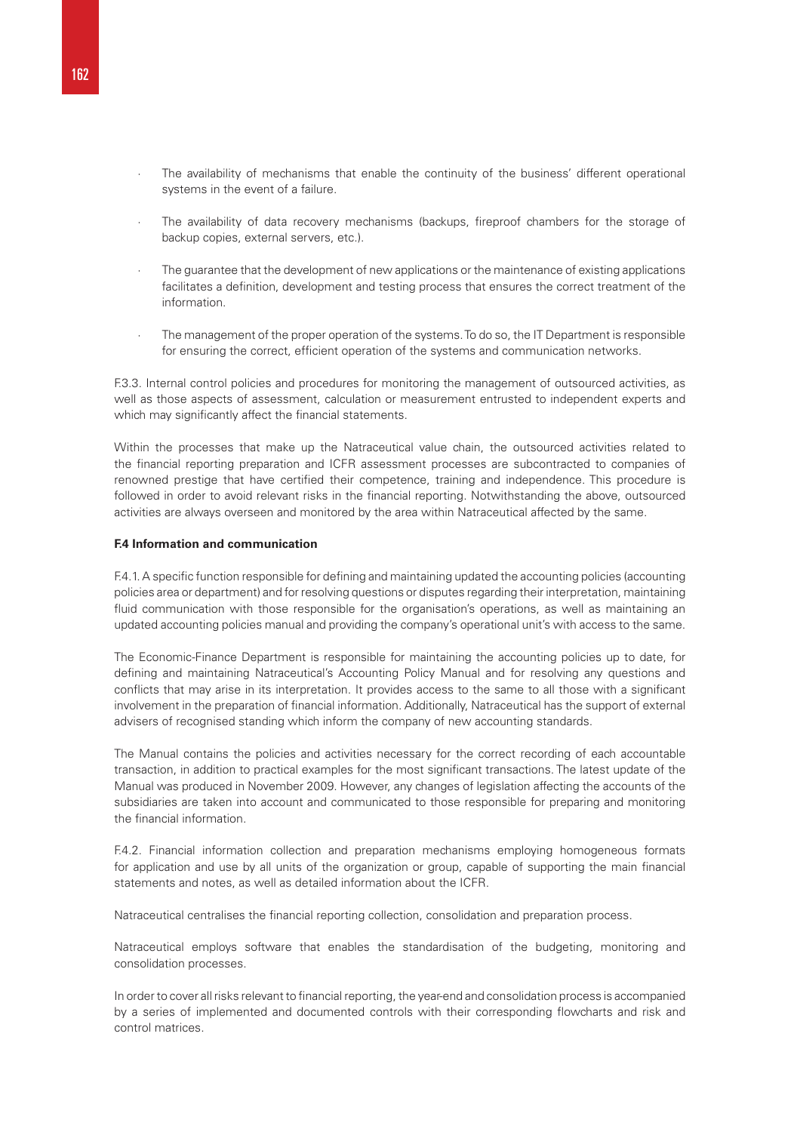- · The availability of mechanisms that enable the continuity of the business' different operational systems in the event of a failure.
- The availability of data recovery mechanisms (backups, fireproof chambers for the storage of backup copies, external servers, etc.).
- The guarantee that the development of new applications or the maintenance of existing applications facilitates a definition, development and testing process that ensures the correct treatment of the information.
- The management of the proper operation of the systems. To do so, the IT Department is responsible for ensuring the correct, efficient operation of the systems and communication networks.

F.3.3. Internal control policies and procedures for monitoring the management of outsourced activities, as well as those aspects of assessment, calculation or measurement entrusted to independent experts and which may significantly affect the financial statements.

Within the processes that make up the Natraceutical value chain, the outsourced activities related to the financial reporting preparation and ICFR assessment processes are subcontracted to companies of renowned prestige that have certified their competence, training and independence. This procedure is followed in order to avoid relevant risks in the financial reporting. Notwithstanding the above, outsourced activities are always overseen and monitored by the area within Natraceutical affected by the same.

#### **F.4 Information and communication**

F.4.1. A specific function responsible for defining and maintaining updated the accounting policies (accounting policies area or department) and for resolving questions or disputes regarding their interpretation, maintaining fluid communication with those responsible for the organisation's operations, as well as maintaining an updated accounting policies manual and providing the company's operational unit's with access to the same.

The Economic-Finance Department is responsible for maintaining the accounting policies up to date, for defining and maintaining Natraceutical's Accounting Policy Manual and for resolving any questions and conflicts that may arise in its interpretation. It provides access to the same to all those with a significant involvement in the preparation of financial information. Additionally, Natraceutical has the support of external advisers of recognised standing which inform the company of new accounting standards.

The Manual contains the policies and activities necessary for the correct recording of each accountable transaction, in addition to practical examples for the most significant transactions. The latest update of the Manual was produced in November 2009. However, any changes of legislation affecting the accounts of the subsidiaries are taken into account and communicated to those responsible for preparing and monitoring the financial information.

F.4.2. Financial information collection and preparation mechanisms employing homogeneous formats for application and use by all units of the organization or group, capable of supporting the main financial statements and notes, as well as detailed information about the ICFR.

Natraceutical centralises the financial reporting collection, consolidation and preparation process.

Natraceutical employs software that enables the standardisation of the budgeting, monitoring and consolidation processes.

In order to cover all risks relevant to financial reporting, the year-end and consolidation process is accompanied by a series of implemented and documented controls with their corresponding flowcharts and risk and control matrices.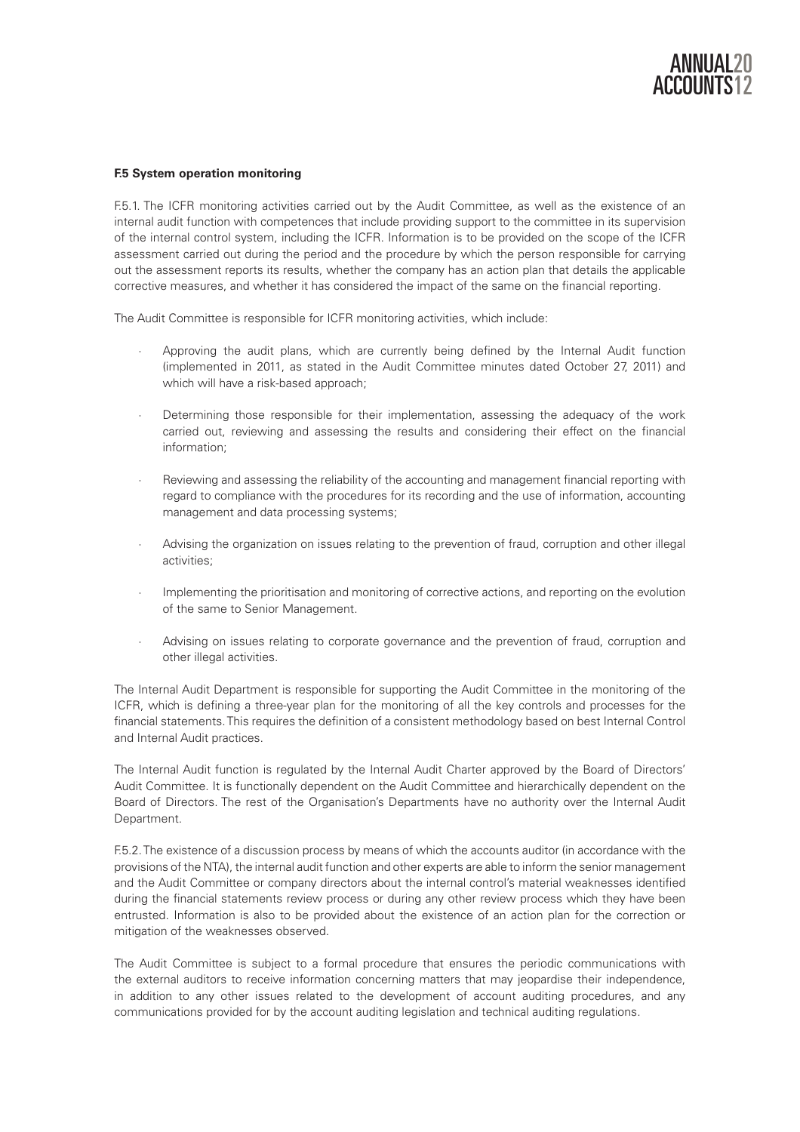

# **F.5 System operation monitoring**

F.5.1. The ICFR monitoring activities carried out by the Audit Committee, as well as the existence of an internal audit function with competences that include providing support to the committee in its supervision of the internal control system, including the ICFR. Information is to be provided on the scope of the ICFR assessment carried out during the period and the procedure by which the person responsible for carrying out the assessment reports its results, whether the company has an action plan that details the applicable corrective measures, and whether it has considered the impact of the same on the financial reporting.

The Audit Committee is responsible for ICFR monitoring activities, which include:

- · Approving the audit plans, which are currently being defined by the Internal Audit function (implemented in 2011, as stated in the Audit Committee minutes dated October 27, 2011) and which will have a risk-based approach;
- Determining those responsible for their implementation, assessing the adequacy of the work carried out, reviewing and assessing the results and considering their effect on the financial information;
- Reviewing and assessing the reliability of the accounting and management financial reporting with regard to compliance with the procedures for its recording and the use of information, accounting management and data processing systems;
- Advising the organization on issues relating to the prevention of fraud, corruption and other illegal activities;
- Implementing the prioritisation and monitoring of corrective actions, and reporting on the evolution of the same to Senior Management.
- Advising on issues relating to corporate governance and the prevention of fraud, corruption and other illegal activities.

The Internal Audit Department is responsible for supporting the Audit Committee in the monitoring of the ICFR, which is defining a three-year plan for the monitoring of all the key controls and processes for the financial statements. This requires the definition of a consistent methodology based on best Internal Control and Internal Audit practices.

The Internal Audit function is regulated by the Internal Audit Charter approved by the Board of Directors' Audit Committee. It is functionally dependent on the Audit Committee and hierarchically dependent on the Board of Directors. The rest of the Organisation's Departments have no authority over the Internal Audit Department.

F.5.2. The existence of a discussion process by means of which the accounts auditor (in accordance with the provisions of the NTA), the internal audit function and other experts are able to inform the senior management and the Audit Committee or company directors about the internal control's material weaknesses identified during the financial statements review process or during any other review process which they have been entrusted. Information is also to be provided about the existence of an action plan for the correction or mitigation of the weaknesses observed.

The Audit Committee is subject to a formal procedure that ensures the periodic communications with the external auditors to receive information concerning matters that may jeopardise their independence, in addition to any other issues related to the development of account auditing procedures, and any communications provided for by the account auditing legislation and technical auditing regulations.